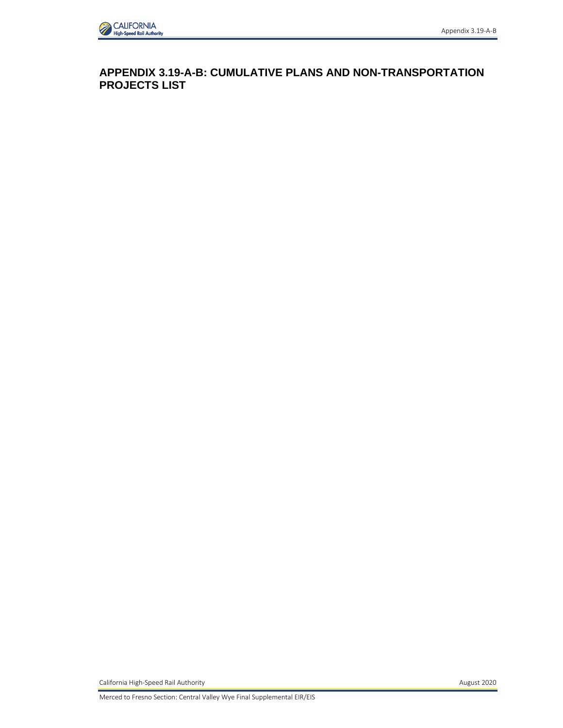

**APPENDIX 3.19-A-B: CUMULATIVE PLANS AND NON-TRANSPORTATION PROJECTS LIST** 

California High-Speed Rail Authority **August 2020 August 2020** 

Merced to Fresno Section: Central Valley Wye Final Supplemental EIR/EIS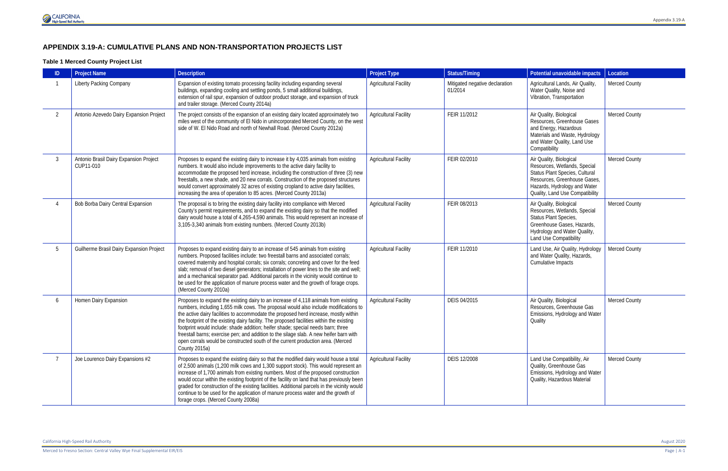## **APPENDIX 3.19-A: CUMULATIVE PLANS AND NON-TRANSPORTATION PROJECTS LIST**

#### **Table 1 Merced County Project List**

|                | <b>Project Name</b>                                 | <b>Description</b>                                                                                                                                                                                                                                                                                                                                                                                                                                                                                                                                                                                                                                 | <b>Project Type</b>          | <b>Status/Timing</b>                      | Potential unavoidable impacts                                                                                                                                                                | Location      |
|----------------|-----------------------------------------------------|----------------------------------------------------------------------------------------------------------------------------------------------------------------------------------------------------------------------------------------------------------------------------------------------------------------------------------------------------------------------------------------------------------------------------------------------------------------------------------------------------------------------------------------------------------------------------------------------------------------------------------------------------|------------------------------|-------------------------------------------|----------------------------------------------------------------------------------------------------------------------------------------------------------------------------------------------|---------------|
|                | Liberty Packing Company                             | Expansion of existing tomato processing facility including expanding several<br>buildings, expanding cooling and settling ponds, 5 small additional buildings,<br>extension of rail spur, expansion of outdoor product storage, and expansion of truck<br>and trailer storage. (Merced County 2014a)                                                                                                                                                                                                                                                                                                                                               | <b>Agricultural Facility</b> | Mitigated negative declaration<br>01/2014 | Agricultural Lands, Air Quality,<br>Water Quality, Noise and<br>Vibration, Transportation                                                                                                    | Merced County |
| $\overline{2}$ | Antonio Azevedo Dairy Expansion Project             | The project consists of the expansion of an existing dairy located approximately two<br>miles west of the community of El Nido in unincorporated Merced County, on the west<br>side of W. El Nido Road and north of Newhall Road. (Merced County 2012a)                                                                                                                                                                                                                                                                                                                                                                                            | <b>Agricultural Facility</b> | FEIR 11/2012                              | Air Quality, Biological<br>Resources, Greenhouse Gases<br>and Energy, Hazardous<br>Materials and Waste, Hydrology<br>and Water Quality, Land Use<br>Compatibility                            | Merced County |
| $\mathcal{S}$  | Antonio Brasil Dairy Expansion Project<br>CUP11-010 | Proposes to expand the existing dairy to increase it by 4,035 animals from existing<br>numbers. It would also include improvements to the active dairy facility to<br>accommodate the proposed herd increase, including the construction of three (3) new<br>freestalls, a new shade, and 20 new corrals. Construction of the proposed structures<br>would convert approximately 32 acres of existing cropland to active dairy facilities,<br>increasing the area of operation to 85 acres. (Merced County 2013a)                                                                                                                                  | <b>Agricultural Facility</b> | FEIR 02/2010                              | Air Quality, Biological<br>Resources, Wetlands, Special<br>Status Plant Species, Cultural<br>Resources, Greenhouse Gases,<br>Hazards, Hydrology and Water<br>Quality, Land Use Compatibility | Merced County |
|                | Bob Borba Dairy Central Expansion                   | The proposal is to bring the existing dairy facility into compliance with Merced<br>County's permit requirements, and to expand the existing dairy so that the modified<br>dairy would house a total of 4,265-4,590 animals. This would represent an increase of<br>3,105-3,340 animals from existing numbers. (Merced County 2013b)                                                                                                                                                                                                                                                                                                               | <b>Agricultural Facility</b> | FEIR 08/2013                              | Air Quality, Biological<br>Resources, Wetlands, Special<br>Status Plant Species,<br>Greenhouse Gases, Hazards,<br>Hydrology and Water Quality,<br>Land Use Compatibility                     | Merced County |
| 5              | Guilherme Brasil Dairy Expansion Project            | Proposes to expand existing dairy to an increase of 545 animals from existing<br>numbers. Proposed facilities include: two freestall barns and associated corrals;<br>covered maternity and hospital corrals; six corrals; concreting and cover for the feed<br>slab; removal of two diesel generators; installation of power lines to the site and well;<br>and a mechanical separator pad. Additional parcels in the vicinity would continue to<br>be used for the application of manure process water and the growth of forage crops.<br>(Merced County 2010a)                                                                                  | <b>Agricultural Facility</b> | FEIR 11/2010                              | Land Use, Air Quality, Hydrology<br>and Water Quality, Hazards,<br>Cumulative Impacts                                                                                                        | Merced County |
| 6              | Homen Dairy Expansion                               | Proposes to expand the existing dairy to an increase of 4,118 animals from existing<br>numbers, including 1,655 milk cows. The proposal would also include modifications to<br>the active dairy facilities to accommodate the proposed herd increase, mostly within<br>the footprint of the existing dairy facility. The proposed facilities within the existing<br>footprint would include: shade addition; heifer shade; special needs barn; three<br>freestall barns; exercise pen; and addition to the silage slab. A new heifer barn with<br>open corrals would be constructed south of the current production area. (Merced<br>County 2015a) | <b>Agricultural Facility</b> | DEIS 04/2015                              | Air Quality, Biological<br>Resources, Greenhouse Gas<br>Emissions, Hydrology and Water<br>Quality                                                                                            | Merced County |
|                | Joe Lourenco Dairy Expansions #2                    | Proposes to expand the existing dairy so that the modified dairy would house a total<br>of 2,500 animals (1,200 milk cows and 1,300 support stock). This would represent an<br>increase of 1,700 animals from existing numbers. Most of the proposed construction<br>would occur within the existing footprint of the facility on land that has previously been<br>graded for construction of the existing facilities. Additional parcels in the vicinity would<br>continue to be used for the application of manure process water and the growth of<br>forage crops. (Merced County 2008a)                                                        | <b>Agricultural Facility</b> | DEIS 12/2008                              | Land Use Compatibility, Air<br>Quality, Greenhouse Gas<br>Emissions, Hydrology and Water<br>Quality, Hazardous Material                                                                      | Merced County |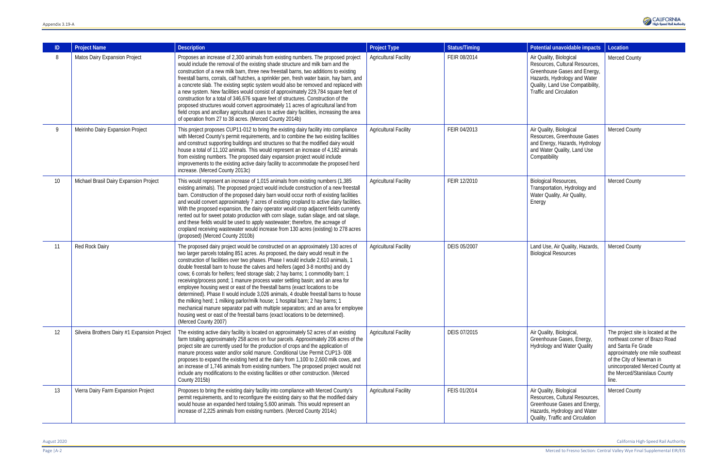| ID              | <b>Project Name</b>                          | <b>Description</b>                                                                                                                                                                                                                                                                                                                                                                                                                                                                                                                                                                                                                                                                                                                                                                                                                                                                                                                                                             | <b>Project Type</b>          | <b>Status/Timing</b> | Potential unavoidable impacts                                                                                                                                                                   | Location                                                                                        |
|-----------------|----------------------------------------------|--------------------------------------------------------------------------------------------------------------------------------------------------------------------------------------------------------------------------------------------------------------------------------------------------------------------------------------------------------------------------------------------------------------------------------------------------------------------------------------------------------------------------------------------------------------------------------------------------------------------------------------------------------------------------------------------------------------------------------------------------------------------------------------------------------------------------------------------------------------------------------------------------------------------------------------------------------------------------------|------------------------------|----------------------|-------------------------------------------------------------------------------------------------------------------------------------------------------------------------------------------------|-------------------------------------------------------------------------------------------------|
| 8               | Matos Dairy Expansion Project                | Proposes an increase of 2,300 animals from existing numbers. The proposed project<br>would include the removal of the existing shade structure and milk barn and the<br>construction of a new milk barn, three new freestall barns, two additions to existing<br>freestall barns, corrals, calf hutches, a sprinkler pen, fresh water basin, hay barn, and<br>a concrete slab. The existing septic system would also be removed and replaced with<br>a new system. New facilities would consist of approximately 229,784 square feet of<br>construction for a total of 346,676 square feet of structures. Construction of the<br>proposed structures would convert approximately 11 acres of agricultural land from<br>field crops and ancillary agricultural uses to active dairy facilities, increasing the area<br>of operation from 27 to 38 acres. (Merced County 2014b)                                                                                                  | <b>Agricultural Facility</b> | FEIR 08/2014         | Air Quality, Biological<br>Resources, Cultural Resources,<br>Greenhouse Gases and Energy,<br>Hazards, Hydrology and Water<br>Quality, Land Use Compatibility,<br><b>Traffic and Circulation</b> | Merced C                                                                                        |
| 9               | Meirinho Dairy Expansion Project             | This project proposes CUP11-012 to bring the existing dairy facility into compliance<br>with Merced County's permit requirements, and to combine the two existing facilities<br>and construct supporting buildings and structures so that the modified dairy would<br>house a total of 11,102 animals. This would represent an increase of 4,182 animals<br>from existing numbers. The proposed dairy expansion project would include<br>improvements to the existing active dairy facility to accommodate the proposed herd<br>increase. (Merced County 2013c)                                                                                                                                                                                                                                                                                                                                                                                                                | <b>Agricultural Facility</b> | FEIR 04/2013         | Air Quality, Biological<br>Resources, Greenhouse Gases<br>and Energy, Hazards, Hydrology<br>and Water Quality, Land Use<br>Compatibility                                                        | Merced C                                                                                        |
| 10 <sup>°</sup> | Michael Brasil Dairy Expansion Project       | This would represent an increase of 1,015 animals from existing numbers (1,385<br>existing animals). The proposed project would include construction of a new freestall<br>barn. Construction of the proposed dairy barn would occur north of existing facilities<br>and would convert approximately 7 acres of existing cropland to active dairy facilities.<br>With the proposed expansion, the dairy operator would crop adjacent fields currently<br>rented out for sweet potato production with corn silage, sudan silage, and oat silage,<br>and these fields would be used to apply wastewater; therefore, the acreage of<br>cropland receiving wastewater would increase from 130 acres (existing) to 278 acres<br>(proposed) (Merced County 2010b)                                                                                                                                                                                                                    | <b>Agricultural Facility</b> | FEIR 12/2010         | <b>Biological Resources,</b><br>Transportation, Hydrology and<br>Water Quality, Air Quality,<br>Energy                                                                                          | Merced C                                                                                        |
| 11              | Red Rock Dairy                               | The proposed dairy project would be constructed on an approximately 130 acres of<br>two larger parcels totaling 851 acres. As proposed, the dairy would result in the<br>construction of facilities over two phases. Phase I would include 2,610 animals, 1<br>double freestall barn to house the calves and heifers (aged 3-8 months) and dry<br>cows; 6 corrals for heifers; feed storage slab; 2 hay barns; 1 commodity barn; 1<br>receiving/process pond; 1 manure process water settling basin; and an area for<br>employee housing west or east of the freestall barns (exact locations to be<br>determined). Phase II would include 3,026 animals, 4 double freestall barns to house<br>the milking herd; 1 milking parlor/milk house; 1 hospital barn; 2 hay barns; 1<br>mechanical manure separator pad with multiple separators; and an area for employee<br>housing west or east of the freestall barns (exact locations to be determined).<br>(Merced County 2007) | <b>Agricultural Facility</b> | DEIS 05/2007         | Land Use, Air Quality, Hazards,<br><b>Biological Resources</b>                                                                                                                                  | Merced C                                                                                        |
| 12              | Silveira Brothers Dairy #1 Expansion Project | The existing active dairy facility is located on approximately 52 acres of an existing<br>farm totaling approximately 258 acres on four parcels. Approximately 206 acres of the<br>project site are currently used for the production of crops and the application of<br>manure process water and/or solid manure. Conditional Use Permit CUP13-008<br>proposes to expand the existing herd at the dairy from 1,100 to 2,600 milk cows, and<br>an increase of 1,746 animals from existing numbers. The proposed project would not<br>include any modifications to the existing facilities or other construction. (Merced<br><b>County 2015b)</b>                                                                                                                                                                                                                                                                                                                               | <b>Agricultural Facility</b> | DEIS 07/2015         | Air Quality, Biological,<br>Greenhouse Gases, Energy,<br><b>Hydrology and Water Quality</b>                                                                                                     | The proje<br>northeast<br>and Sant<br>approxim<br>of the Cit<br>unincorpo<br>the Merce<br>line. |
| 13              | Vierra Dairy Farm Expansion Project          | Proposes to bring the existing dairy facility into compliance with Merced County's<br>permit requirements, and to reconfigure the existing dairy so that the modified dairy<br>would house an expanded herd totaling 5,600 animals. This would represent an<br>increase of 2,225 animals from existing numbers. (Merced County 2014c)                                                                                                                                                                                                                                                                                                                                                                                                                                                                                                                                                                                                                                          | <b>Agricultural Facility</b> | FEIS 01/2014         | Air Quality, Biological<br>Resources, Cultural Resources,<br>Greenhouse Gases and Energy,<br>Hazards, Hydrology and Water<br>Quality, Traffic and Circulation                                   | Merced C                                                                                        |



| Potential unavoidable impacts                                                                                                                                                                   | Location                                                                                                                                                                                                                               |
|-------------------------------------------------------------------------------------------------------------------------------------------------------------------------------------------------|----------------------------------------------------------------------------------------------------------------------------------------------------------------------------------------------------------------------------------------|
| Air Quality, Biological<br>Resources, Cultural Resources,<br>Greenhouse Gases and Energy,<br>Hazards, Hydrology and Water<br>Quality, Land Use Compatibility,<br><b>Traffic and Circulation</b> | <b>Merced County</b>                                                                                                                                                                                                                   |
| Air Quality, Biological<br>Resources, Greenhouse Gases<br>and Energy, Hazards, Hydrology<br>and Water Quality, Land Use<br>Compatibility                                                        | <b>Merced County</b>                                                                                                                                                                                                                   |
| Biological Resources,<br>Transportation, Hydrology and<br>Water Quality, Air Quality,<br>Energy                                                                                                 | <b>Merced County</b>                                                                                                                                                                                                                   |
| Land Use, Air Quality, Hazards,<br><b>Biological Resources</b>                                                                                                                                  | Merced County                                                                                                                                                                                                                          |
| Air Quality, Biological,<br>Greenhouse Gases, Energy,<br><b>Hydrology and Water Quality</b>                                                                                                     | The project site is located at the<br>northeast corner of Brazo Road<br>and Santa Fe Grade<br>approximately one mile southeast<br>of the City of Newman in<br>unincorporated Merced County at<br>the Merced/Stanislaus County<br>line. |
| Air Quality, Biological<br>Resources, Cultural Resources,<br>Greenhouse Gases and Energy,<br>Hazards, Hydrology and Water<br>Quality, Traffic and Circulation                                   | <b>Merced County</b>                                                                                                                                                                                                                   |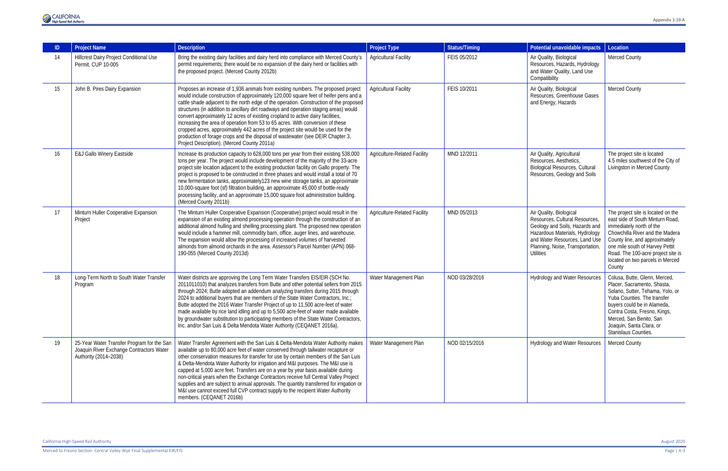

| ID | <b>Project Name</b>                                                                                             | <b>Description</b>                                                                                                                                                                                                                                                                                                                                                                                                                                                                                                                                                                                                                                                                                                                                     | <b>Project Type</b>                 | <b>Status/Timing</b> | Potential unavoidable impacts                                                                                                                                                                                          | Location                                                                                                                                                                                                                                                                                       |
|----|-----------------------------------------------------------------------------------------------------------------|--------------------------------------------------------------------------------------------------------------------------------------------------------------------------------------------------------------------------------------------------------------------------------------------------------------------------------------------------------------------------------------------------------------------------------------------------------------------------------------------------------------------------------------------------------------------------------------------------------------------------------------------------------------------------------------------------------------------------------------------------------|-------------------------------------|----------------------|------------------------------------------------------------------------------------------------------------------------------------------------------------------------------------------------------------------------|------------------------------------------------------------------------------------------------------------------------------------------------------------------------------------------------------------------------------------------------------------------------------------------------|
| 14 | Hillcrest Dairy Project Conditional Use<br>Permit, CUP 10-005                                                   | Bring the existing dairy facilities and dairy herd into compliance with Merced County's<br>permit requirements; there would be no expansion of the dairy herd or facilities with<br>the proposed project. (Merced County 2012b)                                                                                                                                                                                                                                                                                                                                                                                                                                                                                                                        | <b>Agricultural Facility</b>        | FEIS 05/2012         | Air Quality, Biological<br>Resources, Hazards, Hydrology<br>and Water Quality, Land Use<br>Compatibility                                                                                                               | Merced County                                                                                                                                                                                                                                                                                  |
| 15 | John B. Pires Dairy Expansion                                                                                   | Proposes an increase of 1,936 animals from existing numbers. The proposed project<br>would include construction of approximately 120,000 square feet of heifer pens and a<br>cattle shade adjacent to the north edge of the operation. Construction of the proposed<br>structures (in addition to ancillary dirt roadways and operation staging areas) would<br>convert approximately 12 acres of existing cropland to active dairy facilities,<br>increasing the area of operation from 53 to 65 acres. With conversion of these<br>cropped acres, approximately 442 acres of the project site would be used for the<br>production of forage crops and the disposal of wastewater (see DEIR Chapter 3,<br>Project Description). (Merced County 2011a) | <b>Agricultural Facility</b>        | FEIS 10/2011         | Air Quality, Biological<br>Resources, Greenhouse Gases<br>and Energy, Hazards                                                                                                                                          | Merced County                                                                                                                                                                                                                                                                                  |
| 16 | <b>E&amp;J Gallo Winery Eastside</b>                                                                            | Increase its production capacity to 628,000 tons per year from their existing 538,000<br>tons per year. The project would include development of the majority of the 33-acre<br>project site location adjacent to the existing production facility on Gallo property. The<br>project is proposed to be constructed in three phases and would install a total of 70<br>new fermentation tanks, approximately123 new wine storage tanks, an approximate<br>10,000-square foot (sf) filtration building, an approximate 45,000 sf bottle-ready<br>processing facility, and an approximate 15,000 square foot administration building.<br>(Merced County 2011b)                                                                                            | <b>Agriculture-Related Facility</b> | MND 12/2011          | Air Quality, Agricultural<br>Resources, Aesthetics,<br><b>Biological Resources, Cultural</b><br>Resources, Geology and Soils                                                                                           | The project site is located<br>4.5 miles southwest of the City of<br>Livingston in Merced County.                                                                                                                                                                                              |
| 17 | Minturn Huller Cooperative Expansion<br>Project                                                                 | The Minturn Huller Cooperative Expansion (Cooperative) project would result in the<br>expansion of an existing almond processing operation through the construction of an<br>additional almond hulling and shelling processing plant. The proposed new operation<br>would include a hammer mill, commodity barn, office, auger lines, and warehouse.<br>The expansion would allow the processing of increased volumes of harvested<br>almonds from almond orchards in the area. Assessor's Parcel Number (APN) 068-<br>190-055 (Merced County 2013d)                                                                                                                                                                                                   | <b>Agriculture-Related Facility</b> | MND 05/2013          | Air Quality, Biological<br>Resources, Cultural Resources,<br>Geology and Soils, Hazards and<br>Hazardous Materials, Hydrology<br>and Water Resources, Land Use<br>Planning, Noise, Transportation,<br><b>Utilities</b> | The project site is located on the<br>east side of South Minturn Road,<br>immediately north of the<br>Chowchilla River and the Madera<br>County line, and approximately<br>one mile south of Harvey Pettit<br>Road. The 100-acre project site is<br>located on two parcels in Merced<br>County |
| 18 | Long-Term North to South Water Transfer<br>Program                                                              | Water districts are approving the Long Term Water Transfers EIS/EIR (SCH No.<br>2011011010) that analyzes transfers from Butte and other potential sellers from 2015<br>through 2024; Butte adopted an addendum analyzing transfers during 2015 through<br>2024 to additional buyers that are members of the State Water Contractors, Inc.;<br>Butte adopted the 2016 Water Transfer Project of up to 11,500 acre-feet of water<br>made available by rice land idling and up to 5,500 acre-feet of water made available<br>by groundwater substitution to participating members of the State Water Contractors,<br>Inc. and/or San Luis & Delta Mendota Water Authority (CEQANET 2016a).                                                               | Water Management Plan               | NOD 03/28/2016       | <b>Hydrology and Water Resources</b>                                                                                                                                                                                   | Colusa, Butte, Glenn, Merced,<br>Placer, Sacramento, Shasta,<br>Solano, Sutter, Tehama, Yolo, or<br>Yuba Counties. The transfer<br>buyers could be in Alameda,<br>Contra Costa, Fresno, Kings,<br>Merced, San Benito, San<br>Joaquin, Santa Clara, or<br>Stanislaus Counties.                  |
| 19 | 25-Year Water Transfer Program for the San<br>Joaquin River Exchange Contractors Water<br>Authority (2014-2038) | Water Transfer Agreement with the San Luis & Delta-Mendota Water Authority makes<br>available up to 80,000 acre feet of water conserved through tailwater recapture or<br>other conservation measures for transfer for use by certain members of the San Luis<br>& Delta-Mendota Water Authority for irrigation and M&I purposes. The M&I use is<br>capped at 5,000 acre feet. Transfers are on a year by year basis available during<br>non-critical years when the Exchange Contractors receive full Central Valley Project<br>supplies and are subject to annual approvals. The quantity transferred for irrigation or<br>M&I use cannot exceed full CVP contract supply to the recipient Water Authority<br>members. (CEQANET 2016b)               | Water Management Plan               | NOD 02/15/2016       | <b>Hydrology and Water Resources</b>                                                                                                                                                                                   | <b>Merced County</b>                                                                                                                                                                                                                                                                           |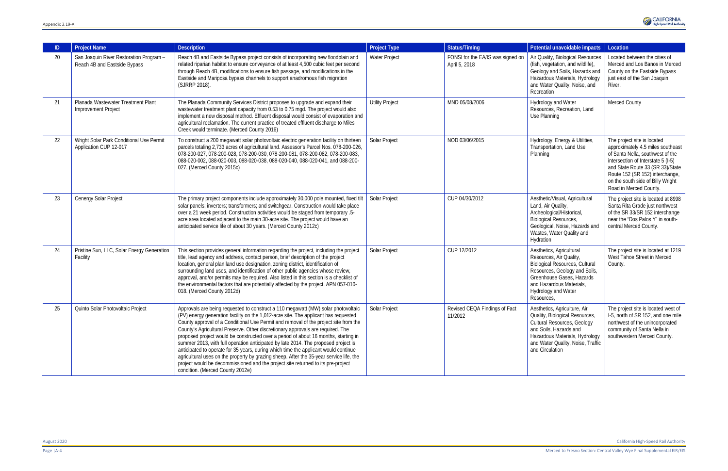|    | <b>Project Name</b>                                                     | <b>Description</b>                                                                                                                                                                                                                                                                                                                                                                                                                                                                                                                                                                                                                                                                                                                                                                                                                         | <b>Project Type</b>    | <b>Status/Timing</b>                               | Potential unavoidable impacts                                                                                                                                                                                                      | Location                                                                                                                                                                                                                                                                         |
|----|-------------------------------------------------------------------------|--------------------------------------------------------------------------------------------------------------------------------------------------------------------------------------------------------------------------------------------------------------------------------------------------------------------------------------------------------------------------------------------------------------------------------------------------------------------------------------------------------------------------------------------------------------------------------------------------------------------------------------------------------------------------------------------------------------------------------------------------------------------------------------------------------------------------------------------|------------------------|----------------------------------------------------|------------------------------------------------------------------------------------------------------------------------------------------------------------------------------------------------------------------------------------|----------------------------------------------------------------------------------------------------------------------------------------------------------------------------------------------------------------------------------------------------------------------------------|
| 20 | San Joaquin River Restoration Program -<br>Reach 4B and Eastside Bypass | Reach 4B and Eastside Bypass project consists of incorporating new floodplain and<br>related riparian habitat to ensure conveyance of at least 4,500 cubic feet per second<br>through Reach 4B, modifications to ensure fish passage, and modifications in the<br>Eastside and Mariposa bypass channels to support anadromous fish migration<br>(SJRRP 2018).                                                                                                                                                                                                                                                                                                                                                                                                                                                                              | Water Project          | FONSI for the EA/IS was signed on<br>April 5, 2018 | Air Quality, Biological Resources<br>(fish, vegetation, and wildlife),<br>Geology and Soils, Hazards and<br>Hazardous Materials, Hydrology<br>and Water Quality, Noise, and<br>Recreation                                          | Located between the cities of<br>Merced and Los Banos in Merced<br>County on the Eastside Bypass<br>just east of the San Joaquin<br>River.                                                                                                                                       |
| 21 | Planada Wastewater Treatment Plant<br>Improvement Project               | The Planada Community Services District proposes to upgrade and expand their<br>wastewater treatment plant capacity from 0.53 to 0.75 mgd. The project would also<br>implement a new disposal method. Effluent disposal would consist of evaporation and<br>agricultural reclamation. The current practice of treated effluent discharge to Miles<br>Creek would terminate. (Merced County 2016)                                                                                                                                                                                                                                                                                                                                                                                                                                           | <b>Utility Project</b> | MND 05/08/2006                                     | Hydrology and Water<br>Resources, Recreation, Land<br>Use Planning                                                                                                                                                                 | Merced County                                                                                                                                                                                                                                                                    |
| 22 | Wright Solar Park Conditional Use Permit<br>Application CUP 12-017      | To construct a 200 megawatt solar photovoltaic electric generation facility on thirteen<br>parcels totaling 2,733 acres of agricultural land. Assessor's Parcel Nos. 078-200-026,<br>078-200-027, 078-200-028, 078-200-030, 078-200-081, 078-200-082, 078-200-083,<br>088-020-002, 088-020-003, 088-020-038, 088-020-040, 088-020-041, and 088-200-<br>027. (Merced County 2015c)                                                                                                                                                                                                                                                                                                                                                                                                                                                          | Solar Project          | NOD 03/06/2015                                     | Hydrology, Energy & Utilities,<br>Transportation, Land Use<br>Planning                                                                                                                                                             | The project site is located<br>approximately 4.5 miles southeast<br>of Santa Nella, southwest of the<br>intersection of Interstate 5 (I-5)<br>and State Route 33 (SR 33)/State<br>Route 152 (SR 152) interchange,<br>on the south side of Billy Wright<br>Road in Merced County. |
| 23 | Cenergy Solar Project                                                   | The primary project components include approximately 30,000 pole mounted, fixed tilt<br>solar panels; inverters; transformers; and switchgear. Construction would take place<br>over a 21 week period. Construction activities would be staged from temporary .5-<br>acre area located adjacent to the main 30-acre site. The project would have an<br>anticipated service life of about 30 years. (Merced County 2012c)                                                                                                                                                                                                                                                                                                                                                                                                                   | Solar Project          | CUP 04/30/2012                                     | Aesthetic/Visual, Agricultural<br>Land, Air Quality,<br>Archeological/Historical,<br><b>Biological Resources,</b><br>Geological, Noise, Hazards and<br>Wastes, Water Quality and<br>Hydration                                      | The project site is located at 8998<br>Santa Rita Grade just northwest<br>of the SR 33/SR 152 interchange<br>near the "Dos Palos Y" in south-<br>central Merced County.                                                                                                          |
| 24 | Pristine Sun, LLC, Solar Energy Generation<br>Facility                  | This section provides general information regarding the project, including the project<br>title, lead agency and address, contact person, brief description of the project<br>location, general plan land use designation, zoning district, identification of<br>surrounding land uses, and identification of other public agencies whose review,<br>approval, and/or permits may be required. Also listed in this section is a checklist of<br>the environmental factors that are potentially affected by the project. APN 057-010-<br>018. (Merced County 2012d)                                                                                                                                                                                                                                                                         | Solar Project          | CUP 12/2012                                        | Aesthetics, Agricultural<br>Resources, Air Quality,<br><b>Biological Resources, Cultural</b><br>Resources, Geology and Soils,<br>Greenhouse Gases, Hazards<br>and Hazardous Materials,<br><b>Hydrology and Water</b><br>Resources, | The project site is located at 1219<br>West Tahoe Street in Merced<br>County.                                                                                                                                                                                                    |
| 25 | Quinto Solar Photovoltaic Project                                       | Approvals are being requested to construct a 110 megawatt (MW) solar photovoltaic<br>(PV) energy generation facility on the 1,012-acre site. The applicant has requested<br>County approval of a Conditional Use Permit and removal of the project site from the<br>County's Agricultural Preserve. Other discretionary approvals are required. The<br>proposed project would be constructed over a period of about 16 months, starting in<br>summer 2013, with full operation anticipated by late 2014. The proposed project is<br>anticipated to operate for 35 years, during which time the applicant would continue<br>agricultural uses on the property by grazing sheep. After the 35-year service life, the<br>project would be decommissioned and the project site returned to its pre-project<br>condition. (Merced County 2012e) | Solar Project          | Revised CEQA Findings of Fact<br>11/2012           | Aesthetics, Agriculture, Air<br>Quality, Biological Resources,<br><b>Cultural Resources, Geology</b><br>and Soils, Hazards and<br>Hazardous Materials, Hydrology<br>and Water Quality, Noise, Traffic<br>and Circulation           | The project site is located west of<br>I-5, north of SR 152, and one mile<br>northwest of the unincorporated<br>community of Santa Nella in<br>southwestern Merced County.                                                                                                       |

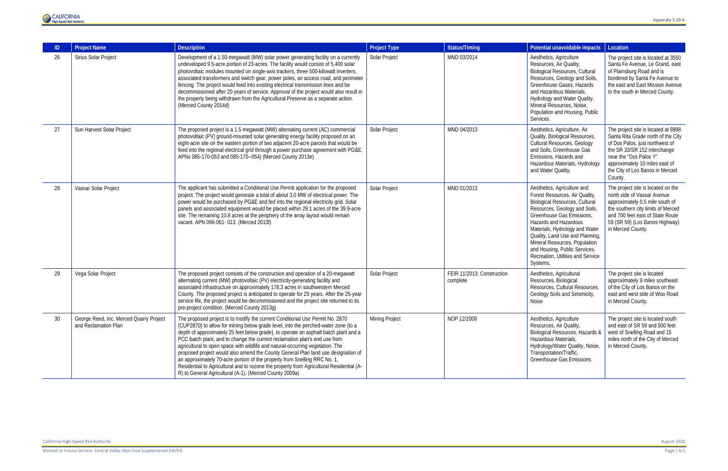| -ID | <b>Project Name</b>                                             | <b>Description</b>                                                                                                                                                                                                                                                                                                                                                                                                                                                                                                                                                                                                                                                                                                                                   | <b>Project Type</b>   | <b>Status/Timing</b>                   | Potential unavoidable impacts                                                                                                                                                                                                                                                                                                                                                         | Location                                                                                                                                                                                                                                               |
|-----|-----------------------------------------------------------------|------------------------------------------------------------------------------------------------------------------------------------------------------------------------------------------------------------------------------------------------------------------------------------------------------------------------------------------------------------------------------------------------------------------------------------------------------------------------------------------------------------------------------------------------------------------------------------------------------------------------------------------------------------------------------------------------------------------------------------------------------|-----------------------|----------------------------------------|---------------------------------------------------------------------------------------------------------------------------------------------------------------------------------------------------------------------------------------------------------------------------------------------------------------------------------------------------------------------------------------|--------------------------------------------------------------------------------------------------------------------------------------------------------------------------------------------------------------------------------------------------------|
| 26  | Sirius Solar Project                                            | Development of a 1.50-megawatt (MW) solar power generating facility on a currently<br>undeveloped 9.5-acre portion of 23-acres. The facility would consist of 5,400 solar<br>photovoltaic modules mounted on single-axis trackers, three 500-kilowatt inverters,<br>associated transformers and switch gear, power poles, an access road, and perimeter<br>fencing. The project would feed into existing electrical transmission lines and be<br>decommissioned after 20 years of service. Approval of the project would also result in<br>the property being withdrawn from the Agricultural Preserve as a separate action.<br>(Merced County 2014d)                                                                                                | Solar Project         | MND 03/2014                            | Aesthetics, Agriculture<br>Resources, Air Quality,<br><b>Biological Resources, Cultural</b><br>Resources, Geology and Soils,<br>Greenhouse Gases, Hazards<br>and Hazardous Materials,<br>Hydrology and Water Quality,<br>Mineral Resources, Noise,<br>Population and Housing, Public<br>Services                                                                                      | The project site is located at 3550<br>Santa Fe Avenue, Le Grand, east<br>of Plainsburg Road and is<br>bordered by Santa Fe Avenue to<br>the east and East Mission Avenue<br>to the south in Merced County.                                            |
| 27  | Sun Harvest Solar Project                                       | The proposed project is a 1.5 megawatt (MW) alternating current (AC) commercial<br>photovoltaic (PV) ground-mounted solar generating energy facility proposed on an<br>eight-acre site on the eastern portion of two adjacent 20-acre parcels that would be<br>feed into the regional electrical grid through a power purchase agreement with PG&E.<br>APNs 085-170-053 and 085-170--054) (Merced County 2013e)                                                                                                                                                                                                                                                                                                                                      | Solar Project         | MND 04/2013                            | Aesthetics, Agriculture, Air<br>Quality, Biological Resources,<br><b>Cultural Resources, Geology</b><br>and Soils, Greenhouse Gas<br>Emissions, Hazards and<br>Hazardous Materials, Hydrology<br>and Water Quality,                                                                                                                                                                   | The project site is located at 8998<br>Santa Rita Grade north of the City<br>of Dos Palos, just northwest of<br>the SR 33/SR 152 interchange<br>near the "Dos Palos Y"<br>approximately 10 miles east of<br>the City of Los Banos in Merced<br>County. |
| 28  | Vassar Solar Project                                            | The applicant has submitted a Conditional Use Permit application for the proposed<br>project. The project would generate a total of about 3.0 MW of electrical power. The<br>power would be purchased by PG&E and fed into the regional electricity grid. Solar<br>panels and associated equipment would be placed within 29.1 acres of the 39.9-acre<br>site. The remaining 10.8 acres at the periphery of the array layout would remain<br>vacant. APN 066-061-013. (Merced 2013f)                                                                                                                                                                                                                                                                 | Solar Project         | MND 01/2013                            | Aesthetics, Agriculture and<br>Forest Resources, Air Quality,<br><b>Biological Resources, Cultural</b><br>Resources, Geology and Soils,<br>Greenhouse Gas Emissions,<br>Hazards and Hazardous<br>Materials, Hydrology and Water<br>Quality, Land Use and Planning,<br>Mineral Resources, Population<br>and Housing, Public Services,<br>Recreation, Utilities and Service<br>Systems, | The project site is located on the<br>north side of Vassar Avenue<br>approximately 0.5 mile south of<br>the southern city limits of Merced<br>and 700 feet east of State Route<br>59 (SR 59) (Los Banos Highway)<br>in Merced County.                  |
| 29  | Vega Solar Project                                              | The proposed project consists of the construction and operation of a 20-megawatt<br>alternating current (MW) photovoltaic (PV) electricity-generating facility and<br>associated infrastructure on approximately 178.3 acres in southwestern Merced<br>County. The proposed project is anticipated to operate for 25 years. After the 25-year<br>service life, the project would be decommissioned and the project site returned to its<br>pre-project condition. (Merced County 2013g)                                                                                                                                                                                                                                                              | Solar Project         | FEIR 11/2013; Construction<br>complete | Aesthetics, Agricultural<br>Resources, Biological<br>Resources, Cultural Resources,<br>Geology Soils and Seismicity,<br>Noise                                                                                                                                                                                                                                                         | The project site is located<br>approximately 9 miles southeast<br>of the City of Los Banos on the<br>east and west side of Woo Road<br>in Merced County.                                                                                               |
| 30  | George Reed, Inc. Merced Quarry Project<br>and Reclamation Plan | The proposed project is to modify the current Conditional Use Permit No. 2870<br>(CUP2870) to allow for mining below grade level, into the perched-water zone (to a<br>depth of approximately 25 feet below grade}, to operate an asphalt batch plant and a<br>PCC batch plant, and to change the current reclamation plan's end use from<br>agricultural to open space with wildlife and natural-occurring vegetation. The<br>proposed project would also amend the County General Plan land use designation of<br>an approximately 70-acre portion of the property from Snelling RRC No. 1,<br>Residential to Agricultural and to rezone the property from Agricultural Residential (A-<br>R) to General Agricultural (A-1). (Merced County 2009a) | <b>Mining Project</b> | NOP 12/2009                            | Aesthetics, Agriculture<br>Resources, Air Quality,<br>Biological Resources, Hazards &<br>Hazardous Materials,<br>Hydrology/Water Quality, Noise,<br>Transportation/Traffic,<br><b>Greenhouse Gas Emissions</b>                                                                                                                                                                        | The project site is located south<br>and east of SR 59 and 500 feet<br>west of Snelling Road and 15<br>miles north of the City of Merced<br>in Merced County.                                                                                          |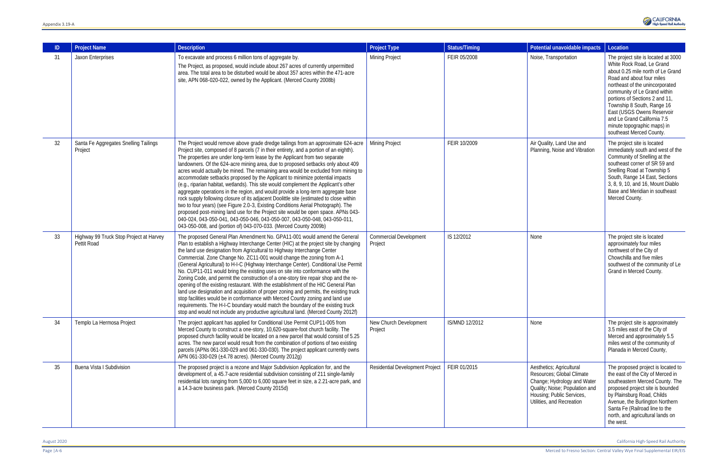| ID | <b>Project Name</b>                                    | <b>Description</b>                                                                                                                                                                                                                                                                                                                                                                                                                                                                                                                                                                                                                                                                                                                                                                                                                                                                                                                                                                                                                                                                                                     | <b>Project Type</b>                      | <b>Status/Timing</b> | Potential unavoidable impacts                                                                                                                                                    | Location                                                                                                                                                                                                                                                                                                                                                                                      |
|----|--------------------------------------------------------|------------------------------------------------------------------------------------------------------------------------------------------------------------------------------------------------------------------------------------------------------------------------------------------------------------------------------------------------------------------------------------------------------------------------------------------------------------------------------------------------------------------------------------------------------------------------------------------------------------------------------------------------------------------------------------------------------------------------------------------------------------------------------------------------------------------------------------------------------------------------------------------------------------------------------------------------------------------------------------------------------------------------------------------------------------------------------------------------------------------------|------------------------------------------|----------------------|----------------------------------------------------------------------------------------------------------------------------------------------------------------------------------|-----------------------------------------------------------------------------------------------------------------------------------------------------------------------------------------------------------------------------------------------------------------------------------------------------------------------------------------------------------------------------------------------|
| 31 | Jaxon Enterprises                                      | To excavate and process 6 million tons of aggregate by.<br>The Project, as proposed, would include about 267 acres of currently unpermitted<br>area. The total area to be disturbed would be about 357 acres within the 471-acre<br>site, APN 068-020-022, owned by the Applicant. (Merced County 2008b)                                                                                                                                                                                                                                                                                                                                                                                                                                                                                                                                                                                                                                                                                                                                                                                                               | <b>Mining Project</b>                    | FEIR 05/2008         | Noise, Transportation                                                                                                                                                            | The project site is located at 3000<br>White Rock Road, Le Grand<br>about 0.25 mile north of Le Grand<br>Road and about four miles<br>northeast of the unincorporated<br>community of Le Grand within<br>portions of Sections 2 and 11,<br>Township 8 South, Range 16<br>East (USGS Owens Reservoir<br>and Le Grand California 7.5<br>minute topographic maps) in<br>southeast Merced County. |
| 32 | Santa Fe Aggregates Snelling Tailings<br>Project       | The Project would remove above grade dredge tailings from an approximate 624-acre<br>Project site, composed of 8 parcels (7 in their entirety, and a portion of an eighth).<br>The properties are under long-term lease by the Applicant from two separate<br>landowners. Of the 624-acre mining area, due to proposed setbacks only about 409<br>acres would actually be mined. The remaining area would be excluded from mining to<br>accommodate setbacks proposed by the Applicant to minimize potential impacts<br>(e.g., riparian habitat, wetlands). This site would complement the Applicant's other<br>aggregate operations in the region, and would provide a long-term aggregate base<br>rock supply following closure of its adjacent Doolittle site (estimated to close within<br>two to four years) (see Figure 2.0-3, Existing Conditions Aerial Photograph). The<br>proposed post-mining land use for the Project site would be open space. APNs 043-<br>040-024, 043-050-041, 043-050-046, 043-050-007, 043-050-048, 043-050-011,<br>043-050-008, and (portion of) 043-070-033. (Merced County 2009b) | <b>Mining Project</b>                    | FEIR 10/2009         | Air Quality, Land Use and<br>Planning, Noise and Vibration                                                                                                                       | The project site is located<br>immediately south and west of the<br>Community of Snelling at the<br>southeast corner of SR 59 and<br>Snelling Road at Township 5<br>South, Range 14 East, Sections<br>3, 8, 9, 10, and 16, Mount Diablo<br>Base and Meridian in southeast<br>Merced County.                                                                                                   |
| 33 | Highway 99 Truck Stop Project at Harvey<br>Pettit Road | The proposed General Plan Amendment No. GPA11-001 would amend the General<br>Plan to establish a Highway Interchange Center (HIC) at the project site by changing<br>the land use designation from Agricultural to Highway Interchange Center<br>Commercial. Zone Change No. ZC11-001 would change the zoning from A-1<br>(General Agricultural) to H-I-C (Highway Interchange Center). Conditional Use Permit<br>No. CUP11-011 would bring the existing uses on site into conformance with the<br>Zoning Code, and permit the construction of a one-story tire repair shop and the re-<br>opening of the existing restaurant. With the establishment of the HIC General Plan<br>land use designation and acquisition of proper zoning and permits, the existing truck<br>stop facilities would be in conformance with Merced County zoning and land use<br>requirements. The H-I-C boundary would match the boundary of the existing truck<br>stop and would not include any productive agricultural land. (Merced County 2012f)                                                                                      | <b>Commercial Development</b><br>Project | IS 12/2012           | None                                                                                                                                                                             | The project site is located<br>approximately four miles<br>northwest of the City of<br>Chowchilla and five miles<br>southwest of the community of Le<br>Grand in Merced County.                                                                                                                                                                                                               |
| 34 | Templo La Hermosa Project                              | The project applicant has applied for Conditional Use Permit CUP11-005 from<br>Merced County to construct a one-story, 10,620-square-foot church facility. The<br>proposed church facility would be located on a new parcel that would consist of 5.25<br>acres. The new parcel would result from the combination of portions of two existing<br>parcels (APNs 061-330-029 and 061-330-030). The project applicant currently owns<br>APN 061-330-029 ( $\pm$ 4.78 acres). (Merced County 2012g)                                                                                                                                                                                                                                                                                                                                                                                                                                                                                                                                                                                                                        | New Church Development<br>Project        | IS/MND 12/2012       | None                                                                                                                                                                             | The project site is approximately<br>3.5 miles east of the City of<br>Merced and approximately 5.5<br>miles west of the community of<br>Planada in Merced County,                                                                                                                                                                                                                             |
| 35 | <b>Buena Vista I Subdivision</b>                       | The proposed project is a rezone and Major Subdivision Application for, and the<br>development of, a 45.7-acre residential subdivision consisting of 211 single-family<br>residential lots ranging from 5,000 to 6,000 square feet in size, a 2.21-acre park, and<br>a 14.3-acre business park. (Merced County 2015d)                                                                                                                                                                                                                                                                                                                                                                                                                                                                                                                                                                                                                                                                                                                                                                                                  | Residential Development Project          | FEIR 01/2015         | Aesthetics; Agricultural<br>Resources; Global Climate<br>Change; Hydrology and Water<br>Quality; Noise; Population and<br>Housing; Public Services,<br>Utilities, and Recreation | The proposed project is located to<br>the east of the City of Merced in<br>southeastern Merced County. The<br>proposed project site is bounded<br>by Plainsburg Road, Childs<br>Avenue, the Burlington Northern<br>Santa Fe (Railroad line to the<br>north, and agricultural lands on<br>the west.                                                                                            |

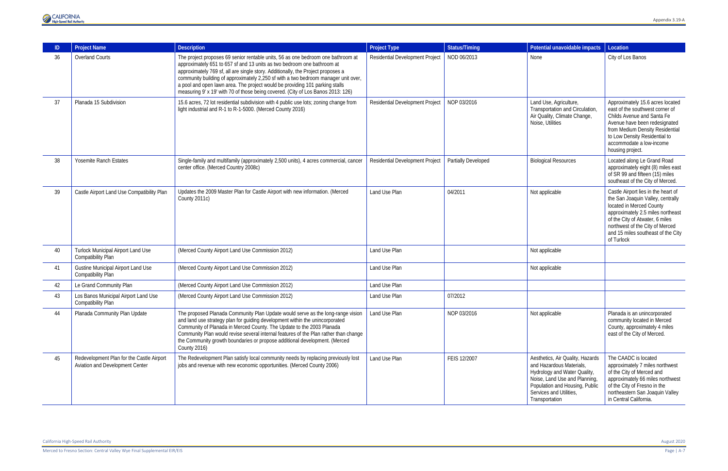Merced to Fresno Section: Central Valley Wye Final Supplemental EIR/EIS Page | A-7



|    | <b>Project Name</b>                                                          | <b>Description</b>                                                                                                                                                                                                                                                                                                                                                                                                                                                                                        | Project Type                    | <b>Status/Timing</b>       | Potential unavoidable impacts                                                                                                                                                                                | Location                                                                                                                                                                                                                                                            |
|----|------------------------------------------------------------------------------|-----------------------------------------------------------------------------------------------------------------------------------------------------------------------------------------------------------------------------------------------------------------------------------------------------------------------------------------------------------------------------------------------------------------------------------------------------------------------------------------------------------|---------------------------------|----------------------------|--------------------------------------------------------------------------------------------------------------------------------------------------------------------------------------------------------------|---------------------------------------------------------------------------------------------------------------------------------------------------------------------------------------------------------------------------------------------------------------------|
| 36 | <b>Overland Courts</b>                                                       | The project proposes 69 senior rentable units, 56 as one bedroom one bathroom at<br>approximately 651 to 657 sf and 13 units as two bedroom one bathroom at<br>approximately 769 sf, all are single story. Additionally, the Project proposes a<br>community building of approximately 2,250 sf with a two bedroom manager unit over,<br>a pool and open lawn area. The project would be providing 101 parking stalls<br>measuring 9' x 19' with 70 of those being covered. (City of Los Banos 2013: 126) | Residential Development Project | NOD 06/2013                | None                                                                                                                                                                                                         | City of Los Banos                                                                                                                                                                                                                                                   |
| 37 | Planada 15 Subdivision                                                       | 15.6 acres, 72 lot residential subdivision with 4 public use lots; zoning change from<br>light industrial and R-1 to R-1-5000. (Merced County 2016)                                                                                                                                                                                                                                                                                                                                                       | Residential Development Project | NOP 03/2016                | Land Use, Agriculture,<br>Transportation and Circulation,<br>Air Quality, Climate Change,<br>Noise, Utilities                                                                                                | Approximately 15.6 acres located<br>east of the southwest corner of<br>Childs Avenue and Santa Fe<br>Avenue have been redesignated<br>from Medium Density Residential<br>to Low Density Residential to<br>accommodate a low-income<br>housing project.              |
| 38 | <b>Yosemite Ranch Estates</b>                                                | Single-family and multifamily (approximately 2,500 units), 4 acres commercial, cancer<br>center office. (Merced Country 2008c)                                                                                                                                                                                                                                                                                                                                                                            | Residential Development Project | <b>Partially Developed</b> | <b>Biological Resources</b>                                                                                                                                                                                  | Located along Le Grand Road<br>approximately eight (8) miles east<br>of SR 99 and fifteen (15) miles<br>southeast of the City of Merced.                                                                                                                            |
| 39 | Castle Airport Land Use Compatibility Plan                                   | Updates the 2009 Master Plan for Castle Airport with new information. (Merced<br>County 2011c)                                                                                                                                                                                                                                                                                                                                                                                                            | Land Use Plan                   | 04/2011                    | Not applicable                                                                                                                                                                                               | Castle Airport lies in the heart of<br>the San Joaquin Valley, centrally<br>located in Merced County<br>approximately 2.5 miles northeast<br>of the City of Atwater, 6 miles<br>northwest of the City of Merced<br>and 15 miles southeast of the City<br>of Turlock |
| 40 | <b>Turlock Municipal Airport Land Use</b><br>Compatibility Plan              | (Merced County Airport Land Use Commission 2012)                                                                                                                                                                                                                                                                                                                                                                                                                                                          | Land Use Plan                   |                            | Not applicable                                                                                                                                                                                               |                                                                                                                                                                                                                                                                     |
| 41 | <b>Gustine Municipal Airport Land Use</b><br><b>Compatibility Plan</b>       | (Merced County Airport Land Use Commission 2012)                                                                                                                                                                                                                                                                                                                                                                                                                                                          | Land Use Plan                   |                            | Not applicable                                                                                                                                                                                               |                                                                                                                                                                                                                                                                     |
| 42 | Le Grand Community Plan                                                      | (Merced County Airport Land Use Commission 2012)                                                                                                                                                                                                                                                                                                                                                                                                                                                          | Land Use Plan                   |                            |                                                                                                                                                                                                              |                                                                                                                                                                                                                                                                     |
| 43 | Los Banos Municipal Airport Land Use<br><b>Compatibility Plan</b>            | (Merced County Airport Land Use Commission 2012)                                                                                                                                                                                                                                                                                                                                                                                                                                                          | Land Use Plan                   | 07/2012                    |                                                                                                                                                                                                              |                                                                                                                                                                                                                                                                     |
| 44 | Planada Community Plan Update                                                | The proposed Planada Community Plan Update would serve as the long-range vision<br>and land use strategy plan for guiding development within the unincorporated<br>Community of Planada in Merced County. The Update to the 2003 Planada<br>Community Plan would revise several internal features of the Plan rather than change<br>the Community growth boundaries or propose additional development. (Merced<br><b>County 2016)</b>                                                                     | Land Use Plan                   | NOP 03/2016                | Not applicable                                                                                                                                                                                               | Planada is an unincorporated<br>community located in Merced<br>County, approximately 4 miles<br>east of the City of Merced.                                                                                                                                         |
| 45 | Redevelopment Plan for the Castle Airport<br>Aviation and Development Center | The Redevelopment Plan satisfy local community needs by replacing previously lost<br>jobs and revenue with new economic opportunities. (Merced County 2006)                                                                                                                                                                                                                                                                                                                                               | Land Use Plan                   | FEIS 12/2007               | Aesthetics, Air Quality, Hazards<br>and Hazardous Materials,<br>Hydrology and Water Quality,<br>Noise, Land Use and Planning,<br>Population and Housing, Public<br>Services and Utilities,<br>Transportation | The CAADC is located<br>approximately 7 miles northwest<br>of the City of Merced and<br>approximately 66 miles northwest<br>of the City of Fresno in the<br>northeastern San Joaquin Valley<br>in Central California.                                               |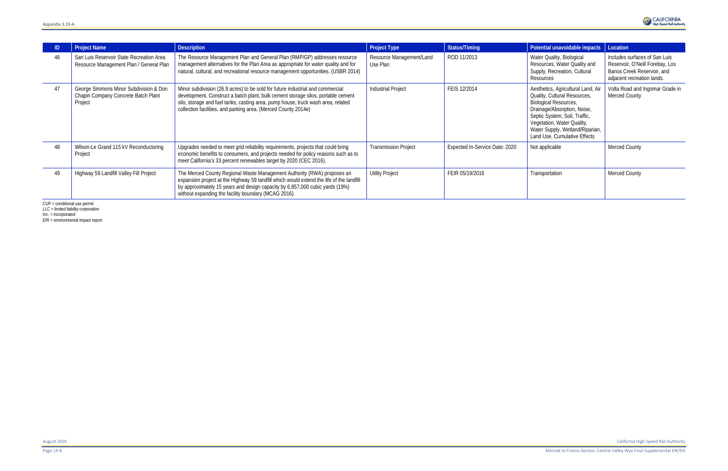|    | <b>Project Name</b>                                                                      | <b>Description</b>                                                                                                                                                                                                                                                                                                       | <b>Project Type</b>                  | <b>Status/Timing</b>           | Potential unavoidable impacts                                                                                                                                                                                                                                       | Location                                                                                                                     |
|----|------------------------------------------------------------------------------------------|--------------------------------------------------------------------------------------------------------------------------------------------------------------------------------------------------------------------------------------------------------------------------------------------------------------------------|--------------------------------------|--------------------------------|---------------------------------------------------------------------------------------------------------------------------------------------------------------------------------------------------------------------------------------------------------------------|------------------------------------------------------------------------------------------------------------------------------|
| 46 | San Luis Reservoir State Recreation Area<br>Resource Management Plan / General Plan      | The Resource Management Plan and General Plan (RMP/GP) addresses resource<br>management alternatives for the Plan Area as appropriate for water quality and for<br>natural, cultural, and recreational resource management opportunities. (USBR 2014)                                                                    | Resource Management/Land<br>Use Plan | ROD 11/2013                    | Water Quality, Biological<br>Resources, Water Quality and<br>Supply, Recreation, Cultural<br>Resources                                                                                                                                                              | Includes surfaces of San Luis<br>Reservoir, O'Neill Forebay, Los<br>Banos Creek Reservoir, and<br>adjacent recreation lands. |
| 47 | George Simmons Minor Subdivision & Don<br>Chapin Company Concrete Batch Plant<br>Project | Minor subdivision (26.9 acres) to be sold for future industrial and commercial<br>development. Construct a batch plant, bulk cement storage silos, portable cement<br>silo, storage and fuel tanks, casting area, pump house, truck wash area, related<br>collection facilities, and parking area. (Merced County 2014e) | <b>Industrial Project</b>            | FEIS 12/2014                   | Aesthetics, Agricultural Land, Air<br>Quality, Cultural Resources,<br><b>Biological Resources,</b><br>Drainage/Absorption, Noise,<br>Septic System, Soil, Traffic,<br>Vegetation, Water Quality,<br>Water Supply, Wetland/Riparian,<br>Land Use, Cumulative Effects | Volta Road and Ingomar Grade in<br>Merced County                                                                             |
| 48 | Wilson-Le Grand 115 kV Reconductoring<br>Project                                         | Upgrades needed to meet grid reliability requirements, projects that could bring<br>economic benefits to consumers, and projects needed for policy reasons such as to<br>meet California's 33 percent renewables target by 2020 (CEC 2016).                                                                              | <b>Transmission Project</b>          | Expected In-Service Date: 2020 | Not applicable                                                                                                                                                                                                                                                      | Merced County                                                                                                                |
| 49 | Highway 59 Landfill Valley Fill Project                                                  | The Merced County Regional Waste Management Authority (RWA) proposes an<br>expansion project at the Highway 59 landfill which would extend the life of the landfill<br>by approximately 15 years and design capacity by 6,857,000 cubic yards (19%)<br>without expanding the facility boundary (MCAG 2016).              | <b>Utility Project</b>               | FEIR 05/19/2016                | Transportation                                                                                                                                                                                                                                                      | <b>Merced County</b>                                                                                                         |

CUP = conditional use permit

LLC = limited liability corporation

Inc. = incorporated

EIR = environmental impact report

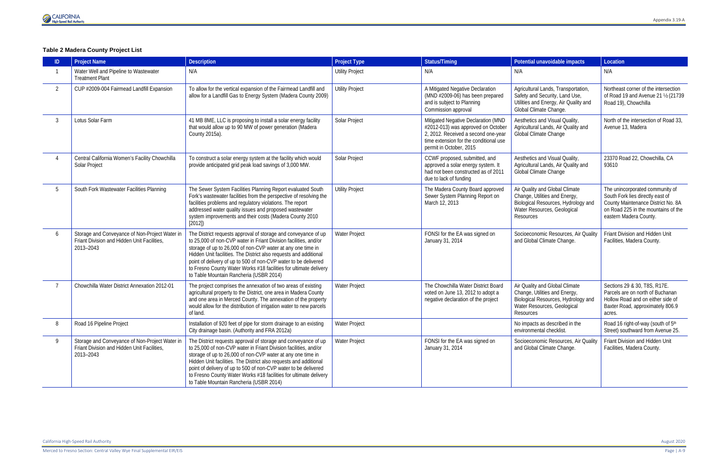

## **Table 2 Madera County Project List**

| ID             | <b>Project Name</b>                                                                                        | <b>Description</b>                                                                                                                                                                                                                                                                                                                                                                                                                                        | <b>Project Type</b>    | <b>Status/Timing</b>                                                                                                                                                                  | Potential unavoidable impacts                                                                                                                      | Location                                                                                                                                                                   |
|----------------|------------------------------------------------------------------------------------------------------------|-----------------------------------------------------------------------------------------------------------------------------------------------------------------------------------------------------------------------------------------------------------------------------------------------------------------------------------------------------------------------------------------------------------------------------------------------------------|------------------------|---------------------------------------------------------------------------------------------------------------------------------------------------------------------------------------|----------------------------------------------------------------------------------------------------------------------------------------------------|----------------------------------------------------------------------------------------------------------------------------------------------------------------------------|
|                | Water Well and Pipeline to Wastewater<br><b>Treatment Plant</b>                                            | N/A                                                                                                                                                                                                                                                                                                                                                                                                                                                       | <b>Utility Project</b> | N/A                                                                                                                                                                                   | N/A                                                                                                                                                | N/A                                                                                                                                                                        |
| $\overline{2}$ | CUP #2009-004 Fairmead Landfill Expansion                                                                  | To allow for the vertical expansion of the Fairmead Landfill and<br>allow for a Landfill Gas to Energy System (Madera County 2009)                                                                                                                                                                                                                                                                                                                        | <b>Utility Project</b> | A Mitigated Negative Declaration<br>(MND #2009-06) has been prepared<br>and is subject to Planning<br>Commission approval                                                             | Agricultural Lands, Transportation,<br>Safety and Security, Land Use,<br>Utilities and Energy, Air Quality and<br>Global Climate Change.           | Northeast corner of the intersection<br>of Road 19 and Avenue 21 1/2 (21739<br>Road 19), Chowchilla                                                                        |
| 3              | Lotus Solar Farm                                                                                           | 41 MB 8ME, LLC is proposing to install a solar energy facility<br>that would allow up to 90 MW of power generation (Madera<br>County 2015a).                                                                                                                                                                                                                                                                                                              | Solar Project          | Mitigated Negative Declaration (MND<br>#2012-013) was approved on October<br>2, 2012. Received a second one-year<br>time extension for the conditional use<br>permit in October, 2015 | Aesthetics and Visual Quality,<br>Agricultural Lands, Air Quality and<br>Global Climate Change                                                     | North of the intersection of Road 33,<br>Avenue 13, Madera                                                                                                                 |
|                | Central California Women's Facility Chowchilla<br>Solar Project                                            | To construct a solar energy system at the facility which would<br>provide anticipated grid peak load savings of 3,000 MW.                                                                                                                                                                                                                                                                                                                                 | Solar Project          | CCWF proposed, submitted, and<br>approved a solar energy system. It<br>had not been constructed as of 2011<br>due to lack of funding                                                  | Aesthetics and Visual Quality,<br>Agricultural Lands, Air Quality and<br>Global Climate Change                                                     | 23370 Road 22, Chowchilla, CA<br>93610                                                                                                                                     |
|                | South Fork Wastewater Facilities Planning                                                                  | The Sewer System Facilities Planning Report evaluated South<br>Fork's wastewater facilities from the perspective of resolving the<br>facilities problems and regulatory violations. The report<br>addressed water quality issues and proposed wastewater<br>system improvements and their costs (Madera County 2010<br>[2012]                                                                                                                             | <b>Utility Project</b> | The Madera County Board approved<br>Sewer System Planning Report on<br>March 12, 2013                                                                                                 | Air Quality and Global Climate<br>Change, Utilities and Energy,<br>Biological Resources, Hydrology and<br>Water Resources, Geological<br>Resources | The unincorporated community of<br>South Fork lies directly east of<br>County Maintenance District No. 8A<br>on Road 225 in the mountains of the<br>eastern Madera County. |
| 6              | Storage and Conveyance of Non-Project Water in<br>Friant Division and Hidden Unit Facilities,<br>2013-2043 | The District requests approval of storage and conveyance of up<br>to 25,000 of non-CVP water in Friant Division facilities, and/or<br>storage of up to 26,000 of non-CVP water at any one time in<br>Hidden Unit facilities. The District also requests and additional<br>point of delivery of up to 500 of non-CVP water to be delivered<br>to Fresno County Water Works #18 facilities for ultimate delivery<br>to Table Mountain Rancheria (USBR 2014) | Water Project          | FONSI for the EA was signed on<br>January 31, 2014                                                                                                                                    | Socioeconomic Resources, Air Quality<br>and Global Climate Change.                                                                                 | Friant Division and Hidden Unit<br>Facilities, Madera County.                                                                                                              |
|                | Chowchilla Water District Annexation 2012-01                                                               | The project comprises the annexation of two areas of existing<br>agricultural property to the District, one area in Madera County<br>and one area in Merced County. The annexation of the property<br>would allow for the distribution of irrigation water to new parcels<br>of land.                                                                                                                                                                     | Water Project          | The Chowchilla Water District Board<br>voted on June 13, 2012 to adopt a<br>negative declaration of the project                                                                       | Air Quality and Global Climate<br>Change, Utilities and Energy,<br>Biological Resources, Hydrology and<br>Water Resources, Geological<br>Resources | Sections 29 & 30, T8S, R17E.<br>Parcels are on north of Buchanan<br>Hollow Road and on either side of<br>Baxter Road, approximately 806.9<br>acres.                        |
|                | Road 16 Pipeline Project                                                                                   | Installation of 920 feet of pipe for storm drainage to an existing<br>City drainage basin. (Authority and FRA 2012a)                                                                                                                                                                                                                                                                                                                                      | Water Project          |                                                                                                                                                                                       | No impacts as described in the<br>environmental checklist.                                                                                         | Road 16 right-of-way (south of 5th<br>Street) southward from Avenue 25.                                                                                                    |
| 9              | Storage and Conveyance of Non-Project Water in<br>Friant Division and Hidden Unit Facilities,<br>2013-2043 | The District requests approval of storage and conveyance of up<br>to 25,000 of non-CVP water in Friant Division facilities, and/or<br>storage of up to 26,000 of non-CVP water at any one time in<br>Hidden Unit facilities. The District also requests and additional<br>point of delivery of up to 500 of non-CVP water to be delivered<br>to Fresno County Water Works #18 facilities for ultimate delivery<br>to Table Mountain Rancheria (USBR 2014) | Water Project          | FONSI for the EA was signed on<br>January 31, 2014                                                                                                                                    | Socioeconomic Resources, Air Quality<br>and Global Climate Change.                                                                                 | Friant Division and Hidden Unit<br>Facilities, Madera County.                                                                                                              |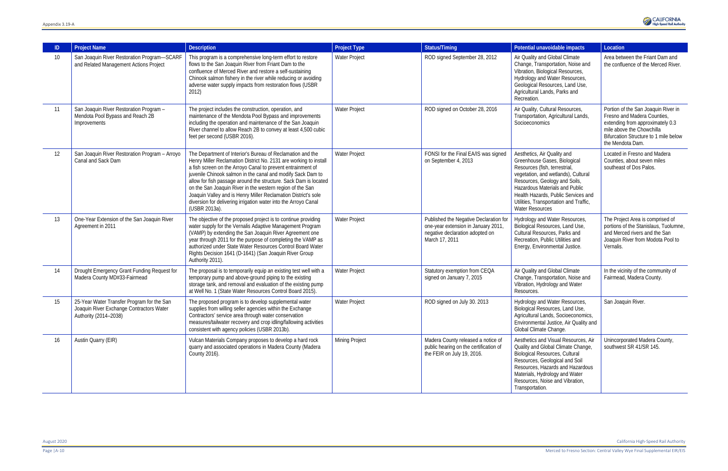| ID | <b>Project Name</b>                                                                                             | <b>Description</b>                                                                                                                                                                                                                                                                                                                                                                                                                                                                                                                                   | <b>Project Type</b> | <b>Status/Timing</b>                                                                                                               | Potential unavoidable impacts                                                                                                                                                                                                                                                                                     | Location                                                                                                                                                                                         |
|----|-----------------------------------------------------------------------------------------------------------------|------------------------------------------------------------------------------------------------------------------------------------------------------------------------------------------------------------------------------------------------------------------------------------------------------------------------------------------------------------------------------------------------------------------------------------------------------------------------------------------------------------------------------------------------------|---------------------|------------------------------------------------------------------------------------------------------------------------------------|-------------------------------------------------------------------------------------------------------------------------------------------------------------------------------------------------------------------------------------------------------------------------------------------------------------------|--------------------------------------------------------------------------------------------------------------------------------------------------------------------------------------------------|
| 10 | San Joaquin River Restoration Program-SCARF<br>and Related Management Actions Project                           | This program is a comprehensive long-term effort to restore<br>flows to the San Joaquin River from Friant Dam to the<br>confluence of Merced River and restore a self-sustaining<br>Chinook salmon fishery in the river while reducing or avoiding<br>adverse water supply impacts from restoration flows (USBR<br>2012)                                                                                                                                                                                                                             | Water Project       | ROD signed September 28, 2012                                                                                                      | Air Quality and Global Climate<br>Change, Transportation, Noise and<br>Vibration, Biological Resources,<br>Hydrology and Water Resources,<br>Geological Resources, Land Use,<br>Agricultural Lands, Parks and<br>Recreation.                                                                                      | Area between the Friant Dam and<br>the confluence of the Merced River.                                                                                                                           |
| 11 | San Joaquin River Restoration Program -<br>Mendota Pool Bypass and Reach 2B<br>Improvements                     | The project includes the construction, operation, and<br>maintenance of the Mendota Pool Bypass and improvements<br>including the operation and maintenance of the San Joaquin<br>River channel to allow Reach 2B to convey at least 4,500 cubic<br>feet per second (USBR 2016).                                                                                                                                                                                                                                                                     | Water Project       | ROD signed on October 28, 2016                                                                                                     | Air Quality, Cultural Resources,<br>Transportation, Agricultural Lands,<br>Socioeconomics                                                                                                                                                                                                                         | Portion of the San Joaquin River in<br>Fresno and Madera Counties,<br>extending from approximately 0.3<br>mile above the Chowchilla<br>Bifurcation Structure to 1 mile below<br>the Mendota Dam. |
| 12 | San Joaquin River Restoration Program - Arroyo<br>Canal and Sack Dam                                            | The Department of Interior's Bureau of Reclamation and the<br>Henry Miller Reclamation District No. 2131 are working to install<br>a fish screen on the Arroyo Canal to prevent entrainment of<br>juvenile Chinook salmon in the canal and modify Sack Dam to<br>allow for fish passage around the structure. Sack Dam is located<br>on the San Joaquin River in the western region of the San<br>Joaquin Valley and is Henry Miller Reclamation District's sole<br>diversion for delivering irrigation water into the Arroyo Canal<br>(USBR 2013a). | Water Project       | FONSI for the Final EA/IS was signed<br>on September 4, 2013                                                                       | Aesthetics, Air Quality and<br>Greenhouse Gases, Biological<br>Resources (fish, terrestrial,<br>vegetation, and wetlands), Cultural<br>Resources, Geology and Soils,<br>Hazardous Materials and Public<br>Health Hazards, Public Services and<br>Utilities, Transportation and Traffic,<br><b>Water Resources</b> | Located in Fresno and Madera<br>Counties, about seven miles<br>southeast of Dos Palos.                                                                                                           |
| 13 | One-Year Extension of the San Joaquin River<br>Agreement in 2011                                                | The objective of the proposed project is to continue providing<br>water supply for the Vernalis Adaptive Management Program<br>(VAMP) by extending the San Joaquin River Agreement one<br>year through 2011 for the purpose of completing the VAMP as<br>authorized under State Water Resources Control Board Water<br>Rights Decision 1641 (D-1641) (San Joaquin River Group<br>Authority 2011).                                                                                                                                                    | Water Project       | Published the Negative Declaration for<br>one-year extension in January 2011,<br>negative declaration adopted on<br>March 17, 2011 | Hydrology and Water Resources,<br>Biological Resources, Land Use,<br>Cultural Resources, Parks and<br>Recreation, Public Utilities and<br>Energy, Environmental Justice.                                                                                                                                          | The Project Area is comprised of<br>portions of the Stanislaus, Tuolumne,<br>and Merced rivers and the San<br>Joaquin River from Modota Pool to<br>Vernalis.                                     |
| 14 | Drought Emergency Grant Funding Request for<br>Madera County MD#33-Fairmead                                     | The proposal is to temporarily equip an existing test well with a<br>temporary pump and above-ground piping to the existing<br>storage tank, and removal and evaluation of the existing pump<br>at Well No. 1 (State Water Resources Control Board 2015).                                                                                                                                                                                                                                                                                            | Water Project       | Statutory exemption from CEQA<br>signed on January 7, 2015                                                                         | Air Quality and Global Climate<br>Change, Transportation, Noise and<br>Vibration, Hydrology and Water<br>Resources.                                                                                                                                                                                               | In the vicinity of the community of<br>Fairmead, Madera County.                                                                                                                                  |
| 15 | 25-Year Water Transfer Program for the San<br>Joaquin River Exchange Contractors Water<br>Authority (2014-2038) | The proposed program is to develop supplemental water<br>supplies from willing seller agencies within the Exchange<br>Contractors' service area through water conservation<br>measures/tailwater recovery and crop idling/fallowing activities<br>consistent with agency policies (USBR 2013b).                                                                                                                                                                                                                                                      | Water Project       | ROD signed on July 30. 2013                                                                                                        | Hydrology and Water Resources,<br>Biological Resources, Land Use,<br>Agricultural Lands, Socioeconomics,<br>Environmental Justice, Air Quality and<br>Global Climate Change.                                                                                                                                      | San Joaquin River                                                                                                                                                                                |
| 16 | Austin Quarry (EIR)                                                                                             | Vulcan Materials Company proposes to develop a hard rock<br>quarry and associated operations in Madera County (Madera<br>County 2016).                                                                                                                                                                                                                                                                                                                                                                                                               | Mining Project      | Madera County released a notice of<br>public hearing on the certification of<br>the FEIR on July 19, 2016.                         | Aesthetics and Visual Resources, Air<br>Quality and Global Climate Change,<br><b>Biological Resources, Cultural</b><br>Resources, Geological and Soil<br>Resources, Hazards and Hazardous<br>Materials, Hydrology and Water<br>Resources, Noise and Vibration,<br>Transportation.                                 | Unincorporated Madera County,<br>southwest SR 41/SR 145.                                                                                                                                         |

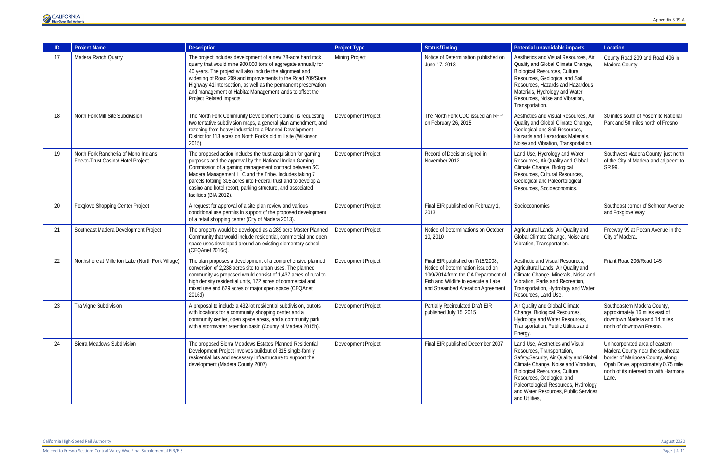Merced to Fresno Section: Central Valley Wye Final Supplemental EIR/EIS Page | A-11



|    | <b>Project Name</b>                                                        | <b>Description</b>                                                                                                                                                                                                                                                                                                                                                                                                 | <b>Project Type</b>   | <b>Status/Timing</b>                                                                                                                                                                       | Potential unavoidable impacts                                                                                                                                                                                                                                                                                            | Location                                                                                                                                                                                         |
|----|----------------------------------------------------------------------------|--------------------------------------------------------------------------------------------------------------------------------------------------------------------------------------------------------------------------------------------------------------------------------------------------------------------------------------------------------------------------------------------------------------------|-----------------------|--------------------------------------------------------------------------------------------------------------------------------------------------------------------------------------------|--------------------------------------------------------------------------------------------------------------------------------------------------------------------------------------------------------------------------------------------------------------------------------------------------------------------------|--------------------------------------------------------------------------------------------------------------------------------------------------------------------------------------------------|
| 17 | Madera Ranch Quarry                                                        | The project includes development of a new 78-acre hard rock<br>quarry that would mine 900,000 tons of aggregate annually for<br>40 years. The project will also include the alignment and<br>widening of Road 209 and improvements to the Road 209/State<br>Highway 41 intersection, as well as the permanent preservation<br>and management of Habitat Management lands to offset the<br>Project Related impacts. | <b>Mining Project</b> | Notice of Determination published on<br>June 17, 2013                                                                                                                                      | Aesthetics and Visual Resources, Air<br>Quality and Global Climate Change,<br><b>Biological Resources, Cultural</b><br>Resources, Geological and Soil<br>Resources, Hazards and Hazardous<br>Materials, Hydrology and Water<br>Resources, Noise and Vibration,<br>Transportation.                                        | County Road 209 and Road 406 in<br>Madera County                                                                                                                                                 |
| 18 | North Fork Mill Site Subdivision                                           | The North Fork Community Development Council is requesting<br>two tentative subdivision maps, a general plan amendment, and<br>rezoning from heavy industrial to a Planned Development<br>District for 113 acres on North Fork's old mill site (Wilkinson<br>$2015$ ).                                                                                                                                             | Development Project   | The North Fork CDC issued an RFP<br>on February 26, 2015                                                                                                                                   | Aesthetics and Visual Resources, Air<br>Quality and Global Climate Change,<br>Geological and Soil Resources,<br>Hazards and Hazardous Materials,<br>Noise and Vibration, Transportation.                                                                                                                                 | 30 miles south of Yosemite National<br>Park and 50 miles north of Fresno.                                                                                                                        |
| 19 | North Fork Rancheria of Mono Indians<br>Fee-to-Trust Casino/ Hotel Project | The proposed action includes the trust acquisition for gaming<br>purposes and the approval by the National Indian Gaming<br>Commission of a gaming management contract between SC<br>Madera Management LLC and the Tribe. Includes taking 7<br>parcels totaling 305 acres into Federal trust and to develop a<br>casino and hotel resort, parking structure, and associated<br>facilities (BIA 2012).              | Development Project   | Record of Decision signed in<br>November 2012                                                                                                                                              | Land Use, Hydrology and Water<br>Resources, Air Quality and Global<br>Climate Change, Biological<br>Resources, Cultural Resources,<br>Geological and Paleontological<br>Resources, Socioeconomics.                                                                                                                       | Southwest Madera County, just north<br>of the City of Madera and adjacent to<br>SR 99.                                                                                                           |
| 20 | <b>Foxglove Shopping Center Project</b>                                    | A request for approval of a site plan review and various<br>conditional use permits in support of the proposed development<br>of a retail shopping center (City of Madera 2013).                                                                                                                                                                                                                                   | Development Project   | Final EIR published on February 1,<br>2013                                                                                                                                                 | Socioeconomics                                                                                                                                                                                                                                                                                                           | Southeast corner of Schnoor Avenue<br>and Foxglove Way.                                                                                                                                          |
| 21 | Southeast Madera Development Project                                       | The property would be developed as a 289 acre Master Planned<br>Community that would include residential, commercial and open<br>space uses developed around an existing elementary school<br>(CEQAnet 2016c).                                                                                                                                                                                                     | Development Project   | Notice of Determinations on October<br>10, 2010                                                                                                                                            | Agricultural Lands, Air Quality and<br>Global Climate Change, Noise and<br>Vibration, Transportation.                                                                                                                                                                                                                    | Freeway 99 at Pecan Avenue in the<br>City of Madera.                                                                                                                                             |
| 22 | Northshore at Millerton Lake (North Fork Village)                          | The plan proposes a development of a comprehensive planned<br>conversion of 2,238 acres site to urban uses. The planned<br>community as proposed would consist of 1,437 acres of rural to<br>high density residential units, 172 acres of commercial and<br>mixed use and 629 acres of major open space (CEQAnet<br>2016d)                                                                                         | Development Project   | Final EIR published on 7/15/2008,<br>Notice of Determination issued on<br>10/9/2014 from the CA Department of<br>Fish and Wildlife to execute a Lake<br>and Streambed Alteration Agreement | Aesthetic and Visual Resources,<br>Agricultural Lands, Air Quality and<br>Climate Change, Minerals, Noise and<br>Vibration, Parks and Recreation,<br>Transportation, Hydrology and Water<br>Resources, Land Use.                                                                                                         | Friant Road 206/Road 145                                                                                                                                                                         |
| 23 | Tra Vigne Subdivision                                                      | A proposal to include a 432-lot residential subdivision, outlots<br>with locations for a community shopping center and a<br>community center, open space areas, and a community park<br>with a stormwater retention basin (County of Madera 2015b).                                                                                                                                                                | Development Project   | <b>Partially Recirculated Draft EIR</b><br>published July 15, 2015                                                                                                                         | Air Quality and Global Climate<br>Change, Biological Resources,<br>Hydrology and Water Resources,<br>Transportation, Public Utilities and<br>Energy.                                                                                                                                                                     | Southeastern Madera County,<br>approximately 16 miles east of<br>downtown Madera and 14 miles<br>north of downtown Fresno.                                                                       |
| 24 | Sierra Meadows Subdivision                                                 | The proposed Sierra Meadows Estates Planned Residential<br>Development Project involves buildout of 315 single-family<br>residential lots and necessary infrastructure to support the<br>development (Madera County 2007)                                                                                                                                                                                          | Development Project   | Final EIR published December 2007                                                                                                                                                          | Land Use, Aesthetics and Visual<br>Resources, Transportation,<br>Safety/Security, Air Quality and Global<br>Climate Change, Noise and Vibration,<br><b>Biological Resources, Cultural</b><br>Resources, Geological and<br>Paleontological Resources, Hydrology<br>and Water Resources, Public Services<br>and Utilities, | Unincorporated area of eastern<br>Madera County near the southeast<br>border of Mariposa County, along<br>Opah Drive, approximately 0.75 mile<br>north of its intersection with Harmony<br>Lane. |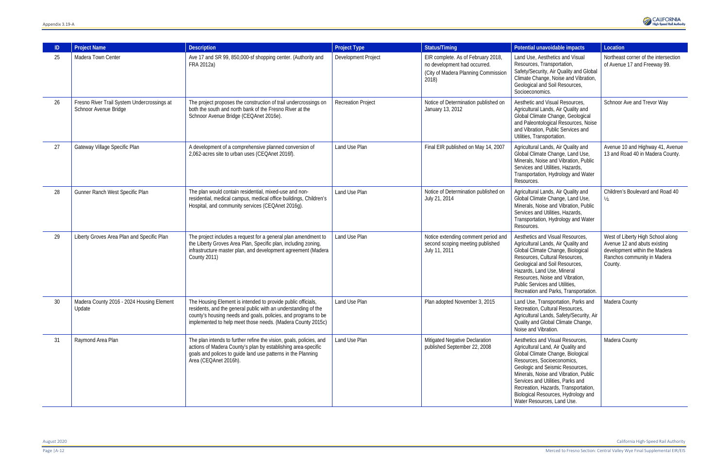| ID | <b>Project Name</b>                                                  | <b>Description</b>                                                                                                                                                                                                                                              | <b>Project Type</b>       | Status/Timing                                                                                                      | Potential unavoidable impacts                                                                                                                                                                                                                                                                                                                                           | Location                                                                                                                                     |
|----|----------------------------------------------------------------------|-----------------------------------------------------------------------------------------------------------------------------------------------------------------------------------------------------------------------------------------------------------------|---------------------------|--------------------------------------------------------------------------------------------------------------------|-------------------------------------------------------------------------------------------------------------------------------------------------------------------------------------------------------------------------------------------------------------------------------------------------------------------------------------------------------------------------|----------------------------------------------------------------------------------------------------------------------------------------------|
| 25 | Madera Town Center                                                   | Ave 17 and SR 99, 850,000-sf shopping center. (Authority and<br>FRA 2012a)                                                                                                                                                                                      | Development Project       | EIR complete. As of February 2018,<br>no development had occurred.<br>(City of Madera Planning Commission<br>2018) | Land Use, Aesthetics and Visual<br>Resources, Transportation,<br>Safety/Security, Air Quality and Global<br>Climate Change, Noise and Vibration,<br>Geological and Soil Resources,<br>Socioeconomics.                                                                                                                                                                   | Northeast corner of the intersection<br>of Avenue 17 and Freeway 99.                                                                         |
| 26 | Fresno River Trail System Undercrossings at<br>Schnoor Avenue Bridge | The project proposes the construction of trail undercrossings on<br>both the south and north bank of the Fresno River at the<br>Schnoor Avenue Bridge (CEQAnet 2016e).                                                                                          | <b>Recreation Project</b> | Notice of Determination published on<br>January 13, 2012                                                           | Aesthetic and Visual Resources.<br>Agricultural Lands, Air Quality and<br>Global Climate Change, Geological<br>and Paleontological Resources, Noise<br>and Vibration, Public Services and<br>Utilities, Transportation.                                                                                                                                                 | Schnoor Ave and Trevor Way                                                                                                                   |
| 27 | Gateway Village Specific Plan                                        | A development of a comprehensive planned conversion of<br>2,062-acres site to urban uses (CEQAnet 2016f).                                                                                                                                                       | Land Use Plan             | Final EIR published on May 14, 2007                                                                                | Agricultural Lands, Air Quality and<br>Global Climate Change, Land Use,<br>Minerals, Noise and Vibration, Public<br>Services and Utilities, Hazards,<br>Transportation, Hydrology and Water<br>Resources.                                                                                                                                                               | Avenue 10 and Highway 41, Avenue<br>13 and Road 40 in Madera County.                                                                         |
| 28 | Gunner Ranch West Specific Plan                                      | The plan would contain residential, mixed-use and non-<br>residential, medical campus, medical office buildings, Children's<br>Hospital, and community services (CEQAnet 2016q).                                                                                | Land Use Plan             | Notice of Determination published on<br>July 21, 2014                                                              | Agricultural Lands, Air Quality and<br>Global Climate Change, Land Use,<br>Minerals, Noise and Vibration, Public<br>Services and Utilities, Hazards,<br>Transportation, Hydrology and Water<br>Resources.                                                                                                                                                               | Children's Boulevard and Road 40<br>$\frac{1}{2}$ .                                                                                          |
| 29 | Liberty Groves Area Plan and Specific Plan                           | The project includes a request for a general plan amendment to<br>the Liberty Groves Area Plan, Specific plan, including zoning,<br>infrastructure master plan, and development agreement (Madera<br><b>County 2011)</b>                                        | Land Use Plan             | Notice extending comment period and<br>second scoping meeting published<br>July 11, 2011                           | Aesthetics and Visual Resources,<br>Agricultural Lands, Air Quality and<br>Global Climate Change, Biological<br>Resources, Cultural Resources,<br>Geological and Soil Resources,<br>Hazards, Land Use, Mineral<br>Resources, Noise and Vibration,<br>Public Services and Utilities,<br>Recreation and Parks, Transportation.                                            | West of Liberty High School along<br>Avenue 12 and abuts existing<br>development within the Madera<br>Ranchos community in Madera<br>County. |
| 30 | Madera County 2016 - 2024 Housing Element<br>Update                  | The Housing Element is intended to provide public officials,<br>residents, and the general public with an understanding of the<br>county's housing needs and goals, policies, and programs to be<br>implemented to help meet those needs. (Madera County 2015c) | Land Use Plan             | Plan adopted November 3, 2015                                                                                      | Land Use, Transportation, Parks and<br>Recreation, Cultural Resources,<br>Agricultural Lands, Safety/Security, Air<br>Quality and Global Climate Change,<br>Noise and Vibration.                                                                                                                                                                                        | Madera County                                                                                                                                |
| 31 | Raymond Area Plan                                                    | The plan intends to further refine the vision, goals, policies, and<br>actions of Madera County's plan by establishing area-specific<br>goals and polices to guide land use patterns in the Planning<br>Area (CEQAnet 2016h).                                   | Land Use Plan             | Mitigated Negative Declaration<br>published September 22, 2008                                                     | Aesthetics and Visual Resources,<br>Agricultural Land, Air Quality and<br>Global Climate Change, Biological<br>Resources, Socioeconomics,<br>Geologic and Seismic Resources,<br>Minerals, Noise and Vibration, Public<br>Services and Utilities, Parks and<br>Recreation, Hazards, Transportation,<br>Biological Resources, Hydrology and<br>Water Resources, Land Use. | Madera County                                                                                                                                |

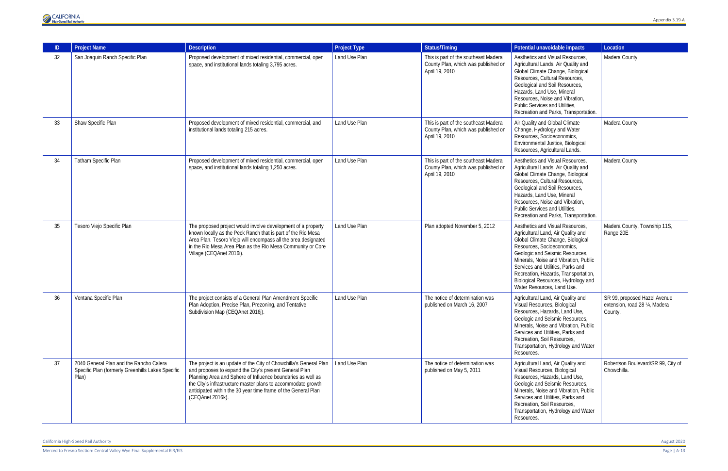Merced to Fresno Section: Central Valley Wye Final Supplemental EIR/EIS Page | A-13



|    | <b>Project Name</b>                                                                                   | <b>Description</b>                                                                                                                                                                                                                                                                                                                              | <b>Project Type</b> | <b>Status/Timing</b>                                                                          | Potential unavoidable impacts                                                                                                                                                                                                                                                                                                                                           | Location                                                                  |
|----|-------------------------------------------------------------------------------------------------------|-------------------------------------------------------------------------------------------------------------------------------------------------------------------------------------------------------------------------------------------------------------------------------------------------------------------------------------------------|---------------------|-----------------------------------------------------------------------------------------------|-------------------------------------------------------------------------------------------------------------------------------------------------------------------------------------------------------------------------------------------------------------------------------------------------------------------------------------------------------------------------|---------------------------------------------------------------------------|
| 32 | San Joaquin Ranch Specific Plan                                                                       | Proposed development of mixed residential, commercial, open<br>space, and institutional lands totaling 3,795 acres.                                                                                                                                                                                                                             | Land Use Plan       | This is part of the southeast Madera<br>County Plan, which was published on<br>April 19, 2010 | Aesthetics and Visual Resources,<br>Agricultural Lands, Air Quality and<br>Global Climate Change, Biological<br>Resources, Cultural Resources,<br>Geological and Soil Resources,<br>Hazards, Land Use, Mineral<br>Resources, Noise and Vibration,<br>Public Services and Utilities.<br>Recreation and Parks, Transportation.                                            | Madera County                                                             |
| 33 | Shaw Specific Plan                                                                                    | Proposed development of mixed residential, commercial, and<br>institutional lands totaling 215 acres.                                                                                                                                                                                                                                           | Land Use Plan       | This is part of the southeast Madera<br>County Plan, which was published on<br>April 19, 2010 | Air Quality and Global Climate<br>Change, Hydrology and Water<br>Resources, Socioeconomics,<br>Environmental Justice, Biological<br>Resources, Agricultural Lands.                                                                                                                                                                                                      | Madera County                                                             |
| 34 | Tatham Specific Plan                                                                                  | Proposed development of mixed residential, commercial, open<br>space, and institutional lands totaling 1,250 acres.                                                                                                                                                                                                                             | Land Use Plan       | This is part of the southeast Madera<br>County Plan, which was published on<br>April 19, 2010 | Aesthetics and Visual Resources,<br>Agricultural Lands, Air Quality and<br>Global Climate Change, Biological<br>Resources, Cultural Resources,<br>Geological and Soil Resources,<br>Hazards, Land Use, Mineral<br>Resources, Noise and Vibration,<br>Public Services and Utilities,<br>Recreation and Parks, Transportation.                                            | Madera County                                                             |
| 35 | Tesoro Viejo Specific Plan                                                                            | The proposed project would involve development of a property<br>known locally as the Peck Ranch that is part of the Rio Mesa<br>Area Plan. Tesoro Viejo will encompass all the area designated<br>in the Rio Mesa Area Plan as the Rio Mesa Community or Core<br>Village (CEQAnet 2016i).                                                       | Land Use Plan       | Plan adopted November 5, 2012                                                                 | Aesthetics and Visual Resources,<br>Agricultural Land, Air Quality and<br>Global Climate Change, Biological<br>Resources, Socioeconomics,<br>Geologic and Seismic Resources,<br>Minerals, Noise and Vibration, Public<br>Services and Utilities, Parks and<br>Recreation, Hazards, Transportation,<br>Biological Resources, Hydrology and<br>Water Resources, Land Use. | Madera County, Township 11S,<br>Range 20E                                 |
| 36 | Ventana Specific Plan                                                                                 | The project consists of a General Plan Amendment Specific<br>Plan Adoption, Precise Plan, Prezoning, and Tentative<br>Subdivision Map (CEQAnet 2016j).                                                                                                                                                                                          | Land Use Plan       | The notice of determination was<br>published on March 16, 2007                                | Agricultural Land, Air Quality and<br>Visual Resources, Biological<br>Resources, Hazards, Land Use,<br>Geologic and Seismic Resources,<br>Minerals, Noise and Vibration, Public<br>Services and Utilities, Parks and<br>Recreation, Soil Resources,<br>Transportation, Hydrology and Water<br>Resources.                                                                | SR 99, proposed Hazel Avenue<br>extension, road 28 1/4, Madera<br>County. |
| 37 | 2040 General Plan and the Rancho Calera<br>Specific Plan (formerly Greenhills Lakes Specific<br>Plan) | The project is an update of the City of Chowchilla's General Plan<br>and proposes to expand the City's present General Plan<br>Planning Area and Sphere of Influence boundaries as well as<br>the City's infrastructure master plans to accommodate growth<br>anticipated within the 30 year time frame of the General Plan<br>(CEQAnet 2016k). | Land Use Plan       | The notice of determination was<br>published on May 5, 2011                                   | Agricultural Land, Air Quality and<br>Visual Resources, Biological<br>Resources, Hazards, Land Use,<br>Geologic and Seismic Resources,<br>Minerals, Noise and Vibration, Public<br>Services and Utilities, Parks and<br>Recreation, Soil Resources,<br>Transportation, Hydrology and Water<br>Resources.                                                                | Robertson Boulevard/SR 99, City of<br>Chowchilla.                         |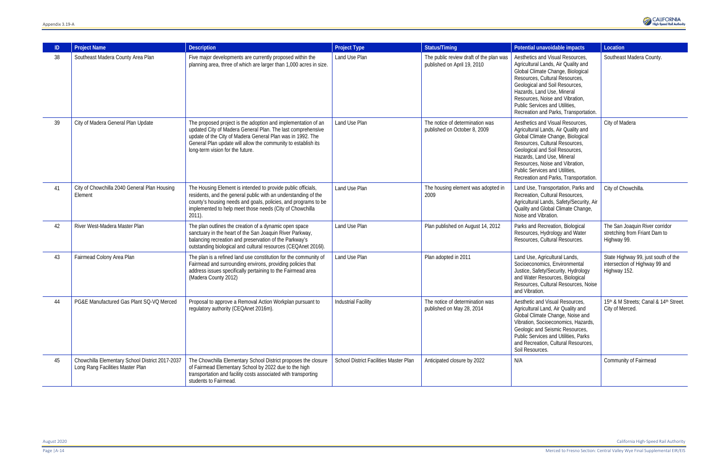| $\mathbb{D}$ | <b>Project Name</b>                                                                 | <b>Description</b>                                                                                                                                                                                                                                                                              | <b>Project Type</b>                    | <b>Status/Timing</b>                                                   | Potential unavoidable impacts                                                                                                                                                                                                                                                                                                | Location                                                                              |
|--------------|-------------------------------------------------------------------------------------|-------------------------------------------------------------------------------------------------------------------------------------------------------------------------------------------------------------------------------------------------------------------------------------------------|----------------------------------------|------------------------------------------------------------------------|------------------------------------------------------------------------------------------------------------------------------------------------------------------------------------------------------------------------------------------------------------------------------------------------------------------------------|---------------------------------------------------------------------------------------|
| 38           | Southeast Madera County Area Plan                                                   | Five major developments are currently proposed within the<br>planning area, three of which are larger than 1,000 acres in size.                                                                                                                                                                 | Land Use Plan                          | The public review draft of the plan was<br>published on April 19, 2010 | Aesthetics and Visual Resources,<br>Agricultural Lands, Air Quality and<br>Global Climate Change, Biological<br>Resources, Cultural Resources,<br>Geological and Soil Resources,<br>Hazards, Land Use, Mineral<br>Resources, Noise and Vibration,<br>Public Services and Utilities,<br>Recreation and Parks, Transportation. | Southeast Madera County.                                                              |
| 39           | City of Madera General Plan Update                                                  | The proposed project is the adoption and implementation of an<br>updated City of Madera General Plan. The last comprehensive<br>update of the City of Madera General Plan was in 1992. The<br>General Plan update will allow the community to establish its<br>long-term vision for the future. | Land Use Plan                          | The notice of determination was<br>published on October 8, 2009        | Aesthetics and Visual Resources,<br>Agricultural Lands, Air Quality and<br>Global Climate Change, Biological<br>Resources, Cultural Resources,<br>Geological and Soil Resources,<br>Hazards, Land Use, Mineral<br>Resources, Noise and Vibration,<br>Public Services and Utilities,<br>Recreation and Parks, Transportation. | City of Madera                                                                        |
| 41           | City of Chowchilla 2040 General Plan Housing<br>Element                             | The Housing Element is intended to provide public officials,<br>residents, and the general public with an understanding of the<br>county's housing needs and goals, policies, and programs to be<br>implemented to help meet those needs (City of Chowchilla<br>$2011$ ).                       | Land Use Plan                          | The housing element was adopted in<br>2009                             | Land Use, Transportation, Parks and<br>Recreation, Cultural Resources,<br>Agricultural Lands, Safety/Security, Air<br>Quality and Global Climate Change,<br>Noise and Vibration.                                                                                                                                             | City of Chowchilla.                                                                   |
| 42           | River West-Madera Master Plan                                                       | The plan outlines the creation of a dynamic open space<br>sanctuary in the heart of the San Joaquin River Parkway,<br>balancing recreation and preservation of the Parkway's<br>outstanding biological and cultural resources (CEQAnet 2016I).                                                  | Land Use Plan                          | Plan published on August 14, 2012                                      | Parks and Recreation, Biological<br>Resources, Hydrology and Water<br>Resources, Cultural Resources.                                                                                                                                                                                                                         | The San Joaquin River corridor<br>stretching from Friant Dam to<br>Highway 99.        |
| 43           | Fairmead Colony Area Plan                                                           | The plan is a refined land use constitution for the community of<br>Fairmead and surrounding environs, providing policies that<br>address issues specifically pertaining to the Fairmead area<br>(Madera County 2012)                                                                           | Land Use Plan                          | Plan adopted in 2011                                                   | Land Use, Agricultural Lands,<br>Socioeconomics, Environmental<br>Justice, Safety/Security, Hydrology<br>and Water Resources, Biological<br>Resources, Cultural Resources, Noise<br>and Vibration.                                                                                                                           | State Highway 99, just south of the<br>intersection of Highway 99 and<br>Highway 152. |
| 44           | PG&E Manufactured Gas Plant SQ-VQ Merced                                            | Proposal to approve a Removal Action Workplan pursuant to<br>regulatory authority (CEQAnet 2016m).                                                                                                                                                                                              | <b>Industrial Facility</b>             | The notice of determination was<br>published on May 28, 2014           | Aesthetic and Visual Resources.<br>Agricultural Land, Air Quality and<br>Global Climate Change, Noise and<br>Vibration, Socioeconomics, Hazards,<br>Geologic and Seismic Resources,<br>Public Services and Utilities, Parks<br>and Recreation, Cultural Resources,<br>Soil Resources.                                        | 15th & M Streets; Canal & 14th Street.<br>City of Merced.                             |
| 45           | Chowchilla Elementary School District 2017-2037<br>Long Rang Facilities Master Plan | The Chowchilla Elementary School District proposes the closure<br>of Fairmead Elementary School by 2022 due to the high<br>transportation and facility costs associated with transporting<br>students to Fairmead.                                                                              | School District Facilities Master Plan | Anticipated closure by 2022                                            | N/A                                                                                                                                                                                                                                                                                                                          | Community of Fairmead                                                                 |

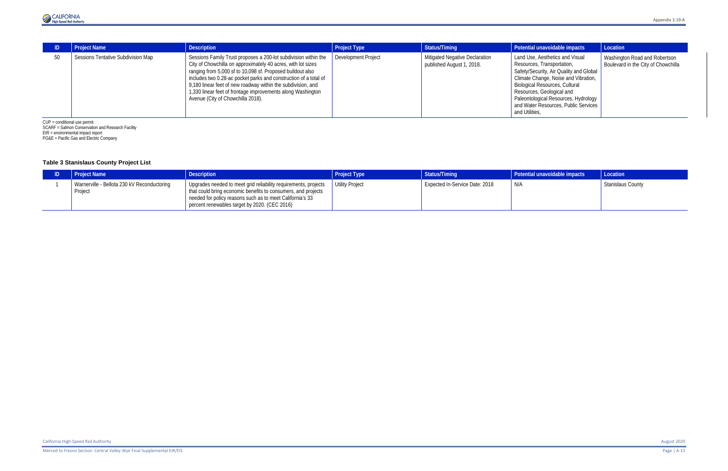

|                                | <b>Project Name</b>                       | <b>Description</b>                                                                                                                                                                                                                                                                                                                                                                                                                    | <b>Project Type</b> | Status/Timing                                                      | Potential unavoidable impacts                                                                                                                                                                                                                                                                                     | Location                                                             |
|--------------------------------|-------------------------------------------|---------------------------------------------------------------------------------------------------------------------------------------------------------------------------------------------------------------------------------------------------------------------------------------------------------------------------------------------------------------------------------------------------------------------------------------|---------------------|--------------------------------------------------------------------|-------------------------------------------------------------------------------------------------------------------------------------------------------------------------------------------------------------------------------------------------------------------------------------------------------------------|----------------------------------------------------------------------|
| 50                             | <b>Sessions Tentative Subdivision Map</b> | Sessions Family Trust proposes a 200-lot subdivision within the<br>City of Chowchilla on approximately 40 acres, with lot sizes<br>ranging from 5,000 sf to 10,098 sf. Proposed buildout also<br>includes two 0.28-ac pocket parks and construction of a total of<br>9,180 linear feet of new roadway within the subdivision, and<br>1,330 linear feet of frontage improvements along Washington<br>Avenue (City of Chowchilla 2018). | Development Project | <b>Mitigated Negative Declaration</b><br>published August 1, 2018. | Land Use, Aesthetics and Visual<br>Resources, Transportation,<br>Safety/Security, Air Quality and Global<br>Climate Change, Noise and Vibration,<br>Biological Resources, Cultural<br>Resources, Geological and<br>Paleontological Resources, Hydrology<br>and Water Resources, Public Services<br>and Utilities, | Washington Road and Robertson<br>Boulevard in the City of Chowchilla |
| $CID = conditional use permit$ |                                           |                                                                                                                                                                                                                                                                                                                                                                                                                                       |                     |                                                                    |                                                                                                                                                                                                                                                                                                                   |                                                                      |

CUP = conditional use permit SCARF = Salmon Conservation and Research Facility EIR = environmental impact report PG&E = Pacific Gas and Electric Company

## **Table 3 Stanislaus County Project List**

| <b>Project Name</b>                                    | <b>Description</b>                                                                                                                                                                                                                                               | <b>Project Type</b> | Status/Timing                  | Potential unavoidable impacts | Location                 |
|--------------------------------------------------------|------------------------------------------------------------------------------------------------------------------------------------------------------------------------------------------------------------------------------------------------------------------|---------------------|--------------------------------|-------------------------------|--------------------------|
| Warnerville - Bellota 230 kV Reconductoring<br>Project | Upgrades needed to meet grid reliability requirements, projects   Utility Project<br>that could bring economic benefits to consumers, and projects<br>needed for policy reasons such as to meet California's 33<br>percent renewables target by 2020. (CEC 2016) |                     | Expected In-Service Date: 2018 | N/A                           | <b>Stanislaus County</b> |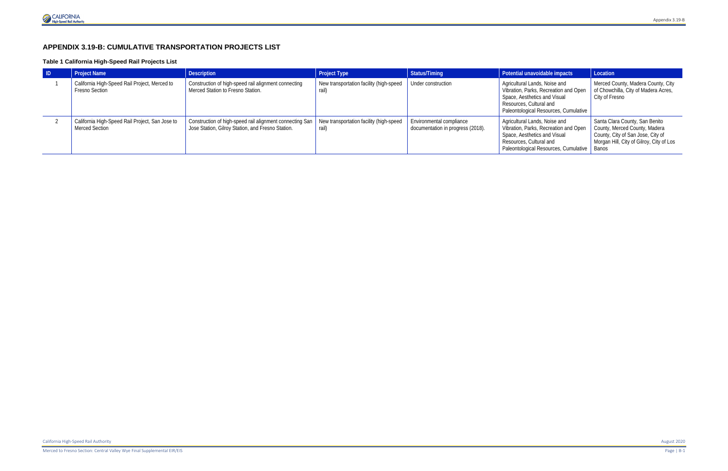# **APPENDIX 3.19-B: CUMULATIVE TRANSPORTATION PROJECTS LIST**

#### **Table 1 California High-Speed Rail Projects List**

| $\blacksquare$ | <b>Project Name</b>                                                      | <b>Description</b>                                                                                              | <b>Project Type</b>                              | Status/Timing                                                 | Potential unavoidable impacts                                                                                                                                                      | Location                                                                                                                                         |
|----------------|--------------------------------------------------------------------------|-----------------------------------------------------------------------------------------------------------------|--------------------------------------------------|---------------------------------------------------------------|------------------------------------------------------------------------------------------------------------------------------------------------------------------------------------|--------------------------------------------------------------------------------------------------------------------------------------------------|
|                | California High-Speed Rail Project, Merced to<br><b>Fresno Section</b>   | Construction of high-speed rail alignment connecting<br>Merced Station to Fresno Station.                       | New transportation facility (high-speed<br>rail) | Under construction                                            | Agricultural Lands, Noise and<br>Vibration, Parks, Recreation and Open<br>Space, Aesthetics and Visual<br>Resources, Cultural and<br>Paleontological Resources, Cumulative         | Merced County, Madera County, City<br>of Chowchilla, City of Madera Acres,<br>City of Fresno                                                     |
|                | California High-Speed Rail Project, San Jose to<br><b>Merced Section</b> | Construction of high-speed rail alignment connecting San  <br>Jose Station, Gilroy Station, and Fresno Station. | New transportation facility (high-speed<br>rail) | Environmental compliance<br>documentation in progress (2018). | Agricultural Lands, Noise and<br>Vibration, Parks, Recreation and Open<br>Space, Aesthetics and Visual<br>Resources, Cultural and<br>Paleontological Resources, Cumulative   Banos | Santa Clara County, San Benito<br>County, Merced County, Madera<br>County, City of San Jose, City of<br>Morgan Hill, City of Gilroy, City of Los |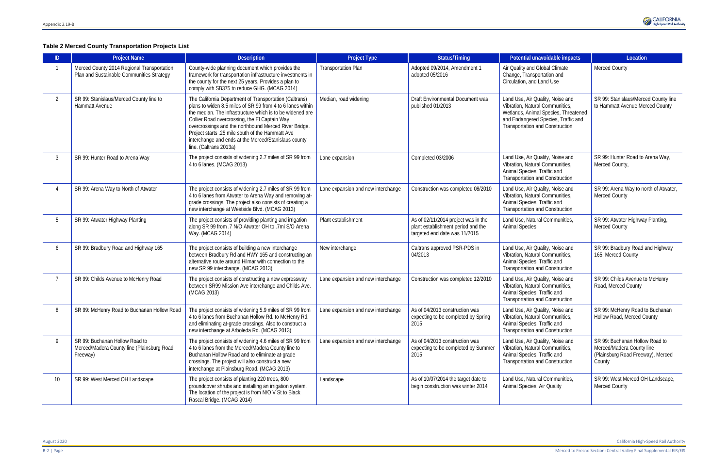#### **Table 2 Merced County Transportation Projects List**

| ID. | <b>Project Name</b>                                                                      | <b>Description</b>                                                                                                                                                                                                                                                                                                                                                                                                                | <b>Project Type</b>                | <b>Status/Timing</b>                                                                                                                                                                                                          | Potential unavoidable impacts                                                                                                                                                                | Location                                                                                                   |
|-----|------------------------------------------------------------------------------------------|-----------------------------------------------------------------------------------------------------------------------------------------------------------------------------------------------------------------------------------------------------------------------------------------------------------------------------------------------------------------------------------------------------------------------------------|------------------------------------|-------------------------------------------------------------------------------------------------------------------------------------------------------------------------------------------------------------------------------|----------------------------------------------------------------------------------------------------------------------------------------------------------------------------------------------|------------------------------------------------------------------------------------------------------------|
|     | Merced County 2014 Regional Transportation<br>Plan and Sustainable Communities Strategy  | County-wide planning document which provides the<br>framework for transportation infrastructure investments in<br>the county for the next 25 years. Provides a plan to<br>comply with SB375 to reduce GHG. (MCAG 2014)                                                                                                                                                                                                            | <b>Transportation Plan</b>         | Adopted 09/2014, Amendment 1<br>adopted 05/2016                                                                                                                                                                               | Air Quality and Global Climate<br>Change, Transportation and<br>Circulation, and Land Use                                                                                                    | <b>Merced County</b>                                                                                       |
| 2   | SR 99: Stanislaus/Merced County line to<br>Hammatt Avenue                                | The California Department of Transportation (Caltrans)<br>plans to widen 8.5 miles of SR 99 from 4 to 6 lanes within<br>the median. The infrastructure which is to be widened are<br>Collier Road overcrossing, the El Captain Way<br>overcrossings and the northbound Merced River Bridge.<br>Project starts .25 mile south of the Hammatt Ave<br>interchange and ends at the Merced/Stanislaus county<br>line. (Caltrans 2013a) | Median, road widening              | Draft Environmental Document was<br>published 01/2013                                                                                                                                                                         | Land Use, Air Quality, Noise and<br>Vibration, Natural Communities,<br>Wetlands, Animal Species, Threatened<br>and Endangered Species, Traffic and<br><b>Transportation and Construction</b> | SR 99: Stanislaus/Merced County line<br>to Hammatt Avenue Merced County                                    |
|     | SR 99: Hunter Road to Arena Way                                                          | The project consists of widening 2.7 miles of SR 99 from<br>4 to 6 lanes. (MCAG 2013)                                                                                                                                                                                                                                                                                                                                             | Lane expansion                     | Completed 03/2006<br>Land Use, Air Quality, Noise and<br>Vibration, Natural Communities,<br>Animal Species, Traffic and<br><b>Transportation and Construction</b>                                                             |                                                                                                                                                                                              | SR 99: Hunter Road to Arena Way,<br>Merced County,                                                         |
|     | SR 99: Arena Way to North of Atwater                                                     | The project consists of widening 2.7 miles of SR 99 from<br>4 to 6 lanes from Atwater to Arena Way and removing at-<br>grade crossings. The project also consists of creating a<br>new interchange at Westside Blvd. (MCAG 2013)                                                                                                                                                                                                  | Lane expansion and new interchange | Construction was completed 08/2010<br>Land Use, Air Quality, Noise and<br>Vibration, Natural Communities,<br>Animal Species, Traffic and<br><b>Transportation and Construction</b>                                            |                                                                                                                                                                                              | SR 99: Arena Way to north of Atwater,<br><b>Merced County</b>                                              |
|     | SR 99: Atwater Highway Planting                                                          | The project consists of providing planting and irrigation<br>along SR 99 from .7 N/O Atwater OH to .7mi S/O Arena<br>Way. (MCAG 2014)                                                                                                                                                                                                                                                                                             | Plant establishment                | As of 02/11/2014 project was in the<br>Land Use, Natural Communities,<br>plant establishment period and the<br><b>Animal Species</b><br>targeted end date was 11/2015                                                         |                                                                                                                                                                                              | SR 99: Atwater Highway Planting,<br>Merced County                                                          |
| 6   | SR 99: Bradbury Road and Highway 165                                                     | The project consists of building a new interchange<br>between Bradbury Rd and HWY 165 and constructing an<br>alternative route around Hilmar with connection to the<br>new SR 99 interchange. (MCAG 2013)                                                                                                                                                                                                                         | New interchange                    | Caltrans approved PSR-PDS in<br>04/2013                                                                                                                                                                                       | Land Use, Air Quality, Noise and<br>Vibration, Natural Communities,<br>Animal Species, Traffic and<br><b>Transportation and Construction</b>                                                 | SR 99: Bradbury Road and Highway<br>165, Merced County                                                     |
|     | SR 99: Childs Avenue to McHenry Road                                                     | The project consists of constructing a new expressway<br>between SR99 Mission Ave interchange and Childs Ave.<br>(MCAG 2013)                                                                                                                                                                                                                                                                                                      | Lane expansion and new interchange | Construction was completed 12/2010                                                                                                                                                                                            | Land Use, Air Quality, Noise and<br>Vibration, Natural Communities,<br>Animal Species, Traffic and<br><b>Transportation and Construction</b>                                                 | SR 99: Childs Avenue to McHenry<br>Road, Merced County                                                     |
| 8   | SR 99: McHenry Road to Buchanan Hollow Road                                              | The project consists of widening 5.9 miles of SR 99 from<br>4 to 6 lanes from Buchanan Hollow Rd. to McHenry Rd.<br>and eliminating at-grade crossings. Also to construct a<br>new interchange at Arboleda Rd. (MCAG 2013)                                                                                                                                                                                                        | Lane expansion and new interchange | As of 04/2013 construction was<br>Land Use, Air Quality, Noise and<br>Vibration, Natural Communities,<br>expecting to be completed by Spring<br>2015<br>Animal Species, Traffic and<br><b>Transportation and Construction</b> |                                                                                                                                                                                              | SR 99: McHenry Road to Buchanan<br>Hollow Road, Merced County                                              |
| 9   | SR 99: Buchanan Hollow Road to<br>Merced/Madera County line (Plainsburg Road<br>Freeway) | The project consists of widening 4.6 miles of SR 99 from<br>4 to 6 lanes from the Merced/Madera County line to<br>Buchanan Hollow Road and to eliminate at-grade<br>crossings. The project will also construct a new<br>interchange at Plainsburg Road. (MCAG 2013)                                                                                                                                                               | Lane expansion and new interchange | As of 04/2013 construction was<br>expecting to be completed by Summer<br>2015                                                                                                                                                 | Land Use, Air Quality, Noise and<br>Vibration, Natural Communities,<br>Animal Species, Traffic and<br><b>Transportation and Construction</b>                                                 | SR 99: Buchanan Hollow Road to<br>Merced/Madera County line<br>(Plainsburg Road Freeway), Merced<br>County |
| 10  | SR 99: West Merced OH Landscape                                                          | The project consists of planting 220 trees, 800<br>groundcover shrubs and installing an irrigation system.<br>The location of the project is from N/O V St to Black<br>Rascal Bridge. (MCAG 2014)                                                                                                                                                                                                                                 | Landscape                          | As of 10/07/2014 the target date to<br>begin construction was winter 2014                                                                                                                                                     | Land Use, Natural Communities,<br>Animal Species, Air Quality                                                                                                                                | SR 99: West Merced OH Landscape,<br><b>Merced County</b>                                                   |

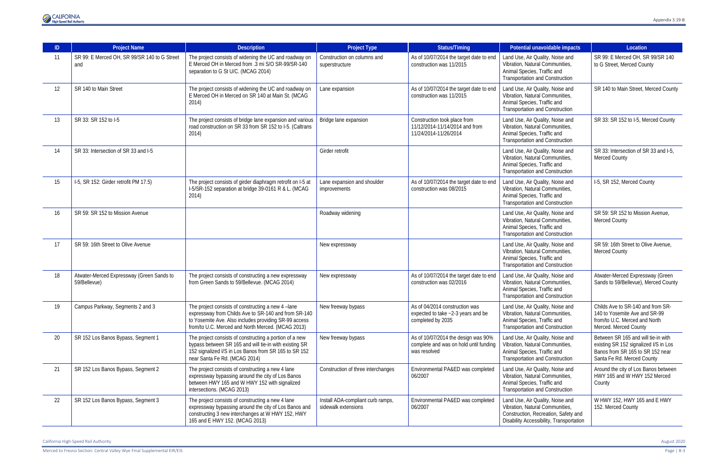

| ID | <b>Project Name</b>                                       | <b>Description</b>                                                                                                                                                                                                      | <b>Project Type</b>                                      | <b>Status/Timing</b>                                                                          | Potential unavoidable impacts                                                                                                                           | Location                                                                                                                                       |
|----|-----------------------------------------------------------|-------------------------------------------------------------------------------------------------------------------------------------------------------------------------------------------------------------------------|----------------------------------------------------------|-----------------------------------------------------------------------------------------------|---------------------------------------------------------------------------------------------------------------------------------------------------------|------------------------------------------------------------------------------------------------------------------------------------------------|
| 11 | SR 99: E Merced OH, SR 99/SR 140 to G Street<br>and       | The project consists of widening the UC and roadway on<br>E Merced OH in Merced from .3 mi S/O SR-99/SR-140<br>separation to G St U/C. (MCAG 2014)                                                                      | Construction on columns and<br>superstructure            | As of 10/07/2014 the target date to end<br>construction was 11/2015                           | Land Use, Air Quality, Noise and<br>Vibration, Natural Communities,<br>Animal Species, Traffic and<br><b>Transportation and Construction</b>            | SR 99: E Merced OH, SR 99/SR 140<br>to G Street, Merced County                                                                                 |
| 12 | SR 140 to Main Street                                     | The project consists of widening the UC and roadway on<br>E Merced OH in Merced on SR 140 at Main St. (MCAG<br>2014)                                                                                                    | Lane expansion                                           | As of 10/07/2014 the target date to end<br>construction was 11/2015                           | Land Use, Air Quality, Noise and<br>Vibration, Natural Communities,<br>Animal Species, Traffic and<br><b>Transportation and Construction</b>            | SR 140 to Main Street, Merced County                                                                                                           |
| 13 | SR 33: SR 152 to I-5                                      | The project consists of bridge lane expansion and various<br>road construction on SR 33 from SR 152 to I-5. (Caltrans<br>2014)                                                                                          | Bridge lane expansion                                    | Construction took place from<br>11/12/2014-11/14/2014 and from<br>11/24/2014-11/26/2014       | Land Use, Air Quality, Noise and<br>Vibration, Natural Communities,<br>Animal Species, Traffic and<br><b>Transportation and Construction</b>            | SR 33: SR 152 to I-5, Merced County                                                                                                            |
| 14 | SR 33: Intersection of SR 33 and I-5                      |                                                                                                                                                                                                                         | Girder retrofit                                          |                                                                                               | Land Use, Air Quality, Noise and<br>Vibration, Natural Communities,<br>Animal Species, Traffic and<br><b>Transportation and Construction</b>            | SR 33: Intersection of SR 33 and I-5,<br><b>Merced County</b>                                                                                  |
| 15 | I-5, SR 152: Girder retrofit PM 17.5)                     | The project consists of girder diaphragm retrofit on I-5 at<br>I-5/SR-152 separation at bridge 39-0161 R & L. (MCAG<br>2014)                                                                                            | Lane expansion and shoulder<br>improvements              | As of 10/07/2014 the target date to end<br>construction was 08/2015                           | Land Use, Air Quality, Noise and<br>Vibration, Natural Communities,<br>Animal Species, Traffic and<br><b>Transportation and Construction</b>            | I-5, SR 152, Merced County                                                                                                                     |
| 16 | SR 59: SR 152 to Mission Avenue                           |                                                                                                                                                                                                                         | Roadway widening                                         |                                                                                               | Land Use, Air Quality, Noise and<br>Vibration, Natural Communities,<br>Animal Species, Traffic and<br><b>Transportation and Construction</b>            | SR 59: SR 152 to Mission Avenue,<br><b>Merced County</b>                                                                                       |
| 17 | SR 59: 16th Street to Olive Avenue                        |                                                                                                                                                                                                                         | New expressway                                           |                                                                                               | Land Use, Air Quality, Noise and<br>Vibration, Natural Communities,<br>Animal Species, Traffic and<br><b>Transportation and Construction</b>            | SR 59: 16th Street to Olive Avenue,<br><b>Merced County</b>                                                                                    |
| 18 | Atwater-Merced Expressway (Green Sands to<br>59/Bellevue) | The project consists of constructing a new expressway<br>from Green Sands to 59/Bellevue. (MCAG 2014)                                                                                                                   | New expressway                                           | As of 10/07/2014 the target date to end<br>construction was 02/2016                           | Land Use, Air Quality, Noise and<br>Vibration, Natural Communities,<br>Animal Species, Traffic and<br><b>Transportation and Construction</b>            | Atwater-Merced Expressway (Green<br>Sands to 59/Bellevue), Merced County                                                                       |
| 19 | Campus Parkway, Segments 2 and 3                          | The project consists of constructing a new 4-lane<br>expressway from Childs Ave to SR-140 and from SR-140<br>to Yosemite Ave. Also includes providing SR-99 access<br>from/to U.C. Merced and North Merced. (MCAG 2013) | New freeway bypass                                       | As of 04/2014 construction was<br>expected to take ~2-3 years and be<br>completed by 2035     | Land Use, Air Quality, Noise and<br>Vibration, Natural Communities,<br>Animal Species, Traffic and<br><b>Transportation and Construction</b>            | Childs Ave to SR-140 and from SR-<br>140 to Yosemite Ave and SR-99<br>from/to U.C. Merced and North<br>Merced. Merced County                   |
| 20 | SR 152 Los Banos Bypass, Segment 1                        | The project consists of constructing a portion of a new<br>bypass between SR 165 and will tie-in with existing SR<br>152 signalized I/S in Los Banos from SR 165 to SR 152<br>near Santa Fe Rd. (MCAG 2014)             | New freeway bypass                                       | As of 10/07/2014 the design was 90%<br>complete and was on hold until funding<br>was resolved | Land Use, Air Quality, Noise and<br>Vibration, Natural Communities,<br>Animal Species, Traffic and<br><b>Transportation and Construction</b>            | Between SR 165 and will tie-in with<br>existing SR 152 signalized I/S in Los<br>Banos from SR 165 to SR 152 near<br>Santa Fe Rd. Merced County |
| 21 | SR 152 Los Banos Bypass, Segment 2                        | The project consists of constructing a new 4 lane<br>expressway bypassing around the city of Los Banos<br>between HWY 165 and W HWY 152 with signalized<br>intersections. (MCAG 2013)                                   | Construction of three interchanges                       | Environmental PA&ED was completed<br>06/2007                                                  | Land Use, Air Quality, Noise and<br>Vibration, Natural Communities,<br>Animal Species, Traffic and<br><b>Transportation and Construction</b>            | Around the city of Los Banos between<br>HWY 165 and W HWY 152 Merced<br>County                                                                 |
| 22 | SR 152 Los Banos Bypass, Segment 3                        | The project consists of constructing a new 4 lane<br>expressway bypassing around the city of Los Banos and<br>constructing 3 new interchanges at W HWY 152, HWY<br>165 and E HWY 152. (MCAG 2013)                       | Install ADA-compliant curb ramps,<br>sidewalk extensions | Environmental PA&ED was completed<br>06/2007                                                  | Land Use, Air Quality, Noise and<br>Vibration, Natural Communities,<br>Construction, Recreation, Safety and<br>Disability Accessibility, Transportation | W HWY 152, HWY 165 and E HWY<br>152. Merced County                                                                                             |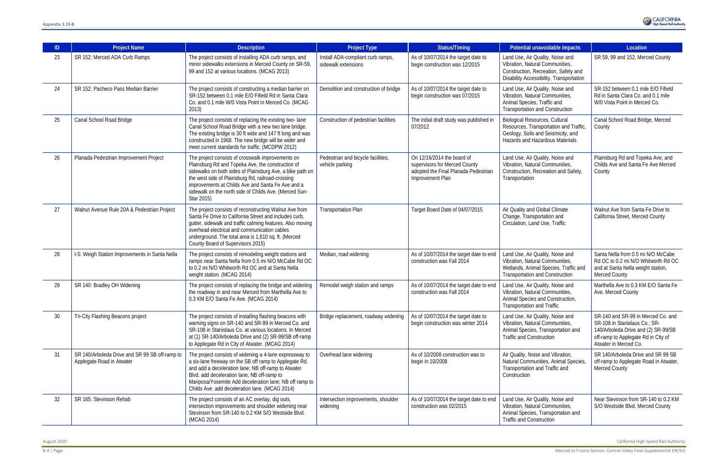| ID | <b>Project Name</b>                                                         | <b>Description</b>                                                                                                                                                                                                                                                                                                                                    | <b>Project Type</b>                                      | <b>Status/Timing</b>                                                                                                                                                                                                                                    | Potential unavoidable impacts                                                                                                                            | Location                                                                                                                                |
|----|-----------------------------------------------------------------------------|-------------------------------------------------------------------------------------------------------------------------------------------------------------------------------------------------------------------------------------------------------------------------------------------------------------------------------------------------------|----------------------------------------------------------|---------------------------------------------------------------------------------------------------------------------------------------------------------------------------------------------------------------------------------------------------------|----------------------------------------------------------------------------------------------------------------------------------------------------------|-----------------------------------------------------------------------------------------------------------------------------------------|
| 23 | SR 152: Merced ADA Curb Ramps                                               | The project consists of installing ADA curb ramps, and<br>minor sidewalks extensions in Merced County on SR-59,<br>99 and 152 at various locations. (MCAG 2013)                                                                                                                                                                                       | Install ADA-compliant curb ramps,<br>sidewalk extensions | As of 10/07/2014 the target date to<br>begin construction was 12/2015                                                                                                                                                                                   | Land Use, Air Quality, Noise and<br>Vibration, Natural Communities,<br>Construction, Recreation, Safety and<br>Disability Accessibility, Transportation  | SR 59, 99 and 152, Merced County                                                                                                        |
| 24 | SR 152: Pacheco Pass Median Barrier                                         | The project consists of constructing a median barrier on<br>SR-152 between 0.1 mile E/O Fifield Rd in Santa Clara<br>Co. and 0.1 mile W/0 Vista Point in Merced Co. (MCAG<br>2013)                                                                                                                                                                    | Demolition and construction of bridge                    | As of 10/07/2014 the target date to<br>Land Use, Air Quality, Noise and<br>Vibration, Natural Communities,<br>begin construction was 07/2015<br>Animal Species, Traffic and<br><b>Transportation and Construction</b>                                   |                                                                                                                                                          | SR-152 between 0.1 mile E/O Fifield<br>Rd in Santa Clara Co. and 0.1 mile<br>W/0 Vista Point in Merced Co.                              |
| 25 | Canal School Road Bridge                                                    | The project consists of replacing the existing two-lane<br>Canal School Road Bridge with a new two lane bridge.<br>The existing bridge is 30 ft wide and 147 ft long and was<br>constructed in 1968. The new bridge will be wider and<br>meet current standards for traffic. (MCDPW 2012)                                                             | Construction of pedestrian facilities                    | The initial draft study was published in<br>07/2012                                                                                                                                                                                                     | <b>Biological Resources, Cultural</b><br>Resources, Transportation and Traffic,<br>Geology, Soils and Seismicity, and<br>Hazards and Hazardous Materials | Canal School Road Bridge, Merced<br>County                                                                                              |
| 26 | Planada Pedestrian Improvement Project                                      | The project consists of crosswalk improvements on<br>Plainsburg Rd and Topeka Ave, the construction of<br>sidewalks on both sides of Plainsburg Ave, a bike path on<br>the west side of Plainsburg Rd, railroad-crossing<br>improvements at Childs Ave and Santa Fe Ave and a<br>sidewalk on the north side of Childs Ave. (Merced Sun-<br>Star 2015) | Pedestrian and bicycle facilities,<br>vehicle parking    | On 12/16/2014 the board of<br>Land Use, Air Quality, Noise and<br>Vibration, Natural Communities,<br>supervisors for Merced County<br>adopted the Final Planada Pedestrian<br>Construction, Recreation and Safety<br>Transportation<br>Improvement Plan |                                                                                                                                                          | Plainsburg Rd and Topeka Ave, and<br>Childs Ave and Santa Fe Ave Merced<br>County                                                       |
| 27 | Walnut Avenue Rule 20A & Pedestrian Project                                 | The project consists of reconstructing Walnut Ave from<br>Santa Fe Drive to California Street and includes curb,<br>gutter, sidewalk and traffic calming features. Also moving<br>overhead electrical and communication cables<br>underground. The total area is 1,610 sq. ft. (Merced<br>County Board of Supervisors 2015)                           | <b>Transportation Plan</b>                               | Target Board Date of 04/07/2015                                                                                                                                                                                                                         | Air Quality and Global Climate<br>Change, Transportation and<br>Circulation, Land Use, Traffic                                                           | Walnut Ave from Santa Fe Drive to<br>California Street, Merced County                                                                   |
| 28 | I-5: Weigh Station Improvements in Santa Nella                              | The project consists of remodeling weight stations and<br>ramps near Santa Nella from 0.5 mi N/O McCabe Rd OC<br>to 0.2 mi N/O Whitworth Rd OC and at Santa Nella<br>weight station. (MCAG 2014)                                                                                                                                                      | Median, road widening                                    | As of 10/07/2014 the target date to end<br>construction was Fall 2014                                                                                                                                                                                   | Land Use, Air Quality, Noise and<br>Vibration, Natural Communities,<br>Wetlands, Animal Species, Traffic and<br><b>Transportation and Construction</b>   | Santa Nella from 0.5 mi N/O McCabe<br>Rd OC to 0.2 mi N/O Whitworth Rd OC<br>and at Santa Nella weight station,<br><b>Merced County</b> |
| 29 | SR 140: Bradley OH Widening                                                 | The project consists of replacing the bridge and widening<br>the roadway in and near Merced from Marthella Ave to<br>0.3 KM E/O Santa Fe Ave. (MCAG 2014)                                                                                                                                                                                             | Remodel weigh station and ramps                          | As of 10/07/2014 the target date to end<br>construction was Fall 2014                                                                                                                                                                                   | Land Use, Air Quality, Noise and<br>Vibration, Natural Communities,<br>Animal Species and Construction,<br>Transportation and Traffic                    | Marthella Ave to 0.3 KM E/O Santa Fe<br>Ave, Merced County                                                                              |
| 30 | Tri-City Flashing Beacons project                                           | The project consists of installing flashing beacons with<br>warning signs on SR-140 and SR-99 in Merced Co. and<br>SR-108 in Stanislaus Co. at various locations. In Merced<br>at (1) SR-140/Arboleda Drive and (2) SR-99/SB off-ramp<br>to Applegate Rd in City of Atwater. (MCAG 2014)                                                              | Bridge replacement, roadway widening                     | As of 10/07/2014 the target date to<br>begin construction was winter 2014                                                                                                                                                                               | Land Use, Air Quality, Noise and<br>Vibration, Natural Communities,<br>Animal Species, Transportation and<br><b>Traffic and Construction</b>             |                                                                                                                                         |
| 31 | SR 140/Arboleda Drive and SR 99 SB off-ramp to<br>Applegate Road in Atwater | The project consists of widening a 4-lane expressway to<br>a six-lane freeway on the SB off ramp to Applegate Rd.<br>and add a deceleration lane; NB off-ramp to Atwater<br>Blvd. add deceleration lane; NB off-ramp to<br>Mariposa/Yosemite Add deceleration lane; NB off ramp to<br>Childs Ave. add deceleration lane. (MCAG 2014)                  | Overhead lane widening                                   | As of 10/2008 construction was to<br>begin in 10/2008                                                                                                                                                                                                   | Air Quality, Noise and Vibration,<br>Natural Communities, Animal Species,<br>Transportation and Traffic and<br>Construction                              | SR 140/Arboleda Drive and SR 99 SB<br>off-ramp to Applegate Road in Atwater,<br><b>Merced County</b>                                    |
| 32 | SR 165: Stevinson Rehab                                                     | The project consists of an AC overlay, dig outs,<br>intersection improvements and shoulder widening near<br>Stevinson from SR-140 to 0.2 KM S/O Westside Blvd.<br>(MCAG 2014)                                                                                                                                                                         | Intersection improvements, shoulder<br>widening          | As of 10/07/2014 the target date to end<br>construction was 02/2015                                                                                                                                                                                     | Land Use, Air Quality, Noise and<br>Vibration, Natural Communities,<br>Animal Species, Transportation and<br><b>Traffic and Construction</b>             | Near Stevinson from SR-140 to 0.2 KM<br>S/O Westside Blvd, Merced County                                                                |

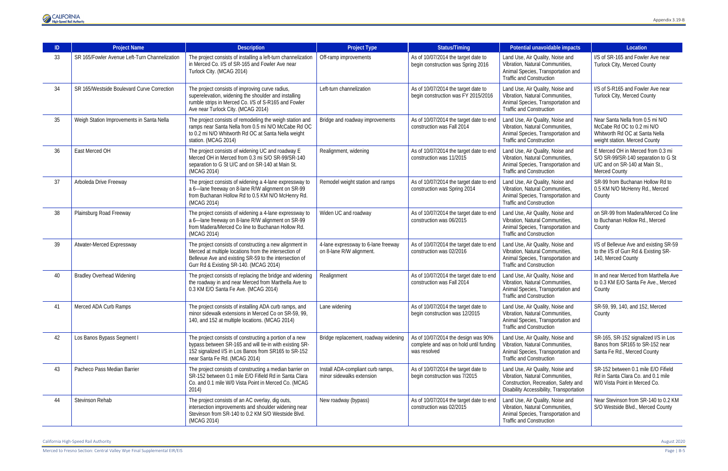

| ID | <b>Project Name</b>                           | <b>Description</b>                                                                                                                                                                                                   | <b>Project Type</b>                                             | Status/Timing                                                                                                                                                                                                                                 | Potential unavoidable impacts                                                                                                                           | Location                                                                                                                          |
|----|-----------------------------------------------|----------------------------------------------------------------------------------------------------------------------------------------------------------------------------------------------------------------------|-----------------------------------------------------------------|-----------------------------------------------------------------------------------------------------------------------------------------------------------------------------------------------------------------------------------------------|---------------------------------------------------------------------------------------------------------------------------------------------------------|-----------------------------------------------------------------------------------------------------------------------------------|
| 33 | SR 165/Fowler Avenue Left-Turn Channelization | The project consists of installing a left-turn channelization<br>in Merced Co. I/S of SR-165 and Fowler Ave near<br>Turlock City. (MCAG 2014)                                                                        | Off-ramp improvements                                           | As of 10/07/2014 the target date to<br>begin construction was Spring 2016                                                                                                                                                                     | Land Use, Air Quality, Noise and<br>Vibration, Natural Communities,<br>Animal Species, Transportation and<br><b>Traffic and Construction</b>            | I/S of SR-165 and Fowler Ave near<br>Turlock City, Merced County                                                                  |
| 34 | SR 165/Westside Boulevard Curve Correction    | The project consists of improving curve radius,<br>superelevation, widening the shoulder and installing<br>rumble strips in Merced Co. I/S of S-R165 and Fowler<br>Ave near Turlock City. (MCAG 2014)                | Left-turn channelization                                        | Land Use, Air Quality, Noise and<br>As of 10/07/2014 the target date to<br>Vibration, Natural Communities,<br>begin construction was FY 2015/2016<br>Animal Species, Transportation and<br><b>Traffic and Construction</b>                    |                                                                                                                                                         | I/S of S-R165 and Fowler Ave near<br>Turlock City, Merced County                                                                  |
| 35 | Weigh Station Improvements in Santa Nella     | The project consists of remodeling the weigh station and<br>ramps near Santa Nella from 0.5 mi N/O McCabe Rd OC<br>to 0.2 mi N/O Whitworth Rd OC at Santa Nella weight<br>station. (MCAG 2014)                       | Bridge and roadway improvements                                 | As of 10/07/2014 the target date to end<br>Land Use, Air Quality, Noise and<br>construction was Fall 2014<br>Vibration, Natural Communities,<br>Animal Species, Transportation and<br><b>Traffic and Construction</b>                         |                                                                                                                                                         | Near Santa Nella from 0.5 mi N/O<br>McCabe Rd OC to 0.2 mi N/O<br>Whitworth Rd OC at Santa Nella<br>weight station. Merced County |
| 36 | East Merced OH                                | The project consists of widening UC and roadway E<br>Merced OH in Merced from 0.3 mi S/O SR-99/SR-140<br>separation to G St U/C and on SR-140 at Main St.<br>(MCAG 2014)                                             | Realignment, widening                                           | As of 10/07/2014 the target date to end<br>construction was 11/2015                                                                                                                                                                           | Land Use, Air Quality, Noise and<br>Vibration, Natural Communities,<br>Animal Species, Transportation and<br><b>Traffic and Construction</b>            | E Merced OH in Merced from 0.3 mi<br>S/O SR-99/SR-140 separation to G St<br>U/C and on SR-140 at Main St.<br><b>Merced County</b> |
| 37 | Arboleda Drive Freeway                        | The project consists of widening a 4-lane expressway to<br>a 6-lane freeway on 8-lane R/W alignment on SR-99<br>from Buchanan Hollow Rd to 0.5 KM N/O McHenry Rd.<br>(MCAG 2014)                                     | Remodel weight station and ramps                                | As of 10/07/2014 the target date to end<br>construction was Spring 2014                                                                                                                                                                       | Land Use, Air Quality, Noise and<br>Vibration, Natural Communities,<br>Animal Species, Transportation and<br><b>Traffic and Construction</b>            | SR-99 from Buchanan Hollow Rd to<br>0.5 KM N/O McHenry Rd., Merced<br>County                                                      |
| 38 | Plainsburg Road Freeway                       | The project consists of widening a 4-lane expressway to<br>a 6-lane freeway on 8-lane R/W alignment on SR-99<br>from Madera/Merced Co line to Buchanan Hollow Rd.<br>(MCAG 2014)                                     | Widen UC and roadway                                            | As of 10/07/2014 the target date to end<br>construction was 06/2015                                                                                                                                                                           | Land Use, Air Quality, Noise and<br>Vibration, Natural Communities,<br>Animal Species, Transportation and<br><b>Traffic and Construction</b>            | on SR-99 from Madera/Merced Co line<br>to Buchanan Hollow Rd., Merced<br>County                                                   |
| 39 | Atwater-Merced Expressway                     | The project consists of constructing a new alignment in<br>Merced at multiple locations from the intersection of<br>Bellevue Ave and existing SR-59 to the intersection of<br>Gurr Rd & Existing SR-140. (MCAG 2014) | 4-lane expressway to 6-lane freeway<br>on 8-lane R/W alignment. | As of 10/07/2014 the target date to end<br>construction was 02/2016                                                                                                                                                                           | Land Use, Air Quality, Noise and<br>Vibration, Natural Communities,<br>Animal Species, Transportation and<br><b>Traffic and Construction</b>            | I/S of Bellevue Ave and existing SR-59<br>to the I/S of Gurr Rd & Existing SR-<br>140, Merced County                              |
| 40 | <b>Bradley Overhead Widening</b>              | The project consists of replacing the bridge and widening<br>the roadway in and near Merced from Marthella Ave to<br>0.3 KM E/O Santa Fe Ave. (MCAG 2014)                                                            | Realignment                                                     | As of 10/07/2014 the target date to end<br>construction was Fall 2014                                                                                                                                                                         | Land Use, Air Quality, Noise and<br>Vibration, Natural Communities,<br>Animal Species, Transportation and<br><b>Traffic and Construction</b>            | In and near Merced from Marthella Ave<br>to 0.3 KM E/O Santa Fe Ave., Merced<br>County                                            |
| 41 | Merced ADA Curb Ramps                         | The project consists of installing ADA curb ramps, and<br>minor sidewalk extensions in Merced Co on SR-59, 99,<br>140, and 152 at multiple locations. (MCAG 2014)                                                    | Lane widening                                                   | As of 10/07/2014 the target date to<br>begin construction was 12/2015                                                                                                                                                                         | Land Use, Air Quality, Noise and<br>Vibration, Natural Communities,<br>Animal Species, Transportation and<br><b>Traffic and Construction</b>            | SR-59, 99, 140, and 152, Merced<br>County                                                                                         |
| 42 | Los Banos Bypass Segment I                    | The project consists of constructing a portion of a new<br>bypass between SR-165 and will tie-in with existing SR-<br>152 signalized I/S in Los Banos from SR165 to SR-152<br>near Santa Fe Rd. (MCAG 2014)          | Bridge replacement, roadway widening                            | Land Use, Air Quality, Noise and<br>As of 10/07/2014 the design was 90%<br>Vibration, Natural Communities,<br>complete and was on hold until funding<br>Animal Species, Transportation and<br>was resolved<br><b>Traffic and Construction</b> |                                                                                                                                                         | SR-165, SR-152 signalized I/S in Los<br>Banos from SR165 to SR-152 near<br>Santa Fe Rd., Merced County                            |
| 43 | Pacheco Pass Median Barrier                   | The project consists of constructing a median barrier on<br>SR-152 between 0.1 mile E/O Fifield Rd in Santa Clara<br>Co. and 0.1 mile W/0 Vista Point in Merced Co. (MCAG<br>2014)                                   | Install ADA-compliant curb ramps,<br>minor sidewalks extension  | As of 10/07/2014 the target date to<br>begin construction was 7/2015                                                                                                                                                                          | Land Use, Air Quality, Noise and<br>Vibration, Natural Communities,<br>Construction, Recreation, Safety and<br>Disability Accessibility, Transportation | SR-152 between 0.1 mile E/O Fifield<br>Rd in Santa Clara Co. and 0.1 mile<br>W/0 Vista Point in Merced Co.                        |
| 44 | Stevinson Rehab                               | The project consists of an AC overlay, dig outs,<br>intersection improvements and shoulder widening near<br>Stevinson from SR-140 to 0.2 KM S/O Westside Blvd.<br>(MCAG 2014)                                        | New roadway (bypass)                                            | As of 10/07/2014 the target date to end<br>construction was 02/2015                                                                                                                                                                           | Land Use, Air Quality, Noise and<br>Vibration, Natural Communities,<br>Animal Species, Transportation and<br><b>Traffic and Construction</b>            | Near Stevinson from SR-140 to 0.2 KM<br>S/O Westside Blvd., Merced County                                                         |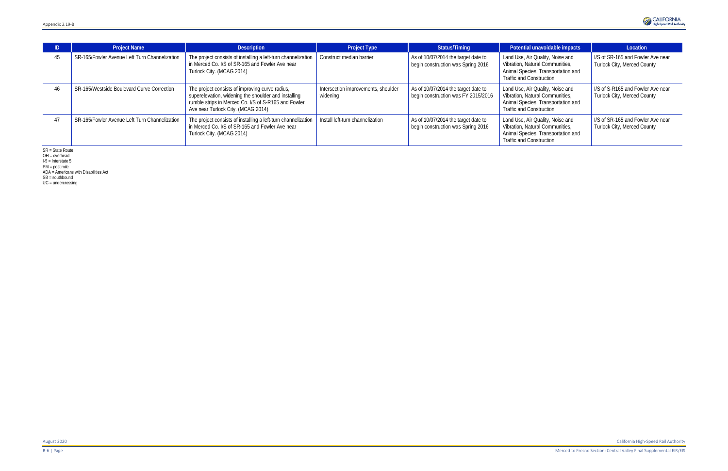| ID. | <b>Project Name</b>                           | <b>Description</b>                                                                                                                                                                                    | <b>Project Type</b>                             | Status/Timing                                                              | Potential unavoidable impacts                                                                                                                | Location                                                         |
|-----|-----------------------------------------------|-------------------------------------------------------------------------------------------------------------------------------------------------------------------------------------------------------|-------------------------------------------------|----------------------------------------------------------------------------|----------------------------------------------------------------------------------------------------------------------------------------------|------------------------------------------------------------------|
| 45  | SR-165/Fowler Avenue Left Turn Channelization | The project consists of installing a left-turn channelization<br>in Merced Co. I/S of SR-165 and Fowler Ave near<br>Turlock City. (MCAG 2014)                                                         | Construct median barrier                        | As of 10/07/2014 the target date to<br>begin construction was Spring 2016  | Land Use, Air Quality, Noise and<br>Vibration, Natural Communities,<br>Animal Species, Transportation and<br><b>Traffic and Construction</b> | I/S of SR-165 and Fowler Ave near<br>Turlock City, Merced County |
| 46  | SR-165/Westside Boulevard Curve Correction    | The project consists of improving curve radius,<br>superelevation, widening the shoulder and installing<br>rumble strips in Merced Co. I/S of S-R165 and Fowler<br>Ave near Turlock City. (MCAG 2014) | Intersection improvements, shoulder<br>widening | As of 10/07/2014 the target date to<br>begin construction was FY 2015/2016 | Land Use, Air Quality, Noise and<br>Vibration, Natural Communities,<br>Animal Species, Transportation and<br><b>Traffic and Construction</b> | I/S of S-R165 and Fowler Ave near<br>Turlock City, Merced County |
|     | SR-165/Fowler Avenue Left Turn Channelization | The project consists of installing a left-turn channelization<br>in Merced Co. I/S of SR-165 and Fowler Ave near<br>Turlock City. (MCAG 2014)                                                         | Install left-turn channelization                | As of 10/07/2014 the target date to<br>begin construction was Spring 2016  | Land Use, Air Quality, Noise and<br>Vibration, Natural Communities,<br>Animal Species, Transportation and<br><b>Traffic and Construction</b> | I/S of SR-165 and Fowler Ave near<br>Turlock City, Merced County |

SR = State Route

OH = overhead

I-5 = Interstate 5 PM = post mile

ADA = Americans with Disabilities Act

SB = southbound

UC = undercrossing

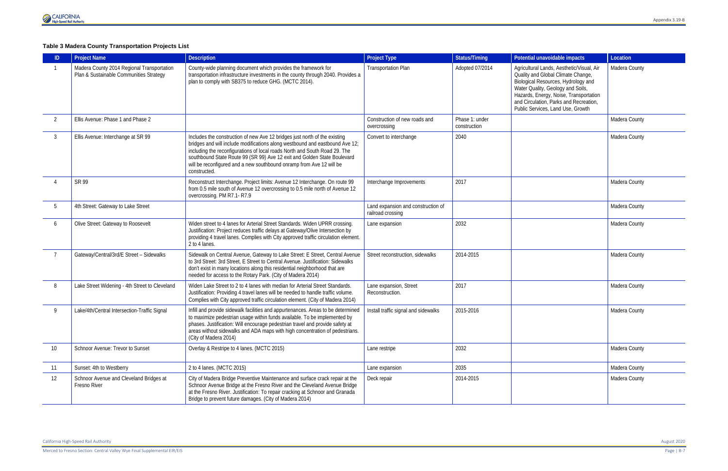Merced to Fresno Section: Central Valley Wye Final Supplemental EIR/EIS Page | B-7

#### **Table 3 Madera County Transportation Projects List**

|                | <b>Project Name</b>                                                                   | <b>Description</b>                                                                                                                                                                                                                                                                                                                                                                                           | <b>Project Type</b>                                     | <b>Status/Timing</b>           | Potential unavoidable impacts                                                                                                                                                                                                                                                        | Location      |
|----------------|---------------------------------------------------------------------------------------|--------------------------------------------------------------------------------------------------------------------------------------------------------------------------------------------------------------------------------------------------------------------------------------------------------------------------------------------------------------------------------------------------------------|---------------------------------------------------------|--------------------------------|--------------------------------------------------------------------------------------------------------------------------------------------------------------------------------------------------------------------------------------------------------------------------------------|---------------|
|                | Madera County 2014 Regional Transportation<br>Plan & Sustainable Communities Strategy | County-wide planning document which provides the framework for<br>transportation infrastructure investments in the county through 2040. Provides a<br>plan to comply with SB375 to reduce GHG. (MCTC 2014).                                                                                                                                                                                                  | <b>Transportation Plan</b>                              | Adopted 07/2014                | Agricultural Lands, Aesthetic/Visual, Air<br>Quality and Global Climate Change,<br>Biological Resources, Hydrology and<br>Water Quality, Geology and Soils,<br>Hazards, Energy, Noise, Transportation<br>and Circulation, Parks and Recreation,<br>Public Services, Land Use, Growth | Madera County |
| $\overline{2}$ | Ellis Avenue: Phase 1 and Phase 2                                                     |                                                                                                                                                                                                                                                                                                                                                                                                              | Construction of new roads and<br>overcrossing           | Phase 1: under<br>construction |                                                                                                                                                                                                                                                                                      | Madera County |
| 3              | Ellis Avenue: Interchange at SR 99                                                    | Includes the construction of new Ave 12 bridges just north of the existing<br>bridges and will include modifications along westbound and eastbound Ave 12;<br>including the reconfigurations of local roads North and South Road 29. The<br>southbound State Route 99 (SR 99) Ave 12 exit and Golden State Boulevard<br>will be reconfigured and a new southbound onramp from Ave 12 will be<br>constructed. | Convert to interchange                                  | 2040                           |                                                                                                                                                                                                                                                                                      | Madera County |
|                | SR 99                                                                                 | Reconstruct Interchange. Project limits: Avenue 12 Interchange. On route 99<br>from 0.5 mile south of Avenue 12 overcrossing to 0.5 mile north of Avenue 12<br>overcrossing. PM R7.1-R7.9                                                                                                                                                                                                                    | Interchange Improvements                                | 2017                           |                                                                                                                                                                                                                                                                                      | Madera County |
| 5              | 4th Street: Gateway to Lake Street                                                    |                                                                                                                                                                                                                                                                                                                                                                                                              | Land expansion and construction of<br>railroad crossing |                                |                                                                                                                                                                                                                                                                                      | Madera County |
| 6              | Olive Street: Gateway to Roosevelt                                                    | Widen street to 4 lanes for Arterial Street Standards. Widen UPRR crossing.<br>Justification: Project reduces traffic delays at Gateway/Olive Intersection by<br>providing 4 travel lanes. Complies with City approved traffic circulation element.<br>2 to 4 lanes.                                                                                                                                         | Lane expansion                                          | 2032                           |                                                                                                                                                                                                                                                                                      | Madera County |
|                | Gateway/Central/3rd/E Street - Sidewalks                                              | Sidewalk on Central Avenue, Gateway to Lake Street: E Street, Central Avenue<br>to 3rd Street: 3rd Street, E Street to Central Avenue. Justification: Sidewalks<br>don't exist in many locations along this residential neighborhood that are<br>needed for access to the Rotary Park. (City of Madera 2014)                                                                                                 | Street reconstruction, sidewalks                        | 2014-2015                      |                                                                                                                                                                                                                                                                                      | Madera County |
| 8              | Lake Street Widening - 4th Street to Cleveland                                        | Widen Lake Street to 2 to 4 lanes with median for Arterial Street Standards.<br>Justification: Providing 4 travel lanes will be needed to handle traffic volume.<br>Complies with City approved traffic circulation element. (City of Madera 2014)                                                                                                                                                           | Lane expansion, Street<br>Reconstruction.               | 2017                           |                                                                                                                                                                                                                                                                                      | Madera County |
| 9              | Lake/4th/Central Intersection-Traffic Signal                                          | Infill and provide sidewalk facilities and appurtenances. Areas to be determined<br>to maximize pedestrian usage within funds available. To be implemented by<br>phases. Justification: Will encourage pedestrian travel and provide safety at<br>areas without sidewalks and ADA maps with high concentration of pedestrians.<br>(City of Madera 2014)                                                      | Install traffic signal and sidewalks                    | 2015-2016                      |                                                                                                                                                                                                                                                                                      | Madera County |
| 10             | Schnoor Avenue: Trevor to Sunset                                                      | Overlay & Restripe to 4 lanes. (MCTC 2015)                                                                                                                                                                                                                                                                                                                                                                   | Lane restripe                                           | 2032                           |                                                                                                                                                                                                                                                                                      | Madera County |
| 11             | Sunset: 4th to Westberry                                                              | 2 to 4 lanes. (MCTC 2015)                                                                                                                                                                                                                                                                                                                                                                                    | Lane expansion                                          | 2035                           |                                                                                                                                                                                                                                                                                      | Madera County |
| 12             | Schnoor Avenue and Cleveland Bridges at<br>Fresno River                               | City of Madera Bridge Preventive Maintenance and surface crack repair at the<br>Schnoor Avenue Bridge at the Fresno River and the Cleveland Avenue Bridge<br>at the Fresno River. Justification: To repair cracking at Schnoor and Granada<br>Bridge to prevent future damages. (City of Madera 2014)                                                                                                        | Deck repair                                             | 2014-2015                      |                                                                                                                                                                                                                                                                                      | Madera County |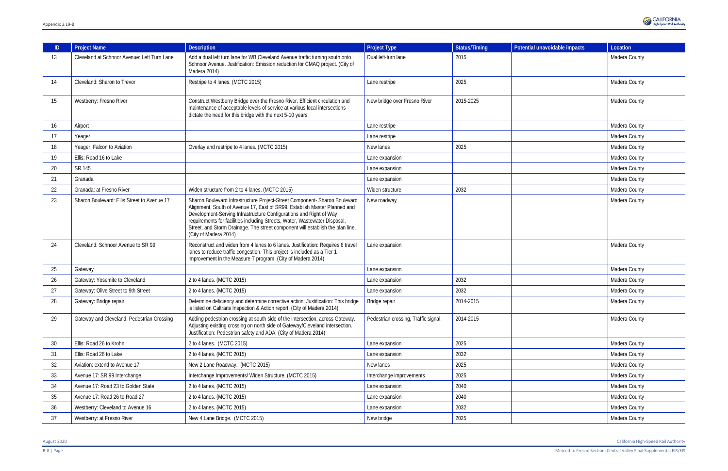| ID | <b>Project Name</b>                         | <b>Description</b>                                                                                                                                                                                                                                                                                                                                                                                                    | <b>Project Type</b>                  | Status/Timing | Potential unavoidable impacts | Location      |
|----|---------------------------------------------|-----------------------------------------------------------------------------------------------------------------------------------------------------------------------------------------------------------------------------------------------------------------------------------------------------------------------------------------------------------------------------------------------------------------------|--------------------------------------|---------------|-------------------------------|---------------|
| 13 | Cleveland at Schnoor Avenue: Left Turn Lane | Add a dual left turn lane for WB Cleveland Avenue traffic turning south onto<br>Schnoor Avenue. Justification: Emission reduction for CMAQ project. (City of<br>Madera 2014)                                                                                                                                                                                                                                          | Dual left-turn lane                  | 2015          |                               | Madera County |
| 14 | Cleveland: Sharon to Trevor                 | Restripe to 4 lanes. (MCTC 2015)                                                                                                                                                                                                                                                                                                                                                                                      | Lane restripe                        | 2025          |                               | Madera County |
| 15 | Westberry: Fresno River                     | Construct Westberry Bridge over the Fresno River. Efficient circulation and<br>maintenance of acceptable levels of service at various local intersections<br>dictate the need for this bridge with the next 5-10 years.                                                                                                                                                                                               | New bridge over Fresno River         | 2015-2025     |                               | Madera County |
| 16 | Airport                                     |                                                                                                                                                                                                                                                                                                                                                                                                                       | Lane restripe                        |               |                               | Madera County |
| 17 | Yeager                                      |                                                                                                                                                                                                                                                                                                                                                                                                                       | Lane restripe                        |               |                               | Madera County |
| 18 | Yeager: Falcon to Aviation                  | Overlay and restripe to 4 lanes. (MCTC 2015)                                                                                                                                                                                                                                                                                                                                                                          | New lanes                            | 2025          |                               | Madera County |
| 19 | Ellis: Road 16 to Lake                      |                                                                                                                                                                                                                                                                                                                                                                                                                       | Lane expansion                       |               |                               | Madera County |
| 20 | SR 145                                      |                                                                                                                                                                                                                                                                                                                                                                                                                       | Lane expansion                       |               |                               | Madera County |
| 21 | Granada                                     |                                                                                                                                                                                                                                                                                                                                                                                                                       | Lane expansion                       |               |                               | Madera County |
| 22 | Granada: at Fresno River                    | Widen structure from 2 to 4 lanes. (MCTC 2015)                                                                                                                                                                                                                                                                                                                                                                        | Widen structure                      | 2032          |                               | Madera County |
| 23 | Sharon Boulevard: Ellis Street to Avenue 17 | Sharon Boulevard Infrastructure Project-Street Component- Sharon Boulevard<br>Alignment, South of Avenue 17, East of SR99. Establish Master Planned and<br>Development-Serving Infrastructure Configurations and Right of Way<br>requirements for facilities including Streets, Water, Wastewater Disposal<br>Street, and Storm Drainage. The street component will establish the plan line.<br>(City of Madera 2014) | New roadway                          |               |                               | Madera County |
| 24 | Cleveland: Schnoor Avenue to SR 99          | Reconstruct and widen from 4 lanes to 6 lanes. Justification: Requires 6 travel<br>lanes to reduce traffic congestion. This project is included as a Tier 1<br>improvement in the Measure T program. (City of Madera 2014)                                                                                                                                                                                            | Lane expansion                       |               |                               | Madera County |
| 25 | Gateway                                     |                                                                                                                                                                                                                                                                                                                                                                                                                       | Lane expansion                       |               |                               | Madera County |
| 26 | Gateway: Yosemite to Cleveland              | 2 to 4 lanes. (MCTC 2015)                                                                                                                                                                                                                                                                                                                                                                                             | Lane expansion                       | 2032          |                               | Madera County |
| 27 | Gateway: Olive Street to 9th Street         | 2 to 4 lanes. (MCTC 2015)                                                                                                                                                                                                                                                                                                                                                                                             | Lane expansion                       | 2032          |                               | Madera County |
| 28 | Gateway: Bridge repair                      | Determine deficiency and determine corrective action. Justification: This bridge<br>is listed on Caltrans Inspection & Action report. (City of Madera 2014)                                                                                                                                                                                                                                                           | Bridge repair                        | 2014-2015     |                               | Madera County |
| 29 | Gateway and Cleveland: Pedestrian Crossing  | Adding pedestrian crossing at south side of the intersection, across Gateway.<br>Adjusting existing crossing on north side of Gateway/Cleveland intersection.<br>Justification: Pedestrian safety and ADA. (City of Madera 2014)                                                                                                                                                                                      | Pedestrian crossing, Traffic signal. | 2014-2015     |                               | Madera County |
| 30 | Ellis: Road 26 to Krohn                     | 2 to 4 lanes. (MCTC 2015)                                                                                                                                                                                                                                                                                                                                                                                             | Lane expansion                       | 2025          |                               | Madera County |
| 31 | Ellis: Road 26 to Lake                      | 2 to 4 lanes. (MCTC 2015)                                                                                                                                                                                                                                                                                                                                                                                             | Lane expansion                       | 2032          |                               | Madera County |
| 32 | Aviation: extend to Avenue 17               | New 2 Lane Roadway. (MCTC 2015)                                                                                                                                                                                                                                                                                                                                                                                       | New lanes                            | 2025          |                               | Madera County |
| 33 | Avenue 17: SR 99 Interchange                | Interchange Improvements/ Widen Structure. (MCTC 2015)                                                                                                                                                                                                                                                                                                                                                                | Interchange improvements             | 2025          |                               | Madera County |
| 34 | Avenue 17: Road 23 to Golden State          | 2 to 4 lanes. (MCTC 2015)                                                                                                                                                                                                                                                                                                                                                                                             | Lane expansion                       | 2040          |                               | Madera County |
| 35 | Avenue 17: Road 26 to Road 27               | 2 to 4 lanes. (MCTC 2015)                                                                                                                                                                                                                                                                                                                                                                                             | Lane expansion                       | 2040          |                               | Madera County |
| 36 | Westberry: Cleveland to Avenue 16           | 2 to 4 lanes. (MCTC 2015)                                                                                                                                                                                                                                                                                                                                                                                             | Lane expansion                       | 2032          |                               | Madera County |
| 37 | Westberry: at Fresno River                  | New 4 Lane Bridge. (MCTC 2015)                                                                                                                                                                                                                                                                                                                                                                                        | New bridge                           | 2025          |                               | Madera County |

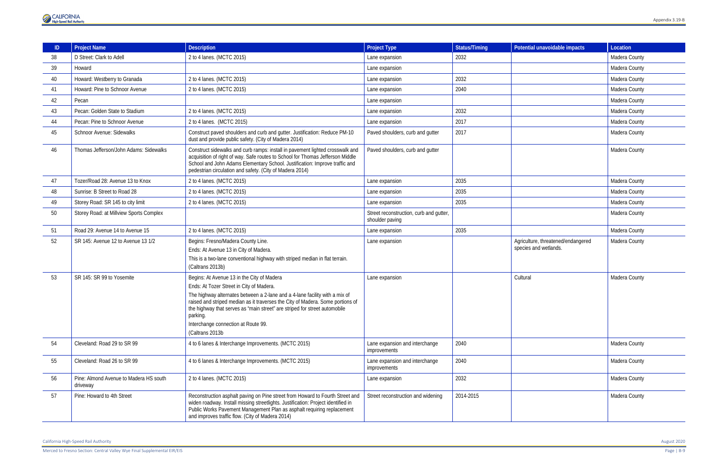

| ID | <b>Project Name</b>                                | <b>Description</b>                                                                                                                                                                                                                                                                                                                                                                                           | <b>Project Type</b>                                        | <b>Status/Timing</b> | Potential unavoidable impacts                               | Location      |
|----|----------------------------------------------------|--------------------------------------------------------------------------------------------------------------------------------------------------------------------------------------------------------------------------------------------------------------------------------------------------------------------------------------------------------------------------------------------------------------|------------------------------------------------------------|----------------------|-------------------------------------------------------------|---------------|
| 38 | D Street: Clark to Adell                           | 2 to 4 lanes. (MCTC 2015)                                                                                                                                                                                                                                                                                                                                                                                    | Lane expansion                                             | 2032                 |                                                             | Madera County |
| 39 | Howard                                             |                                                                                                                                                                                                                                                                                                                                                                                                              | Lane expansion                                             |                      |                                                             | Madera County |
| 40 | Howard: Westberry to Granada                       | 2 to 4 lanes. (MCTC 2015)                                                                                                                                                                                                                                                                                                                                                                                    | Lane expansion                                             | 2032                 |                                                             | Madera County |
| 41 | Howard: Pine to Schnoor Avenue                     | 2 to 4 lanes. (MCTC 2015)                                                                                                                                                                                                                                                                                                                                                                                    | Lane expansion                                             | 2040                 |                                                             | Madera County |
| 42 | Pecan                                              |                                                                                                                                                                                                                                                                                                                                                                                                              | Lane expansion                                             |                      |                                                             | Madera County |
| 43 | Pecan: Golden State to Stadium                     | 2 to 4 lanes. (MCTC 2015)                                                                                                                                                                                                                                                                                                                                                                                    | Lane expansion                                             | 2032                 |                                                             | Madera County |
| 44 | Pecan: Pine to Schnoor Avenue                      | 2 to 4 lanes. (MCTC 2015)                                                                                                                                                                                                                                                                                                                                                                                    | Lane expansion                                             | 2017                 |                                                             | Madera County |
| 45 | Schnoor Avenue: Sidewalks                          | Construct paved shoulders and curb and gutter. Justification: Reduce PM-10<br>dust and provide public safety. (City of Madera 2014)                                                                                                                                                                                                                                                                          | Paved shoulders, curb and gutter                           | 2017                 |                                                             | Madera County |
| 46 | Thomas Jefferson/John Adams: Sidewalks             | Construct sidewalks and curb ramps: install in pavement lighted crosswalk and<br>acquisition of right of way. Safe routes to School for Thomas Jefferson Middle<br>School and John Adams Elementary School. Justification: Improve traffic and<br>pedestrian circulation and safety. (City of Madera 2014)                                                                                                   | Paved shoulders, curb and gutter                           |                      |                                                             | Madera County |
| 47 | Tozer/Road 28: Avenue 13 to Knox                   | 2 to 4 lanes. (MCTC 2015)                                                                                                                                                                                                                                                                                                                                                                                    | Lane expansion                                             | 2035                 |                                                             | Madera County |
| 48 | Sunrise: B Street to Road 28                       | 2 to 4 lanes. (MCTC 2015)                                                                                                                                                                                                                                                                                                                                                                                    | Lane expansion                                             | 2035                 |                                                             | Madera County |
| 49 | Storey Road: SR 145 to city limit                  | 2 to 4 lanes. (MCTC 2015)                                                                                                                                                                                                                                                                                                                                                                                    | Lane expansion                                             | 2035                 |                                                             | Madera County |
| 50 | Storey Road: at Millview Sports Complex            |                                                                                                                                                                                                                                                                                                                                                                                                              | Street reconstruction, curb and gutter,<br>shoulder paving |                      |                                                             | Madera County |
| 51 | Road 29: Avenue 14 to Avenue 15                    | 2 to 4 lanes. (MCTC 2015)                                                                                                                                                                                                                                                                                                                                                                                    | Lane expansion                                             | 2035                 |                                                             | Madera County |
| 52 | SR 145: Avenue 12 to Avenue 13 1/2                 | Begins: Fresno/Madera County Line.<br>Ends: At Avenue 13 in City of Madera.<br>This is a two-lane conventional highway with striped median in flat terrain.<br>(Caltrans 2013b)                                                                                                                                                                                                                              | Lane expansion                                             |                      | Agriculture, threatened/endangered<br>species and wetlands. | Madera County |
| 53 | SR 145: SR 99 to Yosemite                          | Begins: At Avenue 13 in the City of Madera<br>Ends: At Tozer Street in City of Madera.<br>The highway alternates between a 2-lane and a 4-lane facility with a mix of<br>raised and striped median as it traverses the City of Madera. Some portions of<br>the highway that serves as "main street" are striped for street automobile<br>parking.<br>Interchange connection at Route 99.<br>(Caltrans 2013b) | Lane expansion                                             |                      | Cultural                                                    | Madera County |
| 54 | Cleveland: Road 29 to SR 99                        | 4 to 6 lanes & Interchange Improvements. (MCTC 2015)                                                                                                                                                                                                                                                                                                                                                         | Lane expansion and interchange<br>improvements             | 2040                 |                                                             | Madera County |
| 55 | Cleveland: Road 26 to SR 99                        | 4 to 6 lanes & Interchange Improvements. (MCTC 2015)                                                                                                                                                                                                                                                                                                                                                         | Lane expansion and interchange<br>improvements             | 2040                 |                                                             | Madera County |
| 56 | Pine: Almond Avenue to Madera HS south<br>driveway | 2 to 4 lanes. (MCTC 2015)                                                                                                                                                                                                                                                                                                                                                                                    | Lane expansion                                             | 2032                 |                                                             | Madera County |
| 57 | Pine: Howard to 4th Street                         | Reconstruction asphalt paving on Pine street from Howard to Fourth Street and<br>widen roadway. Install missing streetlights. Justification: Project identified in<br>Public Works Pavement Management Plan as asphalt requiring replacement<br>and improves traffic flow. (City of Madera 2014)                                                                                                             | Street reconstruction and widening                         | 2014-2015            |                                                             | Madera County |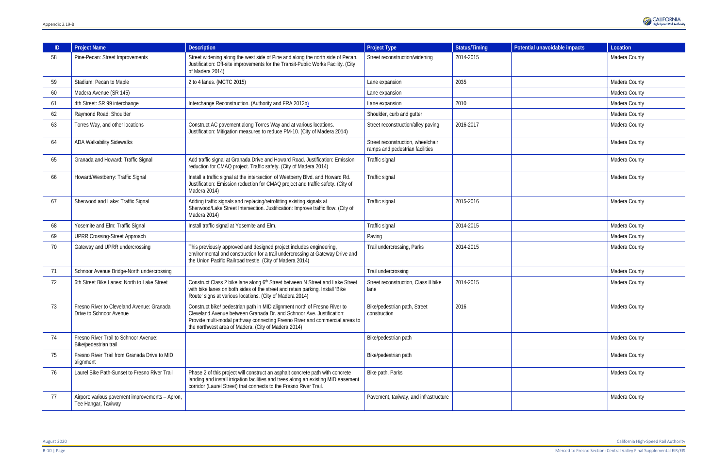|    | <b>Project Name</b>                                                    | <b>Description</b>                                                                                                                                                                                                                                                                      | <b>Project Type</b>                                                  | <b>Status/Timing</b> | Potential unavoidable impacts | Location      |
|----|------------------------------------------------------------------------|-----------------------------------------------------------------------------------------------------------------------------------------------------------------------------------------------------------------------------------------------------------------------------------------|----------------------------------------------------------------------|----------------------|-------------------------------|---------------|
| 58 | Pine-Pecan: Street Improvements                                        | Street widening along the west side of Pine and along the north side of Pecan.<br>Justification: Off-site improvements for the Transit-Public Works Facility. (City<br>of Madera 2014)                                                                                                  | Street reconstruction/widening                                       | 2014-2015            |                               | Madera County |
| 59 | Stadium: Pecan to Maple                                                | 2 to 4 lanes. (MCTC 2015)                                                                                                                                                                                                                                                               | Lane expansion                                                       | 2035                 |                               | Madera County |
| 60 | Madera Avenue (SR 145)                                                 |                                                                                                                                                                                                                                                                                         | Lane expansion                                                       |                      |                               | Madera County |
| 61 | 4th Street: SR 99 interchange                                          | Interchange Reconstruction. (Authority and FRA 2012b)                                                                                                                                                                                                                                   | Lane expansion                                                       | 2010                 |                               | Madera County |
| 62 | Raymond Road: Shoulder                                                 |                                                                                                                                                                                                                                                                                         | Shoulder, curb and gutter                                            |                      |                               | Madera County |
| 63 | Torres Way, and other locations                                        | Construct AC pavement along Torres Way and at various locations.<br>Justification: Mitigation measures to reduce PM-10. (City of Madera 2014)                                                                                                                                           | Street reconstruction/alley paving                                   | 2016-2017            |                               | Madera County |
| 64 | <b>ADA Walkability Sidewalks</b>                                       |                                                                                                                                                                                                                                                                                         | Street reconstruction, wheelchair<br>ramps and pedestrian facilities |                      |                               | Madera County |
| 65 | Granada and Howard: Traffic Signal                                     | Add traffic signal at Granada Drive and Howard Road. Justification: Emission<br>reduction for CMAQ project. Traffic safety. (City of Madera 2014)                                                                                                                                       | Traffic signal                                                       |                      |                               | Madera County |
| 66 | Howard/Westberry: Traffic Signal                                       | Install a traffic signal at the intersection of Westberry Blvd. and Howard Rd.<br>Justification: Emission reduction for CMAQ project and traffic safety. (City of<br>Madera 2014)                                                                                                       | Traffic signal                                                       |                      |                               | Madera County |
| 67 | Sherwood and Lake: Traffic Signal                                      | Adding traffic signals and replacing/retrofitting existing signals at<br>Sherwood/Lake Street Intersection. Justification: Improve traffic flow. (City of<br>Madera 2014)                                                                                                               | Traffic signal                                                       | 2015-2016            |                               | Madera County |
| 68 | Yosemite and Elm: Traffic Signal                                       | Install traffic signal at Yosemite and Elm.                                                                                                                                                                                                                                             | Traffic signal                                                       | 2014-2015            |                               | Madera County |
| 69 | <b>UPRR Crossing-Street Approach</b>                                   |                                                                                                                                                                                                                                                                                         | Paving                                                               |                      |                               | Madera County |
| 70 | Gateway and UPRR undercrossing                                         | This previously approved and designed project includes engineering,<br>environmental and construction for a trail undercrossing at Gateway Drive and<br>the Union Pacific Railroad trestle. (City of Madera 2014)                                                                       | Trail undercrossing, Parks                                           | 2014-2015            |                               | Madera County |
| 71 | Schnoor Avenue Bridge-North undercrossing                              |                                                                                                                                                                                                                                                                                         | Trail undercrossing                                                  |                      |                               | Madera County |
| 72 | 6th Street Bike Lanes: North to Lake Street                            | Construct Class 2 bike lane along 6th Street between N Street and Lake Street<br>with bike lanes on both sides of the street and retain parking. Install 'Bike<br>Route' signs at various locations. (City of Madera 2014)                                                              | Street reconstruction, Class II bike<br>lane                         | 2014-2015            |                               | Madera County |
| 73 | Fresno River to Cleveland Avenue: Granada<br>Drive to Schnoor Avenue   | Construct bike/ pedestrian path in MID alignment north of Fresno River to<br>Cleveland Avenue between Granada Dr. and Schnoor Ave. Justification:<br>Provide multi-modal pathway connecting Fresno River and commercial areas to<br>the northwest area of Madera. (City of Madera 2014) | Bike/pedestrian path, Street<br>construction                         | 2016                 |                               | Madera County |
| 74 | Fresno River Trail to Schnoor Avenue:<br>Bike/pedestrian trail         |                                                                                                                                                                                                                                                                                         | Bike/pedestrian path                                                 |                      |                               | Madera County |
| 75 | Fresno River Trail from Granada Drive to MID<br>alignment              |                                                                                                                                                                                                                                                                                         | Bike/pedestrian path                                                 |                      |                               | Madera County |
| 76 | Laurel Bike Path-Sunset to Fresno River Trail                          | Phase 2 of this project will construct an asphalt concrete path with concrete<br>landing and install irrigation facilities and trees along an existing MID easement<br>corridor (Laurel Street) that connects to the Fresno River Trail.                                                | Bike path, Parks                                                     |                      |                               | Madera County |
| 77 | Airport: various pavement improvements - Apron,<br>Tee Hangar, Taxiway |                                                                                                                                                                                                                                                                                         | Pavement, taxiway, and infrastructure                                |                      |                               | Madera County |

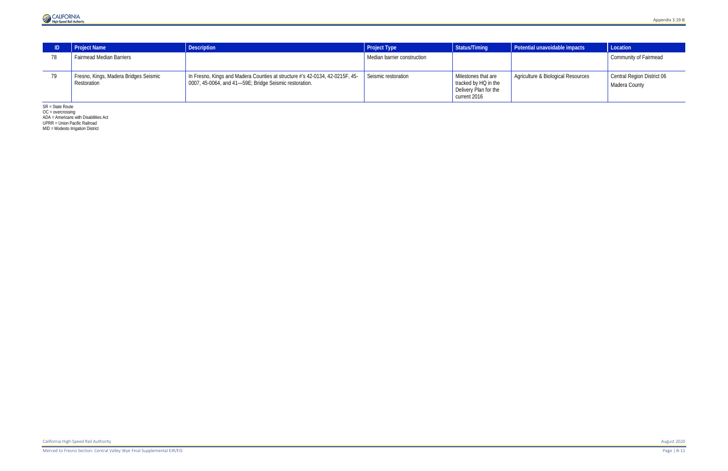

|    | <b>Project Name</b>                                  | <b>Description</b>                                                                                                                     | <b>Project Type</b>         | Status/Timing                                                                        | Potential unavoidable impacts      | Location                                    |
|----|------------------------------------------------------|----------------------------------------------------------------------------------------------------------------------------------------|-----------------------------|--------------------------------------------------------------------------------------|------------------------------------|---------------------------------------------|
|    | <b>Fairmead Median Barriers</b>                      |                                                                                                                                        | Median barrier construction |                                                                                      |                                    | <b>Community of Fairmead</b>                |
| 79 | Fresno, Kings, Madera Bridges Seismic<br>Restoration | In Fresno, Kings and Madera Counties at structure #'s 42-0134, 42-0215F, 45-<br>0007, 45-0064, and 41-59E; Bridge Seismic restoration. | Seismic restoration         | Milestones that are<br>tracked by HQ in the<br>Delivery Plan for the<br>current 2016 | Agriculture & Biological Resources | Central Region District 06<br>Madera County |

SR = State Route

OC = overcrossing

ADA = Americans with Disabilities Act

UPRR = Union Pacific Railroad

MID = Modesto Irrigation District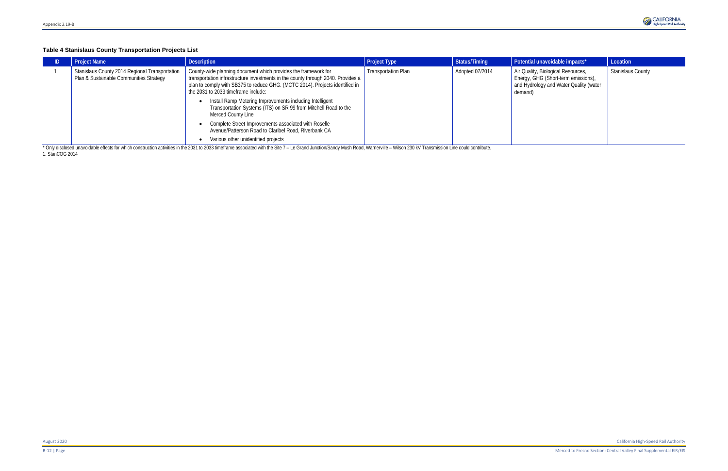### **Table 4 Stanislaus County Transportation Projects List**

| <b>Project Name</b>                                                                       | <b>Description</b>                                                                                                                                                                                                                                                        | <b>Project Type</b>        | Status/Timing   | Potential unavoidable impacts*                                                                                                 | Location                 |
|-------------------------------------------------------------------------------------------|---------------------------------------------------------------------------------------------------------------------------------------------------------------------------------------------------------------------------------------------------------------------------|----------------------------|-----------------|--------------------------------------------------------------------------------------------------------------------------------|--------------------------|
| Stanislaus County 2014 Regional Transportation<br>Plan & Sustainable Communities Strategy | County-wide planning document which provides the framework for<br>transportation infrastructure investments in the county through 2040. Provides a<br>plan to comply with SB375 to reduce GHG. (MCTC 2014). Projects identified in<br>the 2031 to 2033 timeframe include: | <b>Transportation Plan</b> | Adopted 07/2014 | Air Quality, Biological Resources,<br>Energy, GHG (Short-term emissions),<br>and Hydrology and Water Quality (water<br>demand) | <b>Stanislaus County</b> |
|                                                                                           | Install Ramp Metering Improvements including Intelligent<br>Transportation Systems (ITS) on SR 99 from Mitchell Road to the<br>Merced County Line                                                                                                                         |                            |                 |                                                                                                                                |                          |
|                                                                                           | Complete Street Improvements associated with Roselle<br>Avenue/Patterson Road to Claribel Road, Riverbank CA                                                                                                                                                              |                            |                 |                                                                                                                                |                          |
|                                                                                           | Various other unidentified projects<br>* Oak distributions and the fight to determine subdividuals 0004 to 0000 the fight and with the Ote 7 and a Oak and has the Dead Microsoft and Microsoft 1. On 1.1 Theoretical conditions and conditions                           |                            |                 |                                                                                                                                |                          |

\* Only disclosed unavoidable effects for which construction activities in the 2031 to 2033 timeframe associated with the Site 7 - Le Grand Junction/Sandy Mush Road, Warnerville - Wilson 230 kV Transmission Line could contr 1[. StanCOG](http://www.stancog.org/pdf/rtp/final-2014-rtpscs-peir.pdf) 2014

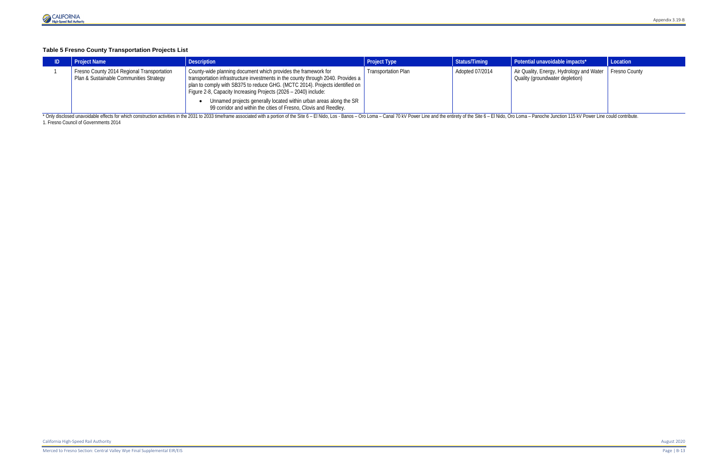## **Table 5 Fresno County Transportation Projects List**

| <b>Project Name</b>                                                                                                                                                                                                            | <b>Description</b>                                                                                                                                                                                                                                                                                                                                                                                                                              | <b>Project Type</b>        | Status/Timing   | Potential unavoidable impacts*                                                              | Location |  |  |  |
|--------------------------------------------------------------------------------------------------------------------------------------------------------------------------------------------------------------------------------|-------------------------------------------------------------------------------------------------------------------------------------------------------------------------------------------------------------------------------------------------------------------------------------------------------------------------------------------------------------------------------------------------------------------------------------------------|----------------------------|-----------------|---------------------------------------------------------------------------------------------|----------|--|--|--|
| Fresno County 2014 Regional Transportation<br>Plan & Sustainable Communities Strategy                                                                                                                                          | County-wide planning document which provides the framework for<br>transportation infrastructure investments in the county through 2040. Provides a<br>plan to comply with SB375 to reduce GHG. (MCTC 2014). Projects identified on<br>Figure 2-8, Capacity Increasing Projects (2026 - 2040) include:<br>Unnamed projects generally located within urban areas along the SR<br>99 corridor and within the cities of Fresno, Clovis and Reedley. | <b>Transportation Plan</b> | Adopted 07/2014 | Air Quality, Energy, Hydrology and Water   Fresno County<br>Quality (groundwater depletion) |          |  |  |  |
| * Only disclosed unavoidable effects for which construction activities in the 2031 to 2033 timeframe associated with a portion of the Site 6 - El Nido, Los - Banos - Oro Loma - Canal 70 kV Power Line and the entirety of th |                                                                                                                                                                                                                                                                                                                                                                                                                                                 |                            |                 |                                                                                             |          |  |  |  |

1[. Fresno](http://www.fresnocog.org/sites/default/files/publications/RTP/Final_RTP/Fresno_COG_2014_RTP_Draft_PEIR.pdf) Council of Governments 2014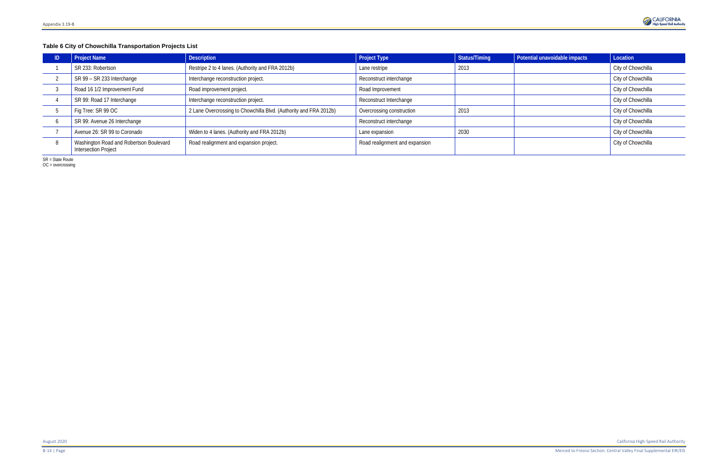## **Table 6 City of Chowchilla Transportation Projects List**

| <b>Project Name</b>                                                    | <b>Description</b>                                                | <b>Project Type</b>            | Status/Timing | Potential unavoidable impacts | Location           |
|------------------------------------------------------------------------|-------------------------------------------------------------------|--------------------------------|---------------|-------------------------------|--------------------|
| SR 233: Robertson                                                      | Restripe 2 to 4 lanes. (Authority and FRA 2012b)                  | Lane restripe                  | 2013          |                               | City of Chowchilla |
| SR 99 - SR 233 Interchange                                             | Interchange reconstruction project.                               | Reconstruct interchange        |               |                               | City of Chowchilla |
| Road 16 1/2 Improvement Fund                                           | Road improvement project.                                         | Road Improvement               |               |                               | City of Chowchilla |
| SR 99: Road 17 Interchange                                             | Interchange reconstruction project.                               | Reconstruct Interchange        |               |                               | City of Chowchilla |
| Fig Tree: SR 99 OC                                                     | 2 Lane Overcrossing to Chowchilla Blvd. (Authority and FRA 2012b) | Overcrossing construction      | 2013          |                               | City of Chowchilla |
| SR 99: Avenue 26 Interchange                                           |                                                                   | Reconstruct interchange        |               |                               | City of Chowchilla |
| Avenue 26: SR 99 to Coronado                                           | Widen to 4 lanes. (Authority and FRA 2012b)                       | Lane expansion                 | 2030          |                               | City of Chowchilla |
| Washington Road and Robertson Boulevard<br><b>Intersection Project</b> | Road realignment and expansion project.                           | Road realignment and expansion |               |                               | City of Chowchilla |

SR = State Route

OC = overcrossing

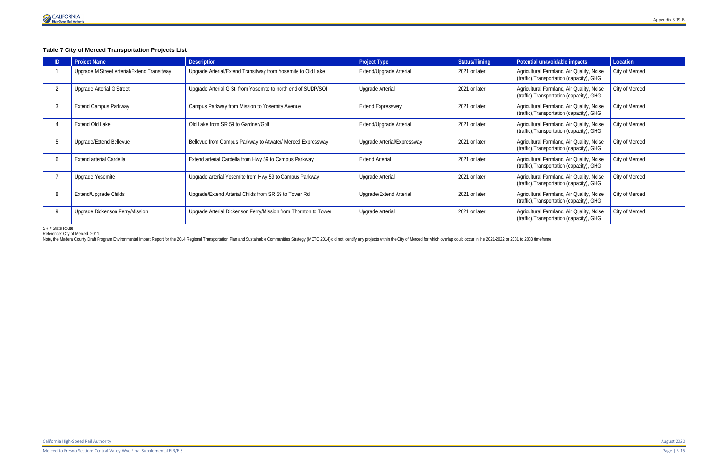

## **Table 7 City of Merced Transportation Projects List**

| <b>ID</b> | <b>Project Name</b>                         | <b>Description</b>                                              | <b>Project Type</b>         | Status/Timing | Potential unavoidable impacts                                                          | Location       |
|-----------|---------------------------------------------|-----------------------------------------------------------------|-----------------------------|---------------|----------------------------------------------------------------------------------------|----------------|
|           | Upgrade M Street Arterial/Extend Transitway | Upgrade Arterial/Extend Transitway from Yosemite to Old Lake    | Extend/Upgrade Arterial     | 2021 or later | Agricultural Farmland, Air Quality, Noise<br>(traffic), Transportation (capacity), GHG | City of Merced |
|           | <b>Upgrade Arterial G Street</b>            | Upgrade Arterial G St. from Yosemite to north end of SUDP/SOI   | <b>Upgrade Arterial</b>     | 2021 or later | Agricultural Farmland, Air Quality, Noise<br>(traffic), Transportation (capacity), GHG | City of Merced |
|           | <b>Extend Campus Parkway</b>                | Campus Parkway from Mission to Yosemite Avenue                  | <b>Extend Expressway</b>    | 2021 or later | Agricultural Farmland, Air Quality, Noise<br>(traffic), Transportation (capacity), GHG | City of Merced |
|           | Extend Old Lake                             | Old Lake from SR 59 to Gardner/Golf                             | Extend/Upgrade Arterial     | 2021 or later | Agricultural Farmland, Air Quality, Noise<br>(traffic), Transportation (capacity), GHG | City of Merced |
|           | Upgrade/Extend Bellevue                     | Bellevue from Campus Parkway to Atwater/ Merced Expressway      | Upgrade Arterial/Expressway | 2021 or later | Agricultural Farmland, Air Quality, Noise<br>(traffic), Transportation (capacity), GHG | City of Merced |
|           | Extend arterial Cardella                    | Extend arterial Cardella from Hwy 59 to Campus Parkway          | <b>Extend Arterial</b>      | 2021 or later | Agricultural Farmland, Air Quality, Noise<br>(traffic), Transportation (capacity), GHG | City of Merced |
|           | Upgrade Yosemite                            | Upgrade arterial Yosemite from Hwy 59 to Campus Parkway         | Upgrade Arterial            | 2021 or later | Agricultural Farmland, Air Quality, Noise<br>(traffic), Transportation (capacity), GHG | City of Merced |
| 8         | Extend/Upgrade Childs                       | Upgrade/Extend Arterial Childs from SR 59 to Tower Rd           | Upgrade/Extend Arterial     | 2021 or later | Agricultural Farmland, Air Quality, Noise<br>(traffic), Transportation (capacity), GHG | City of Merced |
|           | Upgrade Dickenson Ferry/Mission             | Upgrade Arterial Dickenson Ferry/Mission from Thornton to Tower | Upgrade Arterial            | 2021 or later | Agricultural Farmland, Air Quality, Noise<br>(traffic), Transportation (capacity), GHG | City of Merced |

SR = State Route

Reference: City of Merced. 2011.

Note, the Madera County Draft Program Environmental Impact Report for the 2014 Regional Transportation Plan and Sustainable Communities Strategy (MCTC 2014) did not identify any projects within the City of Merced for which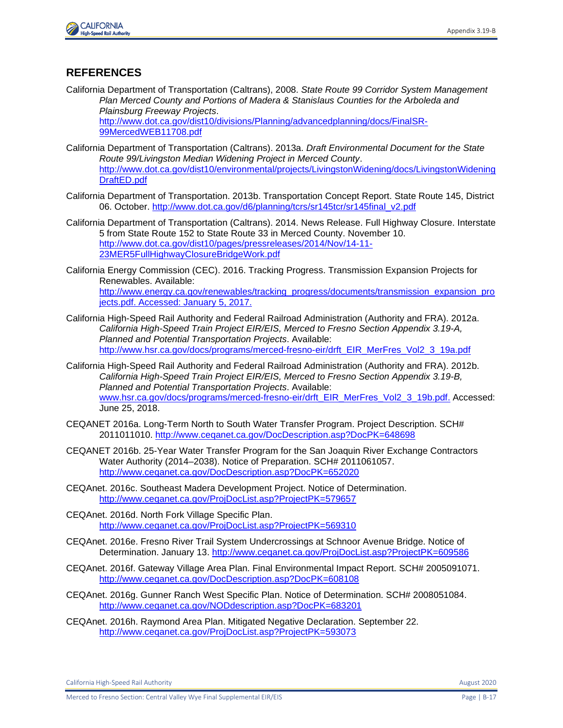

#### **REFERENCES**

California Department of Transportation (Caltrans), 2008. *State Route 99 Corridor System Management Plan Merced County and Portions of Madera & Stanislaus Counties for the Arboleda and Plainsburg Freeway Projects*.

[http://www.dot.ca.gov/dist10/divisions/Planning/advancedplanning/docs/FinalSR-](http://www.dot.ca.gov/dist10/divisions/Planning/advancedplanning/docs/FinalSR-99MercedWEB11708.pdf)[99MercedWEB11708.pdf](http://www.dot.ca.gov/dist10/divisions/Planning/advancedplanning/docs/FinalSR-99MercedWEB11708.pdf)

- California Department of Transportation (Caltrans). 2013a. *Draft Environmental Document for the State Route 99/Livingston Median Widening Project in Merced County*. [http://www.dot.ca.gov/dist10/environmental/projects/LivingstonWidening/docs/LivingstonWidening](http://www.dot.ca.gov/dist10/environmental/projects/LivingstonWidening/docs/LivingstonWideningDraftED.pdf) [DraftED.pdf](http://www.dot.ca.gov/dist10/environmental/projects/LivingstonWidening/docs/LivingstonWideningDraftED.pdf)
- California Department of Transportation. 2013b. Transportation Concept Report. State Route 145, District 06. October. [http://www.dot.ca.gov/d6/planning/tcrs/sr145tcr/sr145final\\_v2.pdf](http://www.dot.ca.gov/d6/planning/tcrs/sr145tcr/sr145final_v2.pdf)
- California Department of Transportation (Caltrans). 2014. News Release. Full Highway Closure. Interstate 5 from State Route 152 to State Route 33 in Merced County. November 10. [http://www.dot.ca.gov/dist10/pages/pressreleases/2014/Nov/14-11-](http://www.dot.ca.gov/dist10/pages/pressreleases/2014/Nov/14-11-23MER5FullHighwayClosureBridgeWork.pdf) [23MER5FullHighwayClosureBridgeWork.pdf](http://www.dot.ca.gov/dist10/pages/pressreleases/2014/Nov/14-11-23MER5FullHighwayClosureBridgeWork.pdf)
- California Energy Commission (CEC). 2016. Tracking Progress. Transmission Expansion Projects for Renewables. Available: [http://www.energy.ca.gov/renewables/tracking\\_progress/documents/transmission\\_expansion\\_pro](http://www.energy.ca.gov/renewables/tracking_progress/documents/transmission_expansion_projects.pdf) [jects.pdf.](http://www.energy.ca.gov/renewables/tracking_progress/documents/transmission_expansion_projects.pdf) Accessed: January 5, 2017.
- California High-Speed Rail Authority and Federal Railroad Administration (Authority and FRA). 2012a. *California High-Speed Train Project EIR/EIS, Merced to Fresno Section Appendix 3.19-A, Planned and Potential Transportation Projects*. Available: http://www.hsr.ca.gov/docs/programs/merced-fresno-eir/drft\_EIR\_MerFres\_Vol2\_3\_19a.pdf
- California High-Speed Rail Authority and Federal Railroad Administration (Authority and FRA). 2012b. *California High-Speed Train Project EIR/EIS, Merced to Fresno Section Appendix 3.19-B, Planned and Potential Transportation Projects*. Available: [www.hsr.ca.gov/docs/programs/merced-fresno-eir/drft\\_EIR\\_MerFres\\_Vol2\\_3\\_19b.pdf.](http://www.hsr.ca.gov/docs/programs/merced-fresno-eir/drft_EIR_MerFres_Vol2_3_19b.pdf) Accessed: June 25, 2018.
- CEQANET 2016a. Long-Term North to South Water Transfer Program. Project Description. SCH# 2011011010.<http://www.ceqanet.ca.gov/DocDescription.asp?DocPK=648698>
- CEQANET 2016b. 25-Year Water Transfer Program for the San Joaquin River Exchange Contractors Water Authority (2014–2038). Notice of Preparation. SCH# 2011061057. <http://www.ceqanet.ca.gov/DocDescription.asp?DocPK=652020>
- CEQAnet. 2016c. Southeast Madera Development Project. Notice of Determination. <http://www.ceqanet.ca.gov/ProjDocList.asp?ProjectPK=579657>
- CEQAnet. 2016d. North Fork Village Specific Plan. <http://www.ceqanet.ca.gov/ProjDocList.asp?ProjectPK=569310>
- CEQAnet. 2016e. Fresno River Trail System Undercrossings at Schnoor Avenue Bridge. Notice of Determination. January 13.<http://www.ceqanet.ca.gov/ProjDocList.asp?ProjectPK=609586>
- CEQAnet. 2016f. Gateway Village Area Plan. Final Environmental Impact Report. SCH# 2005091071. <http://www.ceqanet.ca.gov/DocDescription.asp?DocPK=608108>
- CEQAnet. 2016g. Gunner Ranch West Specific Plan. Notice of Determination. SCH# 2008051084. <http://www.ceqanet.ca.gov/NODdescription.asp?DocPK=683201>
- CEQAnet. 2016h. Raymond Area Plan. Mitigated Negative Declaration. September 22. <http://www.ceqanet.ca.gov/ProjDocList.asp?ProjectPK=593073>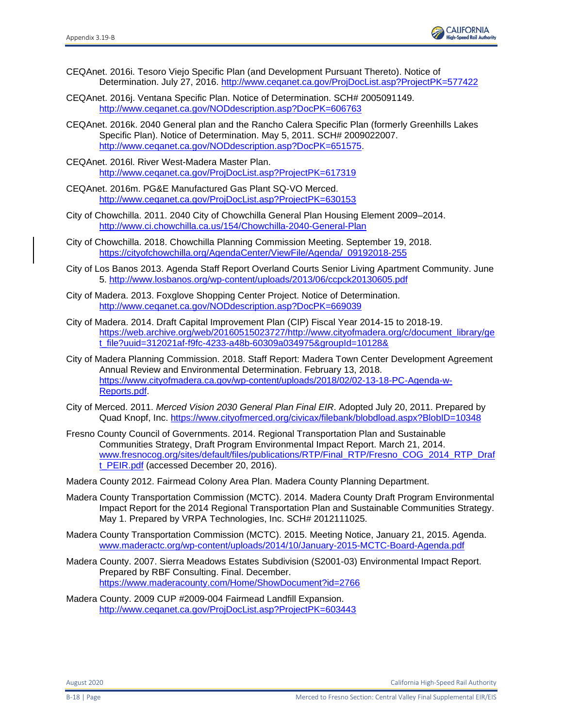

- CEQAnet. 2016i. Tesoro Viejo Specific Plan (and Development Pursuant Thereto). Notice of Determination. July 27, 2016.<http://www.ceqanet.ca.gov/ProjDocList.asp?ProjectPK=577422>
- CEQAnet. 2016j. Ventana Specific Plan. Notice of Determination. SCH# 2005091149. <http://www.ceqanet.ca.gov/NODdescription.asp?DocPK=606763>
- CEQAnet. 2016k. 2040 General plan and the Rancho Calera Specific Plan (formerly Greenhills Lakes Specific Plan). Notice of Determination. May 5, 2011. SCH# 2009022007. [http://www.ceqanet.ca.gov/NODdescription.asp?DocPK=651575.](http://www.ceqanet.ca.gov/NODdescription.asp?DocPK=651575)
- CEQAnet. 2016l. River West-Madera Master Plan. <http://www.ceqanet.ca.gov/ProjDocList.asp?ProjectPK=617319>
- CEQAnet. 2016m. PG&E Manufactured Gas Plant SQ-VO Merced. <http://www.ceqanet.ca.gov/ProjDocList.asp?ProjectPK=630153>
- City of Chowchilla. 2011. 2040 City of Chowchilla General Plan Housing Element 2009–2014. <http://www.ci.chowchilla.ca.us/154/Chowchilla-2040-General-Plan>
- City of Chowchilla. 2018. Chowchilla Planning Commission Meeting. September 19, 2018. [https://cityofchowchilla.org/AgendaCenter/ViewFile/Agenda/\\_09192018-255](https://cityofchowchilla.org/AgendaCenter/ViewFile/Agenda/_09192018-255)
- City of Los Banos 2013. Agenda Staff Report Overland Courts Senior Living Apartment Community. June 5.<http://www.losbanos.org/wp-content/uploads/2013/06/ccpck20130605.pdf>
- City of Madera. 2013. Foxglove Shopping Center Project. Notice of Determination. <http://www.ceqanet.ca.gov/NODdescription.asp?DocPK=669039>
- City of Madera. 2014. Draft Capital Improvement Plan (CIP) Fiscal Year 2014-15 to 2018-19. [https://web.archive.org/web/20160515023727/http://www.cityofmadera.org/c/document\\_library/ge](https://web.archive.org/web/20160515023727/http:/www.cityofmadera.org/c/document_library/get_file?uuid=312021af-f9fc-4233-a48b-60309a034975&groupId=10128&) [t\\_file?uuid=312021af-f9fc-4233-a48b-60309a034975&groupId=10128&](https://web.archive.org/web/20160515023727/http:/www.cityofmadera.org/c/document_library/get_file?uuid=312021af-f9fc-4233-a48b-60309a034975&groupId=10128&)
- City of Madera Planning Commission. 2018. Staff Report: Madera Town Center Development Agreement Annual Review and Environmental Determination. February 13, 2018. [https://www.cityofmadera.ca.gov/wp-content/uploads/2018/02/02-13-18-PC-Agenda-w-](https://www.cityofmadera.ca.gov/wp-content/uploads/2018/02/02-13-18-PC-Agenda-w-Reports.pdf)[Reports.pdf.](https://www.cityofmadera.ca.gov/wp-content/uploads/2018/02/02-13-18-PC-Agenda-w-Reports.pdf)
- City of Merced. 2011. *Merced Vision 2030 General Plan Final EIR*. Adopted July 20, 2011. Prepared by Quad Knopf, Inc.<https://www.cityofmerced.org/civicax/filebank/blobdload.aspx?BlobID=10348>
- Fresno County Council of Governments. 2014. Regional Transportation Plan and Sustainable Communities Strategy, Draft Program Environmental Impact Report. March 21, 2014. [www.fresnocog.org/sites/default/files/publications/RTP/Final\\_RTP/Fresno\\_COG\\_2014\\_RTP\\_Draf](http://www.fresnocog.org/sites/default/files/publications/RTP/Final_RTP/Fresno_COG_2014_RTP_Draft_PEIR.pdf) [t\\_PEIR.pdf](http://www.fresnocog.org/sites/default/files/publications/RTP/Final_RTP/Fresno_COG_2014_RTP_Draft_PEIR.pdf) (accessed December 20, 2016).
- Madera County 2012. Fairmead Colony Area Plan. Madera County Planning Department.
- Madera County Transportation Commission (MCTC). 2014. Madera County Draft Program Environmental Impact Report for the 2014 Regional Transportation Plan and Sustainable Communities Strategy. May 1. Prepared by VRPA Technologies, Inc. SCH# 2012111025.
- Madera County Transportation Commission (MCTC). 2015. Meeting Notice, January 21, 2015. Agenda. [www.maderactc.org/wp-content/uploads/2014/10/January-2015-MCTC-Board-Agenda.pdf](http://www.maderactc.org/wp-content/uploads/2014/10/January-2015-MCTC-Board-Agenda.pdf)
- Madera County. 2007. Sierra Meadows Estates Subdivision (S2001-03) Environmental Impact Report. Prepared by RBF Consulting. Final. December. <https://www.maderacounty.com/Home/ShowDocument?id=2766>
- Madera County. 2009 CUP #2009-004 Fairmead Landfill Expansion. <http://www.ceqanet.ca.gov/ProjDocList.asp?ProjectPK=603443>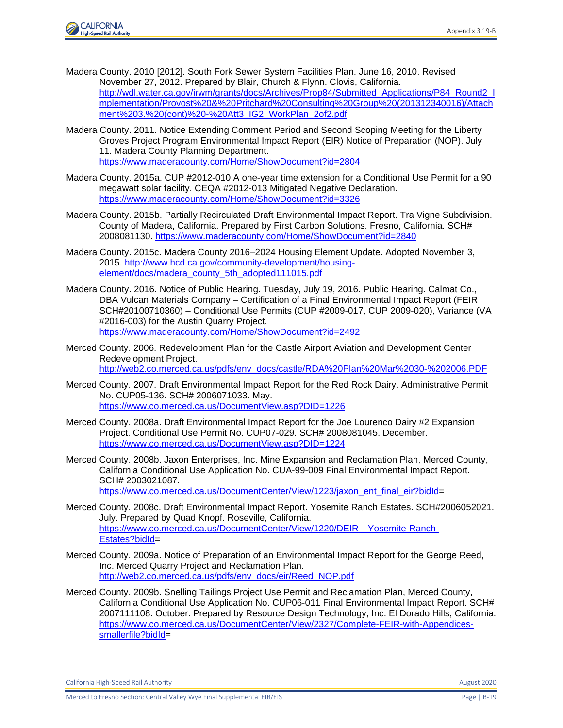

- Madera County. 2010 [2012]. South Fork Sewer System Facilities Plan. June 16, 2010. Revised November 27, 2012. Prepared by Blair, Church & Flynn. Clovis, California. [http://wdl.water.ca.gov/irwm/grants/docs/Archives/Prop84/Submitted\\_Applications/P84\\_Round2\\_I](http://wdl.water.ca.gov/irwm/grants/docs/Archives/Prop84/Submitted_Applications/P84_Round2_Implementation/Provost%20&%20Pritchard%20Consulting%20Group%20(201312340016)/Attachment%203.%20(cont)%20-%20Att3_IG2_WorkPlan_2of2.pdf) [mplementation/Provost%20&%20Pritchard%20Consulting%20Group%20\(201312340016\)/Attach](http://wdl.water.ca.gov/irwm/grants/docs/Archives/Prop84/Submitted_Applications/P84_Round2_Implementation/Provost%20&%20Pritchard%20Consulting%20Group%20(201312340016)/Attachment%203.%20(cont)%20-%20Att3_IG2_WorkPlan_2of2.pdf) [ment%203.%20\(cont\)%20-%20Att3\\_IG2\\_WorkPlan\\_2of2.pdf](http://wdl.water.ca.gov/irwm/grants/docs/Archives/Prop84/Submitted_Applications/P84_Round2_Implementation/Provost%20&%20Pritchard%20Consulting%20Group%20(201312340016)/Attachment%203.%20(cont)%20-%20Att3_IG2_WorkPlan_2of2.pdf)
- Madera County. 2011. Notice Extending Comment Period and Second Scoping Meeting for the Liberty Groves Project Program Environmental Impact Report (EIR) Notice of Preparation (NOP). July 11. Madera County Planning Department. <https://www.maderacounty.com/Home/ShowDocument?id=2804>
- Madera County. 2015a. CUP #2012-010 A one-year time extension for a Conditional Use Permit for a 90 megawatt solar facility. CEQA #2012-013 Mitigated Negative Declaration. <https://www.maderacounty.com/Home/ShowDocument?id=3326>
- Madera County. 2015b. Partially Recirculated Draft Environmental Impact Report. Tra Vigne Subdivision. County of Madera, California. Prepared by First Carbon Solutions. Fresno, California. SCH# 2008081130.<https://www.maderacounty.com/Home/ShowDocument?id=2840>
- Madera County. 2015c. Madera County 2016–2024 Housing Element Update. Adopted November 3, 2015. [http://www.hcd.ca.gov/community-development/housing](http://www.hcd.ca.gov/community-development/housing-element/docs/madera_county_5th_adopted111015.pdf)[element/docs/madera\\_county\\_5th\\_adopted111015.pdf](http://www.hcd.ca.gov/community-development/housing-element/docs/madera_county_5th_adopted111015.pdf)
- Madera County. 2016. Notice of Public Hearing. Tuesday, July 19, 2016. Public Hearing. Calmat Co., DBA Vulcan Materials Company – Certification of a Final Environmental Impact Report (FEIR SCH#20100710360) – Conditional Use Permits (CUP #2009-017, CUP 2009-020), Variance (VA #2016-003) for the Austin Quarry Project. <https://www.maderacounty.com/Home/ShowDocument?id=2492>
- Merced County. 2006. Redevelopment Plan for the Castle Airport Aviation and Development Center Redevelopment Project. [http://web2.co.merced.ca.us/pdfs/env\\_docs/castle/RDA%20Plan%20Mar%2030-%202006.PDF](http://web2.co.merced.ca.us/pdfs/env_docs/castle/RDA%20Plan%20Mar%2030-%202006.PDF)
- Merced County. 2007. Draft Environmental Impact Report for the Red Rock Dairy. Administrative Permit No. CUP05-136. SCH# 2006071033. May. <https://www.co.merced.ca.us/DocumentView.asp?DID=1226>
- Merced County. 2008a. Draft Environmental Impact Report for the Joe Lourenco Dairy #2 Expansion Project. Conditional Use Permit No. CUP07-029. SCH# 2008081045. December. <https://www.co.merced.ca.us/DocumentView.asp?DID=1224>
- Merced County. 2008b. Jaxon Enterprises, Inc. Mine Expansion and Reclamation Plan, Merced County, California Conditional Use Application No. CUA-99-009 Final Environmental Impact Report. SCH# 2003021087.

[https://www.co.merced.ca.us/DocumentCenter/View/1223/jaxon\\_ent\\_final\\_eir?bidId=](https://www.co.merced.ca.us/DocumentCenter/View/1223/jaxon_ent_final_eir?bidId)

- Merced County. 2008c. Draft Environmental Impact Report. Yosemite Ranch Estates. SCH#2006052021. July. Prepared by Quad Knopf. Roseville, California. [https://www.co.merced.ca.us/DocumentCenter/View/1220/DEIR---Yosemite-Ranch-](https://www.co.merced.ca.us/DocumentCenter/View/1220/DEIR---Yosemite-Ranch-Estates?bidId)[Estates?bidId=](https://www.co.merced.ca.us/DocumentCenter/View/1220/DEIR---Yosemite-Ranch-Estates?bidId)
- Merced County. 2009a. Notice of Preparation of an Environmental Impact Report for the George Reed, Inc. Merced Quarry Project and Reclamation Plan. [http://web2.co.merced.ca.us/pdfs/env\\_docs/eir/Reed\\_NOP.pdf](http://web2.co.merced.ca.us/pdfs/env_docs/eir/Reed_NOP.pdf)
- Merced County. 2009b. Snelling Tailings Project Use Permit and Reclamation Plan, Merced County, California Conditional Use Application No. CUP06-011 Final Environmental Impact Report. SCH# 2007111108. October. Prepared by Resource Design Technology, Inc. El Dorado Hills, California. [https://www.co.merced.ca.us/DocumentCenter/View/2327/Complete-FEIR-with-Appendices](https://www.co.merced.ca.us/DocumentCenter/View/2327/Complete-FEIR-with-Appendices-smallerfile?bidId)[smallerfile?bidId=](https://www.co.merced.ca.us/DocumentCenter/View/2327/Complete-FEIR-with-Appendices-smallerfile?bidId)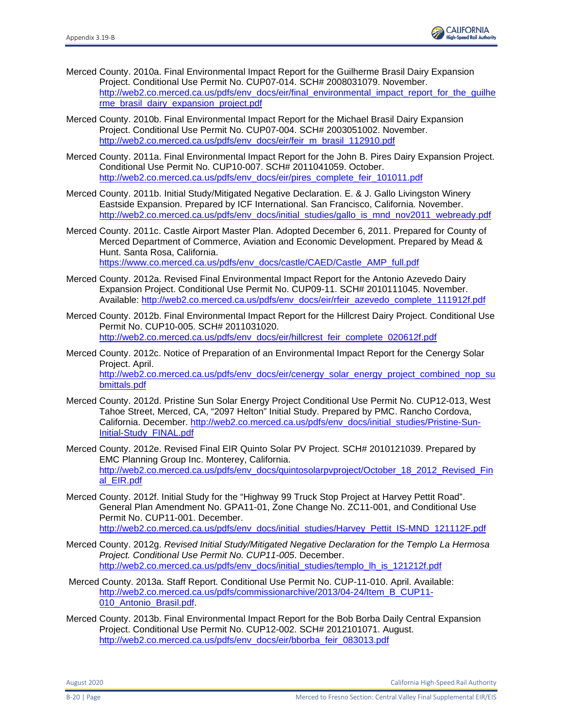

- Merced County. 2010a. Final Environmental Impact Report for the Guilherme Brasil Dairy Expansion Project. Conditional Use Permit No. CUP07-014. SCH# 2008031079. November. http://web2.co.merced.ca.us/pdfs/env\_docs/eir/final\_environmental\_impact\_report\_for\_the\_quilhe [rme\\_brasil\\_dairy\\_expansion\\_project.pdf](http://web2.co.merced.ca.us/pdfs/env_docs/eir/final_environmental_impact_report_for_the_guilherme_brasil_dairy_expansion_project.pdf)
- Merced County. 2010b. Final Environmental Impact Report for the Michael Brasil Dairy Expansion Project. Conditional Use Permit No. CUP07-004. SCH# 2003051002. November. [http://web2.co.merced.ca.us/pdfs/env\\_docs/eir/feir\\_m\\_brasil\\_112910.pdf](http://web2.co.merced.ca.us/pdfs/env_docs/eir/feir_m_brasil_112910.pdf)
- Merced County. 2011a. Final Environmental Impact Report for the John B. Pires Dairy Expansion Project. Conditional Use Permit No. CUP10-007. SCH# 2011041059. October. [http://web2.co.merced.ca.us/pdfs/env\\_docs/eir/pires\\_complete\\_feir\\_101011.pdf](http://web2.co.merced.ca.us/pdfs/env_docs/eir/pires_complete_feir_101011.pdf)
- Merced County. 2011b. Initial Study/Mitigated Negative Declaration. E. & J. Gallo Livingston Winery Eastside Expansion. Prepared by ICF International. San Francisco, California. November. [http://web2.co.merced.ca.us/pdfs/env\\_docs/initial\\_studies/gallo\\_is\\_mnd\\_nov2011\\_webready.pdf](http://web2.co.merced.ca.us/pdfs/env_docs/initial_studies/gallo_is_mnd_nov2011_webready.pdf)
- Merced County. 2011c. Castle Airport Master Plan. Adopted December 6, 2011. Prepared for County of Merced Department of Commerce, Aviation and Economic Development. Prepared by Mead & Hunt. Santa Rosa, California. [https://www.co.merced.ca.us/pdfs/env\\_docs/castle/CAED/Castle\\_AMP\\_full.pdf](https://www.co.merced.ca.us/pdfs/env_docs/castle/CAED/Castle_AMP_full.pdf)
- Merced County. 2012a. Revised Final Environmental Impact Report for the Antonio Azevedo Dairy Expansion Project. Conditional Use Permit No. CUP09-11. SCH# 2010111045. November. Available: [http://web2.co.merced.ca.us/pdfs/env\\_docs/eir/rfeir\\_azevedo\\_complete\\_111912f.pdf](http://web2.co.merced.ca.us/pdfs/env_docs/eir/rfeir_azevedo_complete_111912f.pdf)
- Merced County. 2012b. Final Environmental Impact Report for the Hillcrest Dairy Project. Conditional Use Permit No. CUP10-005. SCH# 2011031020. [http://web2.co.merced.ca.us/pdfs/env\\_docs/eir/hillcrest\\_feir\\_complete\\_020612f.pdf](http://web2.co.merced.ca.us/pdfs/env_docs/eir/hillcrest_feir_complete_020612f.pdf)
- Merced County. 2012c. Notice of Preparation of an Environmental Impact Report for the Cenergy Solar Project. April. [http://web2.co.merced.ca.us/pdfs/env\\_docs/eir/cenergy\\_solar\\_energy\\_project\\_combined\\_nop\\_su](http://web2.co.merced.ca.us/pdfs/env_docs/eir/cenergy_solar_energy_project_combined_nop_submittals.pdf) [bmittals.pdf](http://web2.co.merced.ca.us/pdfs/env_docs/eir/cenergy_solar_energy_project_combined_nop_submittals.pdf)
- Merced County. 2012d. Pristine Sun Solar Energy Project Conditional Use Permit No. CUP12-013, West Tahoe Street, Merced, CA, "2097 Helton" Initial Study. Prepared by PMC. Rancho Cordova, California. December. [http://web2.co.merced.ca.us/pdfs/env\\_docs/initial\\_studies/Pristine-Sun-](http://web2.co.merced.ca.us/pdfs/env_docs/initial_studies/Pristine-Sun-Initial-Study_FINAL.pdf)[Initial-Study\\_FINAL.pdf](http://web2.co.merced.ca.us/pdfs/env_docs/initial_studies/Pristine-Sun-Initial-Study_FINAL.pdf)
- Merced County. 2012e. Revised Final EIR Quinto Solar PV Project. SCH# 2010121039. Prepared by EMC Planning Group Inc. Monterey, California. [http://web2.co.merced.ca.us/pdfs/env\\_docs/quintosolarpvproject/October\\_18\\_2012\\_Revised\\_Fin](http://web2.co.merced.ca.us/pdfs/env_docs/quintosolarpvproject/October_18_2012_Revised_Final_EIR.pdf) [al\\_EIR.pdf](http://web2.co.merced.ca.us/pdfs/env_docs/quintosolarpvproject/October_18_2012_Revised_Final_EIR.pdf)
- Merced County. 2012f. Initial Study for the "Highway 99 Truck Stop Project at Harvey Pettit Road". General Plan Amendment No. GPA11-01, Zone Change No. ZC11-001, and Conditional Use Permit No. CUP11-001. December. [http://web2.co.merced.ca.us/pdfs/env\\_docs/initial\\_studies/Harvey\\_Pettit\\_IS-MND\\_121112F.pdf](http://web2.co.merced.ca.us/pdfs/env_docs/initial_studies/Harvey_Pettit_IS-MND_121112F.pdf)
- Merced County. 2012g. *Revised Initial Study/Mitigated Negative Declaration for the Templo La Hermosa Project. Conditional Use Permit No. CUP11-005*. December. [http://web2.co.merced.ca.us/pdfs/env\\_docs/initial\\_studies/templo\\_lh\\_is\\_121212f.pdf](http://web2.co.merced.ca.us/pdfs/env_docs/initial_studies/templo_lh_is_121212f.pdf)
- Merced County. 2013a. Staff Report. Conditional Use Permit No. CUP-11-010. April. Available: [http://web2.co.merced.ca.us/pdfs/commissionarchive/2013/04-24/Item\\_B\\_CUP11-](http://web2.co.merced.ca.us/pdfs/commissionarchive/2013/04-24/Item_B_CUP11-010_Antonio_Brasil.pdf) 010 Antonio Brasil.pdf.
- Merced County. 2013b. Final Environmental Impact Report for the Bob Borba Daily Central Expansion Project. Conditional Use Permit No. CUP12-002. SCH# 2012101071. August. http://web2.co.merced.ca.us/pdfs/env\_docs/eir/bborba\_feir\_083013.pdf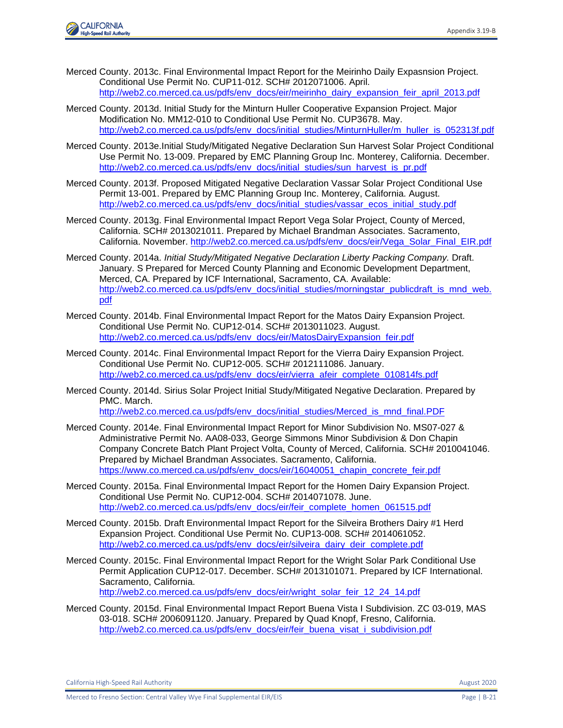

- Merced County. 2013c. Final Environmental Impact Report for the Meirinho Daily Expasnsion Project. Conditional Use Permit No. CUP11-012. SCH# 2012071006. April. [http://web2.co.merced.ca.us/pdfs/env\\_docs/eir/meirinho\\_dairy\\_expansion\\_feir\\_april\\_2013.pdf](http://web2.co.merced.ca.us/pdfs/env_docs/eir/meirinho_dairy_expansion_feir_april_2013.pdf)
- Merced County. 2013d. Initial Study for the Minturn Huller Cooperative Expansion Project. Major Modification No. MM12-010 to Conditional Use Permit No. CUP3678. May. [http://web2.co.merced.ca.us/pdfs/env\\_docs/initial\\_studies/MinturnHuller/m\\_huller\\_is\\_052313f.pdf](http://web2.co.merced.ca.us/pdfs/env_docs/initial_studies/MinturnHuller/m_huller_is_052313f.pdf)
- Merced County. 2013e.Initial Study/Mitigated Negative Declaration Sun Harvest Solar Project Conditional Use Permit No. 13-009. Prepared by EMC Planning Group Inc. Monterey, California. December. [http://web2.co.merced.ca.us/pdfs/env\\_docs/initial\\_studies/sun\\_harvest\\_is\\_pr.pdf](http://web2.co.merced.ca.us/pdfs/env_docs/initial_studies/sun_harvest_is_pr.pdf)
- Merced County. 2013f. Proposed Mitigated Negative Declaration Vassar Solar Project Conditional Use Permit 13-001. Prepared by EMC Planning Group Inc. Monterey, California. August. [http://web2.co.merced.ca.us/pdfs/env\\_docs/initial\\_studies/vassar\\_ecos\\_initial\\_study.pdf](http://web2.co.merced.ca.us/pdfs/env_docs/initial_studies/vassar_ecos_initial_study.pdf)
- Merced County. 2013g. Final Environmental Impact Report Vega Solar Project, County of Merced, California. SCH# 2013021011. Prepared by Michael Brandman Associates. Sacramento, California. November. [http://web2.co.merced.ca.us/pdfs/env\\_docs/eir/Vega\\_Solar\\_Final\\_EIR.pdf](http://web2.co.merced.ca.us/pdfs/env_docs/eir/Vega_Solar_Final_EIR.pdf)
- Merced County. 2014a. *Initial Study/Mitigated Negative Declaration Liberty Packing Company.* Draft. January. S Prepared for Merced County Planning and Economic Development Department, Merced, CA. Prepared by ICF International, Sacramento, CA. Available: [http://web2.co.merced.ca.us/pdfs/env\\_docs/initial\\_studies/morningstar\\_publicdraft\\_is\\_mnd\\_web.](http://web2.co.merced.ca.us/pdfs/env_docs/initial_studies/morningstar_publicdraft_is_mnd_web.pdf) [pdf](http://web2.co.merced.ca.us/pdfs/env_docs/initial_studies/morningstar_publicdraft_is_mnd_web.pdf)
- Merced County. 2014b. Final Environmental Impact Report for the Matos Dairy Expansion Project. Conditional Use Permit No. CUP12-014. SCH# 2013011023. August. [http://web2.co.merced.ca.us/pdfs/env\\_docs/eir/MatosDairyExpansion\\_feir.pdf](http://web2.co.merced.ca.us/pdfs/env_docs/eir/MatosDairyExpansion_feir.pdf)
- Merced County. 2014c. Final Environmental Impact Report for the Vierra Dairy Expansion Project. Conditional Use Permit No. CUP12-005. SCH# 2012111086. January. [http://web2.co.merced.ca.us/pdfs/env\\_docs/eir/vierra\\_afeir\\_complete\\_010814fs.pdf](http://web2.co.merced.ca.us/pdfs/env_docs/eir/vierra_afeir_complete_010814fs.pdf)
- Merced County. 2014d. Sirius Solar Project Initial Study/Mitigated Negative Declaration. Prepared by PMC. March.

[http://web2.co.merced.ca.us/pdfs/env\\_docs/initial\\_studies/Merced\\_is\\_mnd\\_final.PDF](http://web2.co.merced.ca.us/pdfs/env_docs/initial_studies/Merced_is_mnd_final.PDF)

- Merced County. 2014e. Final Environmental Impact Report for Minor Subdivision No. MS07-027 & Administrative Permit No. AA08-033, George Simmons Minor Subdivision & Don Chapin Company Concrete Batch Plant Project Volta, County of Merced, California. SCH# 2010041046. Prepared by Michael Brandman Associates. Sacramento, California. [https://www.co.merced.ca.us/pdfs/env\\_docs/eir/16040051\\_chapin\\_concrete\\_feir.pdf](https://www.co.merced.ca.us/pdfs/env_docs/eir/16040051_chapin_concrete_feir.pdf)
- Merced County. 2015a. Final Environmental Impact Report for the Homen Dairy Expansion Project. Conditional Use Permit No. CUP12-004. SCH# 2014071078. June. [http://web2.co.merced.ca.us/pdfs/env\\_docs/eir/feir\\_complete\\_homen\\_061515.pdf](http://web2.co.merced.ca.us/pdfs/env_docs/eir/feir_complete_homen_061515.pdf)
- Merced County. 2015b. Draft Environmental Impact Report for the Silveira Brothers Dairy #1 Herd Expansion Project. Conditional Use Permit No. CUP13-008. SCH# 2014061052. [http://web2.co.merced.ca.us/pdfs/env\\_docs/eir/silveira\\_dairy\\_deir\\_complete.pdf](http://web2.co.merced.ca.us/pdfs/env_docs/eir/silveira_dairy_deir_complete.pdf)
- Merced County. 2015c. Final Environmental Impact Report for the Wright Solar Park Conditional Use Permit Application CUP12-017. December. SCH# 2013101071. Prepared by ICF International. Sacramento, California. [http://web2.co.merced.ca.us/pdfs/env\\_docs/eir/wright\\_solar\\_feir\\_12\\_24\\_14.pdf](http://web2.co.merced.ca.us/pdfs/env_docs/eir/wright_solar_feir_12_24_14.pdf)

Merced County. 2015d. Final Environmental Impact Report Buena Vista I Subdivision. ZC 03-019, MAS 03-018. SCH# 2006091120. January. Prepared by Quad Knopf, Fresno, California. [http://web2.co.merced.ca.us/pdfs/env\\_docs/eir/feir\\_buena\\_visat\\_i\\_subdivision.pdf](http://web2.co.merced.ca.us/pdfs/env_docs/eir/feir_buena_visat_i_subdivision.pdf)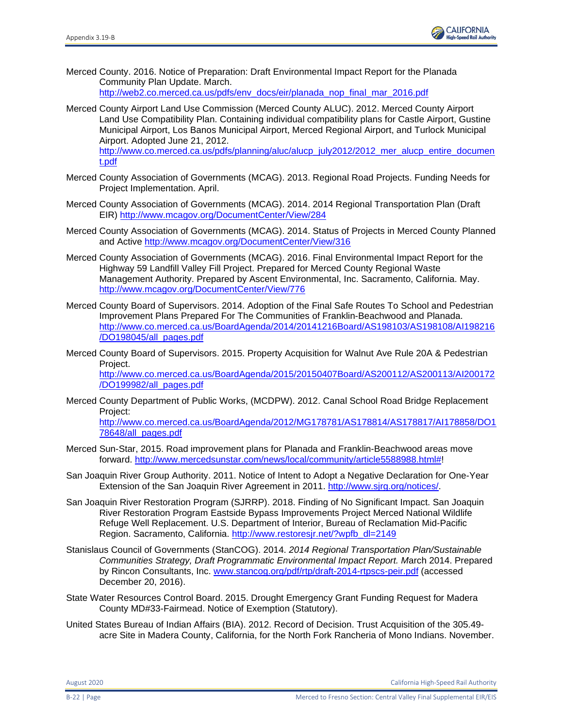

- Merced County. 2016. Notice of Preparation: Draft Environmental Impact Report for the Planada Community Plan Update. March. [http://web2.co.merced.ca.us/pdfs/env\\_docs/eir/planada\\_nop\\_final\\_mar\\_2016.pdf](http://web2.co.merced.ca.us/pdfs/env_docs/eir/planada_nop_final_mar_2016.pdf)
- Merced County Airport Land Use Commission (Merced County ALUC). 2012. Merced County Airport Land Use Compatibility Plan. Containing individual compatibility plans for Castle Airport, Gustine Municipal Airport, Los Banos Municipal Airport, Merced Regional Airport, and Turlock Municipal Airport. Adopted June 21, 2012.

[http://www.co.merced.ca.us/pdfs/planning/aluc/alucp\\_july2012/2012\\_mer\\_alucp\\_entire\\_documen](http://www.co.merced.ca.us/pdfs/planning/aluc/alucp_july2012/2012_mer_alucp_entire_document.pdf) [t.pdf](http://www.co.merced.ca.us/pdfs/planning/aluc/alucp_july2012/2012_mer_alucp_entire_document.pdf)

- Merced County Association of Governments (MCAG). 2013. Regional Road Projects. Funding Needs for Project Implementation. April.
- Merced County Association of Governments (MCAG). 2014. 2014 Regional Transportation Plan (Draft EIR)<http://www.mcagov.org/DocumentCenter/View/284>
- Merced County Association of Governments (MCAG). 2014. Status of Projects in Merced County Planned and Active<http://www.mcagov.org/DocumentCenter/View/316>
- Merced County Association of Governments (MCAG). 2016. Final Environmental Impact Report for the Highway 59 Landfill Valley Fill Project. Prepared for Merced County Regional Waste Management Authority. Prepared by Ascent Environmental, Inc. Sacramento, California. May. <http://www.mcagov.org/DocumentCenter/View/776>
- Merced County Board of Supervisors. 2014. Adoption of the Final Safe Routes To School and Pedestrian Improvement Plans Prepared For The Communities of Franklin-Beachwood and Planada. [http://www.co.merced.ca.us/BoardAgenda/2014/20141216Board/AS198103/AS198108/AI198216](http://www.co.merced.ca.us/BoardAgenda/2014/20141216Board/AS198103/AS198108/AI198216/DO198045/all_pages.pdf) [/DO198045/all\\_pages.pdf](http://www.co.merced.ca.us/BoardAgenda/2014/20141216Board/AS198103/AS198108/AI198216/DO198045/all_pages.pdf)
- Merced County Board of Supervisors. 2015. Property Acquisition for Walnut Ave Rule 20A & Pedestrian Project. [http://www.co.merced.ca.us/BoardAgenda/2015/20150407Board/AS200112/AS200113/AI200172](http://www.co.merced.ca.us/BoardAgenda/2015/20150407Board/AS200112/AS200113/AI200172/DO199982/all_pages.pdf) [/DO199982/all\\_pages.pdf](http://www.co.merced.ca.us/BoardAgenda/2015/20150407Board/AS200112/AS200113/AI200172/DO199982/all_pages.pdf)
- Merced County Department of Public Works, (MCDPW). 2012. Canal School Road Bridge Replacement Project:

[http://www.co.merced.ca.us/BoardAgenda/2012/MG178781/AS178814/AS178817/AI178858/DO1](http://www.co.merced.ca.us/BoardAgenda/2012/MG178781/AS178814/AS178817/AI178858/DO178648/all_pages.pdf) [78648/all\\_pages.pdf](http://www.co.merced.ca.us/BoardAgenda/2012/MG178781/AS178814/AS178817/AI178858/DO178648/all_pages.pdf)

- Merced Sun-Star, 2015. Road improvement plans for Planada and Franklin-Beachwood areas move forward. [http://www.mercedsunstar.com/news/local/community/article5588988.html#!](http://www.mercedsunstar.com/news/local/community/article5588988.html)
- San Joaquin River Group Authority. 2011. Notice of Intent to Adopt a Negative Declaration for One-Year Extension of the San Joaquin River Agreement in 2011. [http://www.sjrg.org/notices/.](http://www.sjrg.org/notices/)
- San Joaquin River Restoration Program (SJRRP). 2018. Finding of No Significant Impact. San Joaquin River Restoration Program Eastside Bypass Improvements Project Merced National Wildlife Refuge Well Replacement. U.S. Department of Interior, Bureau of Reclamation Mid-Pacific Region. Sacramento, California. http://www.restoresjr.net/?wpfb\_dl=2149
- Stanislaus Council of Governments (StanCOG). 2014. *2014 Regional Transportation Plan/Sustainable Communities Strategy, Draft Programmatic Environmental Impact Report. M*arch 2014. Prepared by Rincon Consultants, Inc. [www.stancog.org/pdf/rtp/draft-2014-rtpscs-peir.pdf](http://www.stancog.org/pdf/rtp/draft-2014-rtpscs-peir.pdf) (accessed December 20, 2016).
- State Water Resources Control Board. 2015. Drought Emergency Grant Funding Request for Madera County MD#33-Fairmead. Notice of Exemption (Statutory).
- United States Bureau of Indian Affairs (BIA). 2012. Record of Decision. Trust Acquisition of the 305.49 acre Site in Madera County, California, for the North Fork Rancheria of Mono Indians. November.